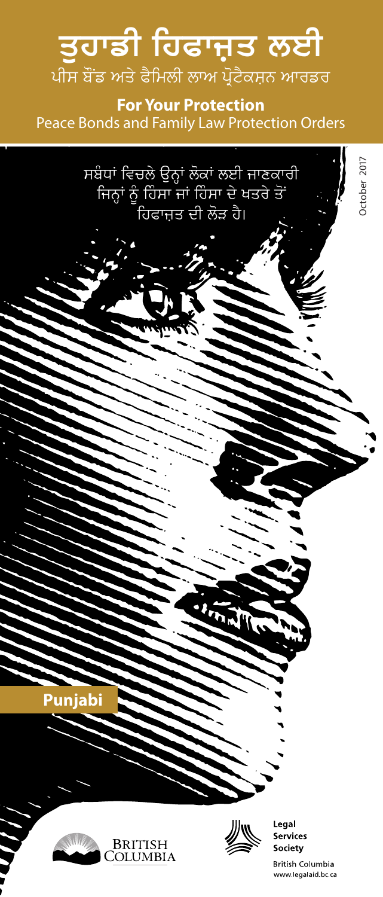# ਤਹਾਡੀ ਹਿਫਾਜੂਤ ਲਈ ਪੀਸ ਬੌਂਡ ਅਤੇ ਫੈਮਿਲੀ ਲਾਅ ਪ੍ਰੋਟੈਕਸੁਨ ਆਰਡਰ

**For Your Protection** Peace Bonds and Family Law Protection Orders

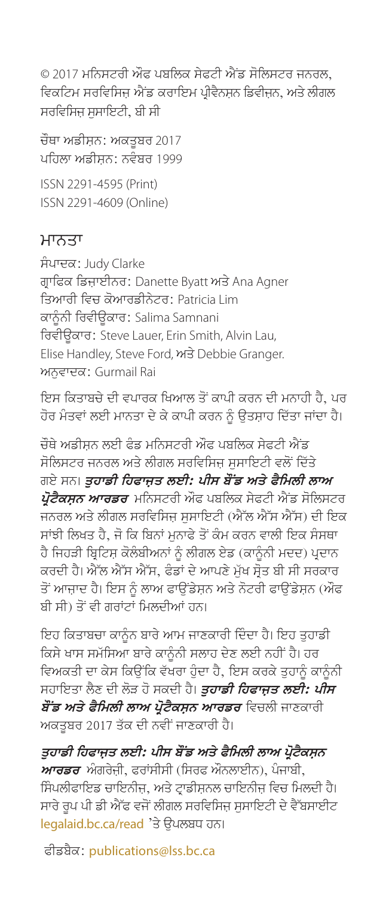© 2017 ਮਨਿਸਟਰੀ ਔਫ ਪਬਲਿਕ ਸੇਫਟੀ ਐਂਡ ਸੋਲਿਸਟਰ ਜਨਰਲ, ਵਿਕਟਿਮ ਸਰਵਿਸਿਜ਼ ਐਂਡ ਕਰਾਇਮ ਪ੍ਰੀਵੈਨਸ਼ਨ ਡਿਵੀਜ਼ਨ, ਅਤੇ ਲੀਗਲ ਸਰਵਿਸਿਜ਼ ਸਸਾਇਟੀ, ਬੀ ਸੀ

ਚੌਥਾ ਅਡੀਸ਼ਨ: ਅਕਤਬਰ 2017 ਪਹਿਲਾ ਅਡੀਸਨ: ਨਵੰਬਰ 1999

ISSN 2291-4595 (Print) ISSN 2291-4609 (Online)

#### ਮਾਨਤਾ

ਸੰਪਾਦਕ: Judy Clarke ਗ੍ਰਾਫਿਕ ਡਿਜ਼ਾਈਨਰ: Danette Byatt ਅਤੇ Ana Agner ਤਿਆਰੀ ਵਿਚ ਕੋਆਰਡੀਨੇਟਰ: Patricia Lim ਕਾਨੰਨੀ ਰਿਵੀੳਕਾਰ: Salima Samnani ਰਿਵੀਉਕਾਰ: Steve Lauer, Erin Smith, Alvin Lau, Elise Handley, Steve Ford, ਅਤੇ Debbie Granger. ਅਨਵਾਦਕ: Gurmail Rai

ਇਸ ਕਿਤਾਬਚੇ ਦੀ ਵਪਾਰਕ ਖਿਆਲ ਤੋਂ ਕਾਪੀ ਕਰਨ ਦੀ ਮਨਾਹੀ ਹੈ. ਪਰ ਹੋਰ ਮੰਤਵਾਂ ਲਈ ਮਾਨਤਾ ਦੇ ਕੇ ਕਾਪੀ ਕਰਨ ਨੂੰ ਉਤਸ਼ਾਹ ਦਿੱਤਾ ਜਾਂਦਾ ਹੈ।

ਚੌਥੇ ਅਡੀਸਨ ਲਈ ਫੰਡ ਮਨਿਸਟਰੀ ਔਫ ਪਬਲਿਕ ਸੇਫਟੀ ਐਂਡ ਸੋਲਿਸਟਰ ਜਨਰਲ ਅਤੇ ਲੀਗਲ ਸਰਵਿਸਿਜ਼ ਸਸਾਇਟੀ ਵਲੋਂ ਦਿੱਤੇ ਗਏ ਸਨ। **ਤੁਹਾਡੀ ਹਿਫਾਜ਼ਤ ਲਈ: ਪੀਸ ਬੌਂਡ ਅਤੇ ਫੈਮਿਲੀ ਲਾਅ** *ਪੋਟੈਕਸ਼ਨ ਆਰਡਰ* ਮਨਿਸਟਰੀ ਔਫ ਪਬਲਿਕ ਸੇਫਟੀ ਐਂਡ ਸੋਲਿਸਟਰ ਜਨਰਲ ਅਤੇ ਲੀਗਲ ਸਰਵਿਸਿਜ ਸਸਾਇਟੀ (ਐੱਲ ਐੱਸ ਐੱਸ) ਦੀ ਇਕ ਸਾਂਝੀ ਲਿਖਤ ਹੈ, ਜੋ ਕਿ ਬਿਨਾਂ ਮੁਨਾਫੇ ਤੋਂ ਕੰਮ ਕਰਨ ਵਾਲੀ ਇਕ ਸੰਸਥਾ ਹੈ ਜਿਹੜੀ ਬ੍ਰਿਟਿਸ਼ ਕੋਲੰਬੀਅਨਾਂ ਨੰ ਲੀਗਲ ਏਡ (ਕਾਨੰਨੀ ਮਦਦ) ਪ੍ਰਦਾਨ ਕਰਦੀ ਹੈ। ਐੱਲ ਐੱਸ ਐੱਸ, ਫੰਡਾਂ ਦੇ ਆਪਣੇ ਮੁੱਖ ਸੁੋਤ ਬੀ ਸੀ ਸਰਕਾਰ ਤੋਂ ਆਜ਼ਾਦ ਹੈ। ਇਸ ਨੂੰ ਲਾਅ ਫਾਉਂਡੇਸ਼ਨ ਅਤੇ ਨੋਟਰੀ ਫਾਉਂਡੇਸ਼ਨ (ਔਫ ਬੀ ਸੀ) ਤੋਂ ਵੀ ਗਰਾਂਟਾਂ ਮਿਲਦੀਆਂ ਹਨ।

ਇਹ ਕਿਤਾਬਚਾ ਕਾਨੰਨ ਬਾਰੇ ਆਮ ਜਾਣਕਾਰੀ ਦਿੰਦਾ ਹੈ। ਇਹ ਤਹਾਡੀ ਕਿਸੇ ਖਾਸ ਸਮੱਸਿਆ ਬਾਰੇ ਕਾਨੂੰਨੀ ਸਲਾਹ ਦੇਣ ਲਈ ਨਹੀਂ ਹੈ। ਹਰ ਵਿਅਕਤੀ ਦਾ ਕੇਸ ਕਿੳਂਕਿ ਵੱਖਰਾ ਹੰਦਾ ਹੈ, ਇਸ ਕਰਕੇ ਤਹਾਨੰ ਕਾਨੰਨੀ ਸਹਾਇਤਾ ਲੈਣ ਦੀ ਲੋੜ ਹੋ ਸਕਦੀ ਹੈ। **ਤ***ਹਾਡੀ ਹਿਫਾਜ਼ਤ ਲਈ: ਪੀਸ ਬੋਂਡ ਅਤੇ ਫੈਮਿਲੀ ਲਾਅ ਪ੍ਰੋਟੈਕਸਨ ਆਰਡਰ ਵਿਚ*ਲੀ ਜਾਣਕਾਰੀ ਅਕਤਬਰ 2017 ਤੱਕ ਦੀ ਨਵੀਂ ਜਾਣਕਾਰੀ ਹੈ।

ਤੁਹਾਡੀ ਹਿਫਾਜੁਤ ਲਈ: ਪੀਸ ਬੌਂਡ ਅਤੇ ਫੈਮਿਲੀ ਲਾਅ ਪ<del>੍ਰੋ</del>ਟੈਕਸੁਨ *ਆਰਡਰ ਅੰ*ਗਰੇਜ਼ੀ, ਫਰਾਂਸੀਸੀ (ਸਿਰਫ ਔਨਲਾਈਨ), ਪੰਜਾਬੀ, ਸਿੰਪਲੀਫਾਇਡ ਚਾਇਨੀਜ਼, ਅਤੇ ਟਾਡੀਸ਼ਨਲ ਚਾਇਨੀਜ਼ ਵਿਚ ਮਿਲਦੀ ਹੈ। ਸਾਰੇ ਰੂਪ ਪੀ ਡੀ ਐੱਫ ਵਜੋਂ ਲੀਗਲ ਸਰਵਿਸਿਜ਼ ਸੁਸਾਇਟੀ ਦੇ ਵੈੱਬਸਾਈਟ legalaid.bc.ca/read 'ਤੇ ੳਪਲਬਧ ਹਨ।

ਫੀਡਬੈਕ: [publications@lss.bc.ca](mailto:publications@lss.bc.ca)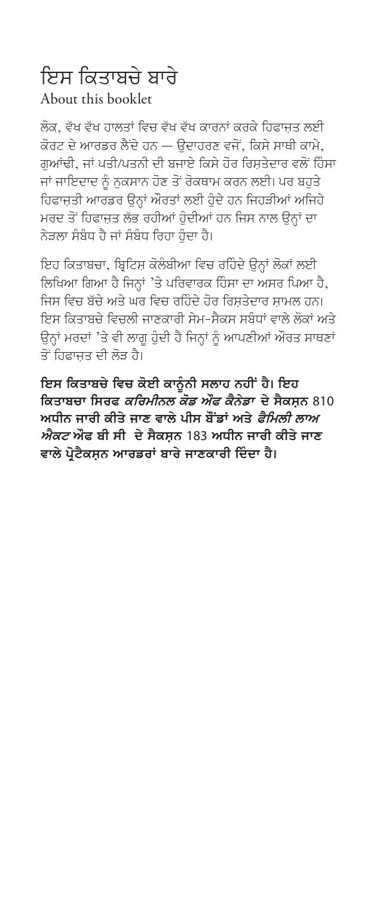## ਇਸ ਕਿਤਾਬਜੇ ਬਾਰੇ About this booklet

ਲੋਕ, ਵੱਖ ਵੱਖ ਹਾਲਤਾਂ ਵਿਚ ਵੱਖ ਵੱਖ ਕਾਰਨਾਂ ਕਰਕੇ ਹਿਫਾਜ਼ਤ ਲਈ ਕੋਰਟ ਦੇ ਆਰਡਰ ਲੈਂਦੇ ਹਨ — ੳਦਾਹਰਣ ਵਜੋਂ. ਕਿਸੇ ਸਾਥੀ ਕਾਮੇ. ਗਆਂਢੀ, ਜਾਂ ਪਤੀ/ਪਤਨੀ ਦੀ ਬਜਾਏ ਕਿਸੇ ਹੋਰ ਰਿਸ਼ਤੇਦਾਰ ਵਲੋਂ ਹਿੰਸਾ ਜਾਂ ਜਾਇਦਾਦ ਨੂੰ ਨਕਸਾਨ ਹੋਣ ਤੋਂ ਰੋਕਥਾਮ ਕਰਨ ਲਈ। ਪਰ ਬਹਤੇ ਹਿਫਾਜ਼ਤੀ ਆਰਡਰ ੳਨ੍ਹਾਂ ਔਰਤਾਂ ਲਈ ਹੋਦੇ ਹਨ ਜਿਹੜੀਆਂ ਅਜਿਹੇ ਮਰਦ ਤੋਂ ਹਿਫਾਜ਼ਤ ਲੱਭ ਰਹੀਆਂ ਹੋਦੀਆਂ ਹਨ ਜਿਸ ਨਾਲ ੳਨਾਂ ਦਾ ਨੇਤਲਾ ਸੰਬੰਧ ਹੈ ਜਾਂ ਸੰਬੰਧ ਰਿਹਾ ਹੋਦਾ ਹੈ।

ਇਹ ਕਿਤਾਬਚਾ, ਬ੍ਰਿਟਿਸ਼ ਕੋਲੰਬੀਆ ਵਿਚ ਰਹਿੰਦੇ ਉਨ੍ਹਾਂ ਲੋਕਾਂ ਲਈ ਲਿਖਿਆ ਗਿਆ ਹੈ ਜਿਨਾਂ 'ਤੇ ਪਰਿਵਾਰਕ ਹਿੰਸਾ ਦਾ ਅਸਰ ਪਿਆ ਹੈ, ਜਿਸ ਵਿਚ ਬੱਚੇ ਅਤੇ ਘਰ ਵਿਚ ਰਹਿੰਦੇ ਹੋਰ ਰਿਸਤੇਦਾਰ ਸਾਮਲ ਹਨ। ਇਸ ਕਿਤਾਬਚੇ ਵਿਚਲੀ ਜਾਣਕਾਰੀ ਸੇਮ-ਸੈਕਸ ਸਬੰਧਾਂ ਵਾਲੇ ਲੋਕਾਂ ਅਤੇ ਉਨ੍ਹਾਂ ਮਰਦਾਂ 'ਤੇ ਵੀ ਲਾਗੂ ਹੁੰਦੀ ਹੈ ਜਿਨ੍ਹਾਂ ਨੂੰ ਆਪਣੀਆਂ ਔਰਤ ਸਾਥਣਾਂ ਤੋਂ ਹਿਫਾਜਤ ਦੀ ਲੋਤ ਹੈ।

ਇਸ ਕਿਤਾਬਚੇ ਵਿਚ ਕੋਈ ਕਾਨੂੰਨੀ ਸਲਾਹ ਨਹੀਂ ਹੈ। ਇਹ ਕਿਤਾਬਚਾ ਸਿਰਫ *ਕਰਿਮੀਨਲ ਕੋਡ ਔਫ ਕੈਨੇਡਾ* ਦੇ ਸੈਕਸਨ 810 ਅਧੀਨ ਜਾਰੀ ਕੀਤੇ ਜਾਣ ਵਾਲੇ ਪੀਸ ਬੌਂਡਾਂ ਅਤੇ *ਫੈਮਿਲੀ ਲਾਅ ਐਕਟ* ਔਫ ਬੀ ਸੀ ਦੇ ਸੈਕਸਨ 183 ਅਧੀਨ ਜਾਰੀ ਕੀਤੇ ਜਾਣ ਵਾਲੇ ਪ੍ਰੋਟੈਕਸ਼ਨ ਆਰਡਰਾਂ ਬਾਰੇ ਜਾਣਕਾਰੀ ਦਿੰਦਾ ਹੈ।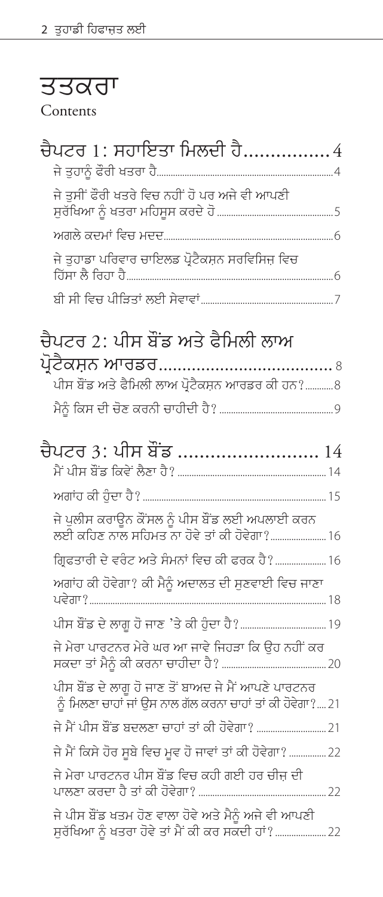# ਤਤਕਰਾ

#### Contents

| ਚੈਪਟਰ 1: ਸਹਾਇਤਾ ਮਿਲਦੀ ਹੈ4                                                                                        |
|------------------------------------------------------------------------------------------------------------------|
|                                                                                                                  |
| ਜੇ ਤੁਸੀਂ ਫੌਰੀ ਖਤਰੇ ਵਿਚ ਨਹੀਂ ਹੋ ਪਰ ਅਜੇ ਵੀ ਆਪਣੀ                                                                    |
|                                                                                                                  |
| ਜੇ ਤੁਹਾਡਾ ਪਰਿਵਾਰ ਚਾਇਲਡ ਪ੍ਰੋਟੈਕਸ਼ਨ ਸਰਵਿਸਿਜ਼ ਵਿਚ                                                                   |
|                                                                                                                  |
| ਚੈਪਟਰ 2: ਪੀਸ ਬੌਂਡ ਅਤੇ ਫੈਮਿਲੀ ਲਾਅ                                                                                 |
| ਪੀਸ ਬੌਂਡ ਅਤੇ ਫੈਮਿਲੀ ਲਾਅ ਪ੍ਰੋਟੈਕਸ਼ਨ ਆਰਡਰ ਕੀ ਹਨ?8                                                                  |
|                                                                                                                  |
|                                                                                                                  |
| ਚੈਪਟਰ 3: ਪੀਸ ਬੌਂਡ  14                                                                                            |
|                                                                                                                  |
| ਜੇ ਪੁਲੀਸ ਕਰਾਉਨ ਕੌਂਸਲ ਨੂੰ ਪੀਸ ਬੌਂਡ ਲਈ ਅਪਲਾਈ ਕਰਨ<br>ਲਈ ਕਹਿਣ ਨਾਲ ਸਹਿਮਤ ਨਾ ਹੋਵੇ ਤਾਂ ਕੀ ਹੋਵੇਗਾ? 16                    |
| ਗ੍ਰਿਫਤਾਰੀ ਦੇ ਵਰੰਟ ਅਤੇ ਸੰਮਨਾਂ ਵਿਚ ਕੀ ਫਰਕ ਹੈ? 16                                                                   |
| ਅਗਾਂਹ ਕੀ ਹੋਵੇਗਾ? ਕੀ ਮੈਨੂੰ ਅਦਾਲਤ ਦੀ ਸੁਣਵਾਈ ਵਿਚ ਜਾਣਾ                                                               |
|                                                                                                                  |
| ਜੇ ਮੇਰਾ ਪਾਰਟਨਰ ਮੇਰੇ ਘਰ ਆ ਜਾਵੇ ਜਿਹੜਾ ਕਿ ਉਹ ਨਹੀਂ ਕਰ                                                                |
| ਪੀਸ ਬੌਂਡ ਦੇ ਲਾਗੂ ਹੋ ਜਾਣ ਤੋਂ ਬਾਅਦ ਜੇ ਮੈਂ ਆਪਣੇ ਪਾਰਟਨਰ<br>ਨੰ ਮਿਲਣਾ ਚਾਹਾਂ ਜਾਂ ੳਸ ਨਾਲ ਗੱਲ ਕਰਨਾ ਚਾਹਾਂ ਤਾਂ ਕੀ ਹੋਵੇਗਾ?21 |
|                                                                                                                  |
| ਜੇ ਮੈਂ ਕਿਸੇ ਹੋਰ ਸੁਬੇ ਵਿਚ ਮੁਵ ਹੋ ਜਾਵਾਂ ਤਾਂ ਕੀ ਹੋਵੇਗਾ? 22                                                          |
| ਜੇ ਮੇਰਾ ਪਾਰਟਨਰ ਪੀਸ ਬੌਂਡ ਵਿਚ ਕਹੀ ਗਈ ਹਰ ਚੀਜ਼ ਦੀ                                                                    |
| ਜੇ ਪੀਸ ਬੌਂਡ ਖਤਮ ਹੋਣ ਵਾਲਾ ਹੋਵੇ ਅਤੇ ਮੈਨੂੰ ਅਜੇ ਵੀ ਆਪਣੀ                                                              |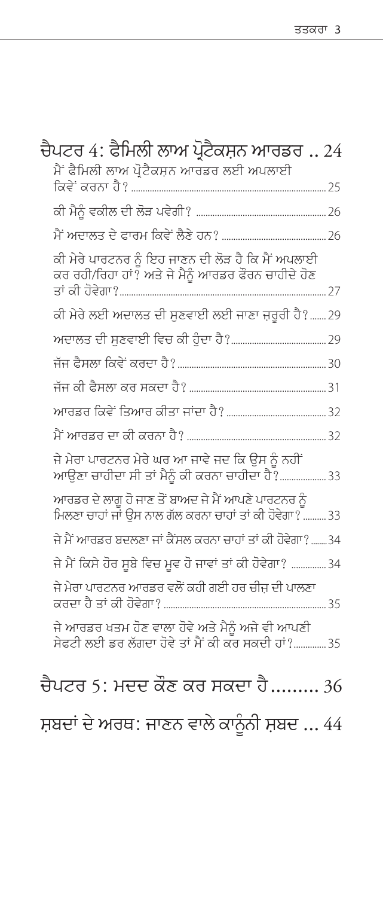| ਚੈਪਟਰ 4: ਫੈਮਿਲੀ ਲਾਅ ਪ੍ਰੋਟੈਕਸ਼ਨ ਆਰਡਰ  24<br>ਮੈਂ ਫੈਮਿਲੀ ਲਾਅ ਪ੍ਰੋਟੈਕਸ਼ਨ ਆਰਡਰ ਲਈ ਅਪਲਾਈ                             |  |
|----------------------------------------------------------------------------------------------------------------|--|
|                                                                                                                |  |
|                                                                                                                |  |
|                                                                                                                |  |
| ਕੀ ਮੇਰੇ ਪਾਰਟਨਰ ਨੂੰ ਇਹ ਜਾਣਨ ਦੀ ਲੋੜ ਹੈ ਕਿ ਮੈਂ ਅਪਲਾਈ<br>ਕਰ ਰਹੀ/ਰਿਹਾ ਹਾਂ? ਅਤੇ ਜੇ ਮੈਨੂੰ ਆਰਡਰ ਫੌਰਨ ਚਾਹੀਦੇ ਹੋਣ        |  |
| ਕੀ ਮੇਰੇ ਲਈ ਅਦਾਲਤ ਦੀ ਸੁਣਵਾਈ ਲਈ ਜਾਣਾ ਜ਼ਰੂਰੀ ਹੈ?29                                                                |  |
|                                                                                                                |  |
|                                                                                                                |  |
|                                                                                                                |  |
|                                                                                                                |  |
|                                                                                                                |  |
| ਜੇ ਮੇਰਾ ਪਾਰਟਨਰ ਮੇਰੇ ਘਰ ਆ ਜਾਵੇ ਜਦ ਕਿ ਉਸ ਨੂੰ ਨਹੀਂ<br>ਆਉਣਾ ਚਾਹੀਦਾ ਸੀ ਤਾਂ ਮੈਨੂੰ ਕੀ ਕਰਨਾ ਚਾਹੀਦਾ ਹੈ ?33              |  |
| ਆਰਡਰ ਦੇ ਲਾਗੂ ਹੋ ਜਾਣ ਤੋਂ ਬਾਅਦ ਜੇ ਮੈਂ ਆਪਣੇ ਪਾਰਟਨਰ ਨੂੰ<br>ਮਿਲਣਾ ਚਾਹਾਂ ਜਾਂ ਉਸ ਨਾਲ ਗੱਲ ਕਰਨਾ ਚਾਹਾਂ ਤਾਂ ਕੀ ਹੋਵੇਗਾ? 33 |  |
| ਜੇ ਮੈਂ ਆਰਡਰ ਬਦਲਣਾ ਜਾਂ ਕੈਂਸਲ ਕਰਨਾ ਚਾਹਾਂ ਤਾਂ ਕੀ ਹੋਵੇਗਾ? 34                                                       |  |
| ਜੇ ਮੈਂ ਕਿਸੇ ਹੋਰ ਸੂਬੇ ਵਿਚ ਮੁਵ ਹੋ ਜਾਵਾਂ ਤਾਂ ਕੀ ਹੋਵੇਗਾ? 34                                                        |  |
| ਜੇ ਮੇਰਾ ਪਾਰਟਨਰ ਆਰਡਰ ਵਲੋਂ ਕਹੀ ਗਈ ਹਰ ਚੀਜ਼ ਦੀ ਪਾਲਣਾ                                                               |  |
| ਜੇ ਆਰਡਰ ਖਤਮ ਹੋਣ ਵਾਲਾ ਹੋਵੇ ਅਤੇ ਮੈਨੂੰ ਅਜੇ ਵੀ ਆਪਣੀ<br>ਸੇਫਟੀ ਲਈ ਡਰ ਲੱਗਦਾ ਹੋਵੇ ਤਾਂ ਮੈਂ ਕੀ ਕਰ ਸਕਦੀ ਹਾਂ?35            |  |
| ਚੈਪਟਰ 5: ਮਦਦ ਕੌਣ ਕਰ ਸਕਦਾ ਹੈ 36                                                                                 |  |
| ਸ਼ਬਦਾਂ ਦੇ ਅਰਥ: ਜਾਣਨ ਵਾਲੇ ਕਾਨੂੰਨੀ ਸ਼ਬਦ  44                                                                      |  |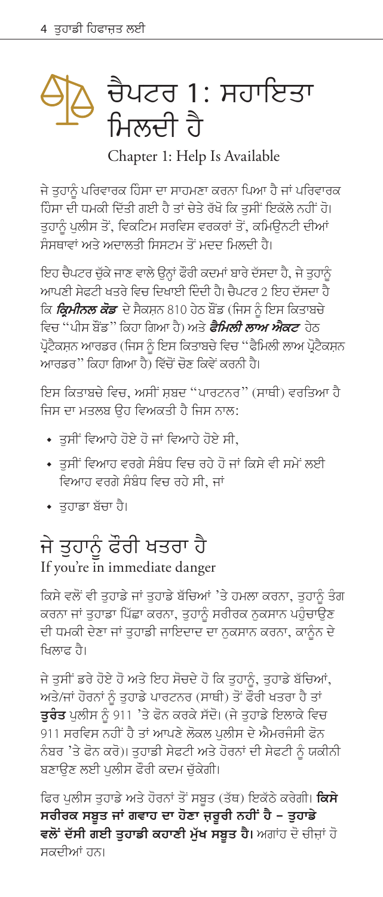# <span id="page-5-0"></span>ਚੈਪਟਰ 1: ਸਹਾਇਤਾ<br>ਮਿਲਦੀ ਹੈ

#### Chapter 1: Help Is Available

ਜੇ ਤਹਾਨੰ ਪਰਿਵਾਰਕ ਹਿੰਸਾ ਦਾ ਸਾਹਮਣਾ ਕਰਨਾ ਪਿਆ ਹੈ ਜਾਂ ਪਰਿਵਾਰਕ ਹਿੰਸਾ ਦੀ ਧਮਕੀ ਦਿੱਤੀ ਗਈ ਹੈ ਤਾਂ ਚੇਤੇ ਰੱਖੋ ਕਿ ਤਸੀਂ ਇਕੱਲੇ ਨਹੀਂ ਹੋ। ਤਹਾਨੰ ਪਲੀਸ ਤੋਂ. ਵਿਕਟਿਮ ਸਰਵਿਸ ਵਰਕਰਾਂ ਤੋਂ. ਕਮਿਊਨਟੀ ਦੀਆਂ ਸੰਸਥਾਵਾਂ ਅਤੇ ਅਦਾਲਤੀ ਸਿਸਟਮ ਤੋਂ ਮਦਦ ਮਿਲਦੀ ਹੈ।

ਇਹ ਚੈਪਟਰ ਚੱਕੇ ਜਾਣ ਵਾਲੇ ੳਨਾਂ ਫੌਰੀ ਕਦਮਾਂ ਬਾਰੇ ਦੱਸਦਾ ਹੈ, ਜੇ ਤਹਾਨੰ ਆਪਣੀ ਸੇਫਟੀ ਖਤਰੇ ਵਿਚ ਦਿਖਾਈ ਦਿੰਦੀ ਹੈ। ਚੈਪਟਰ 2 ਇਹ ਦੱਸਦਾ ਹੈ ਕਿ *ਕ੍ਰਿਮੀਨਲ ਕੋਡ* ਦੇ ਸੈਕਸਨ 810 ਹੇਠ ਬੌਂਡ (ਜਿਸ ਨੂੰ ਇਸ ਕਿਤਾਬਚੇ ਵਿਚ ''ਪੀਸ ਬੌਂਡ'' ਕਿਹਾ ਗਿਆ ਹੈ) ਅਤੇ *ਫੈਮਿਲੀ ਲਾਅ ਐਕਟ ਹੇ*ਠ ਪੋਟੈਕਸਨ ਆਰਡਰ (ਜਿਸ ਨੰ ਇਸ ਕਿਤਾਬਚੇ ਵਿਚ ''ਫੈਮਿਲੀ ਲਾਅ ਪੋਟੈਕਸਨ ਆਰਡਰ'' ਕਿਹਾ ਗਿਆ ਹੈ) ਵਿੱਚੋਂ ਚੋਣ ਕਿਵੇਂ ਕਰਨੀ ਹੈ।

ਇਸ ਕਿਤਾਬਚੇ ਵਿਚ. ਅਸੀਂ ਸਬਦ ''ਪਾਰਟਨਰ'' (ਸਾਥੀ) ਵਰਤਿਆ ਹੈ ਜਿਸ ਦਾ ਮਤਲਬ ੳਹ ਵਿਅਕਤੀ ਹੈ ਜਿਸ ਨਾਲ:

- ਤਸੀਂ ਵਿਆਹੇ ਹੋਏ ਹੋ ਜਾਂ ਵਿਆਹੇ ਹੋਏ ਸੀ.
- ∙ ਤਸੀਂ ਵਿਆਹ ਵਰਗੇ ਸੰਬੰਧ ਵਿਚ ਰਹੇ ਹੋ ਜਾਂ ਕਿਸੇ ਵੀ ਸਮੇਂ ਲਈ ਵਿਆਹ ਵਰਗੇ ਸੰਬੰਧ ਵਿਚ ਰਹੇ ਸੀ. ਜਾਂ
- ◆ ਤੁਹਾਡਾ ਬੱਚਾ ਹੈ।

# ਜੇ ਤਹਾਨੰ ਫੌਰੀ ਖਤਰਾ ਹੈ

If you're in immediate danger

ਕਿਸੇ ਵਲੋਂ ਵੀ ਤੁਹਾਡੇ ਜਾਂ ਤੁਹਾਡੇ ਬੱਚਿਆਂ 'ਤੇ ਹਮਲਾ ਕਰਨਾ, ਤੁਹਾਨੂੰ ਤੰਗ ਕਰਨਾ ਜਾਂ ਤਹਾਡਾ ਪਿੱਛਾ ਕਰਨਾ, ਤਹਾਨੰ ਸਰੀਰਕ ਨਕਸਾਨ ਪਹੁੰਚਾੳਣ ਦੀ ਧਮਕੀ ਦੇਣਾ ਜਾਂ ਤਹਾਡੀ ਜਾਇਦਾਦ ਦਾ ਨੁਕਸਾਨ ਕਰਨਾ, ਕਾਨੂੰਨ ਦੇ ਖਿਲਾਫ਼ ਹੈ।

ਜੇ ਤਸੀਂ ਡਰੇ ਹੋਏ ਹੋ ਅਤੇ ਇਹ ਸੋਚਦੇ ਹੋ ਕਿ ਤਹਾਨੰ, ਤਹਾਡੇ ਬੱਚਿਆਂ, ਅਤੇ/ਜਾਂ ਹੋਰਨਾਂ ਨੂੰ ਤੁਹਾਡੇ ਪਾਰਟਨਰ (ਸਾਥੀ) ਤੋਂ ਫੌਰੀ ਖਤਰਾ ਹੈ ਤਾਂ ਤੁਰੰਤ ਪੁਲੀਸ ਨੂੰ 911 'ਤੇ ਫੋਨ ਕਰਕੇ ਸੱਦੋ। (ਜੇ ਤੁਹਾਡੇ ਇਲਾਕੇ ਵਿਚ 911 ਸਰਵਿਸ ਨਹੀਂ ਹੈ ਤਾਂ ਆਪਣੇ ਲੋਕਲ ਪਲੀਸ ਦੇ ਐਮਰਜੰਸੀ ਫੋਨ ਨੰਬਰ 'ਤੇ ਫੋਨ ਕਰੋ)। ਤਹਾਡੀ ਸੇਫਟੀ ਅਤੇ ਹੋਰਨਾਂ ਦੀ ਸੇਫਟੀ ਨੂੰ ਯਕੀਨੀ ਬਣਾੳਣ ਲਈ ਪਲੀਸ ਫੌਰੀ ਕਦਮ ਚੱਕੇਗੀ।

ਫਿਰ ਪੁਲੀਸ ਤੁਹਾਡੇ ਅਤੇ ਹੋਰਨਾਂ ਤੋਂ ਸਬੂਤ (ਤੱਥ) ਇਕੱਠੇ ਕਰੇਗੀ। **ਕਿਸੇ** ਸਰੀਰਕ ਸਬੂਤ ਜਾਂ ਗਵਾਹ ਦਾ ਹੋਣਾ ਜ਼ਰੂਰੀ ਨਹੀਂ ਹੈ – ਤੁਹਾਡੇ ਵਲੋਂ ਦੱਸੀ ਗਈ ਤੁਹਾਡੀ ਕਹਾਣੀ ਮੁੱਖ ਸਬੂਤ ਹੈ। ਅਗਾਂਹ ਦੋ ਚੀਜਾਂ ਹੋ ਸਕਦੀਆਂ ਹਨ।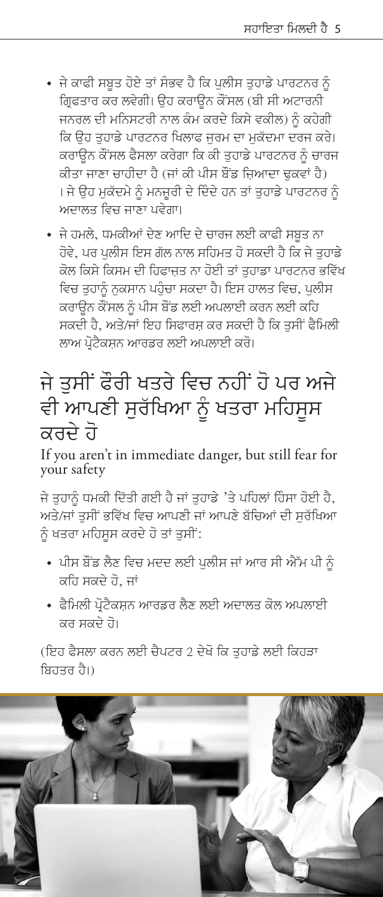- <span id="page-6-0"></span>◆ ਜੇ ਕਾਫੀ ਸਬਤ ਹੋਏ ਤਾਂ ਸੰਭਵ ਹੈ ਕਿ ਪਲੀਸ ਤਹਾਡੇ ਪਾਰਟਨਰ ਨੰ ਗ੍ਰਿਫਤਾਰ ਕਰ ਲਵੇਗੀ। ੳਹ ਕਰਾੳਨ ਕੌਂਸਲ (ਬੀ ਸੀ ਅਟਾਰਨੀ ਜਨਰਲ ਦੀ ਮਨਿਸਟਰੀ ਨਾਲ ਕੰਮ ਕਰਦੇ ਕਿਸੇ ਵਕੀਲ) ਨੂੰ ਕਹੇਗੀ ਕਿ ੳਹ ਤਹਾਡੇ ਪਾਰਟਨਰ ਖਿਲਾਫ ਜਰਮ ਦਾ ਮਕੱਦਮਾ ਦਰਜ ਕਰੇ। ਕਰਾਊਨ ਕੌਂਸਲ ਫੈਸਲਾ ਕਰੇਗਾ ਕਿ ਕੀ ਤਹਾਡੇ ਪਾਰਟਨਰ ਨੂੰ ਚਾਰਜ ਕੀਤਾ ਜਾਣਾ ਚਾਹੀਦਾ ਹੈ (ਜਾਂ ਕੀ ਪੀਸ ਬੌਂਡ ਜਿਆਦਾ ਢਕਵਾਂ ਹੈ) । ਜੇ ੳਹ ਮਕੱਦਮੇ ਨੂੰ ਮਨਜ਼ਰੀ ਦੇ ਦਿੰਦੇ ਹਨ ਤਾਂ ਤਹਾਡੇ ਪਾਰਟਨਰ ਨੂੰ ਅਦਾਲਤ ਵਿਚ ਜਾਣਾ ਪਵੇਗਾ।
- ਜੇ ਹਮਲੇ, ਧਮਕੀਆਂ ਦੇਣ ਆਦਿ ਦੇ ਚਾਰਜ ਲਈ ਕਾਫੀ ਸਬੂਤ ਨਾ ਹੋਵੇ. ਪਰ ਪਲੀਸ ਇਸ ਗੱਲ ਨਾਲ ਸਹਿਮਤ ਹੋ ਸਕਦੀ ਹੈ ਕਿ ਜੇ ਤਹਾਡੇ ਕੋਲ ਕਿਸੇ ਕਿਸਮ ਦੀ ਹਿਫਾਜ਼ਤ ਨਾ ਹੋਈ ਤਾਂ ਤਹਾਡਾ ਪਾਰਟਨਰ ਭਵਿੱਖ ਵਿਚ ਤਹਾਨੰ ਨਕਸਾਨ ਪਹੁੰਚਾ ਸਕਦਾ ਹੈ। ਇਸ ਹਾਲਤ ਵਿਚ, ਪੁਲੀਸ ਕਰਾੳਨ ਕੌਂਸਲ ਨੰ ਪੀਸ ਬੌਂਡ ਲਈ ਅਪਲਾਈ ਕਰਨ ਲਈ ਕਹਿ ਸਕਦੀ ਹੈ, ਅਤੇ/ਜਾਂ ਇਹ ਸਿਫਾਰਸ਼ ਕਰ ਸਕਦੀ ਹੈ ਕਿ ਤਸੀਂ ਫੈਮਿਲੀ ਲਾਅ ਪੋਟੈਕਸਨ ਆਰਡਰ ਲਈ ਅਪਲਾਈ ਕਰੋ।

# ਜੇ ਤੁਸੀਂ ਫੌਰੀ ਖਤਰੇ ਵਿਚ ਨਹੀਂ ਹੋ ਪਰ ਅਜੇ ਵੀ ਆਪਣੀ ਸੁਰੱਖਿਆ ਨੂੰ ਖਤਰਾ ਮਹਿਸੁਸ ਕਰਦੇ ਹੋ

If you aren't in immediate danger, but still fear for vour safety

ਜੇ ਤੁਹਾਨੂੰ ਧਮਕੀ ਦਿੱਤੀ ਗਈ ਹੈ ਜਾਂ ਤੁਹਾਡੇ 'ਤੇ ਪਹਿਲਾਂ ਹਿੰਸਾ ਹੋਈ ਹੈ, ਅਤੇ/ਜਾਂ ਤਸੀਂ ਭਵਿੱਖ ਵਿਚ ਆਪਣੀ ਜਾਂ ਆਪਣੇ ਬੱਚਿਆਂ ਦੀ ਸਰੱਖਿਆ ਨੰ ਖਤਰਾ ਮਹਿਸਸ ਕਰਦੇ ਹੋ ਤਾਂ ਤਸੀਂ:

- ਪੀਸ ਬੌਂਡ ਲੈਣ ਵਿਚ ਮਦਦ ਲਈ ਪਲੀਸ ਜਾਂ ਆਰ ਸੀ ਐੱਮ ਪੀ ਨੰ ਕਹਿ ਸਕਦੇ ਹੋ. ਜਾਂ
- ਫੈਮਿਲੀ ਪ੍ਰੋਟੈਕਸ਼ਨ ਆਰਡਰ ਲੈਣ ਲਈ ਅਦਾਲਤ ਕੋਲ ਅਪਲਾਈ ਕਰ ਸਕਦੇ ਹੋ।

(ਇਹ ਫੈਸਲਾ ਕਰਨ ਲਈ ਚੈਪਟਰ 2 ਦੇਖੋ ਕਿ ਤਹਾਡੇ ਲਈ ਕਿਹੜਾ ਬਿਹਤਰ ਹੈ।)

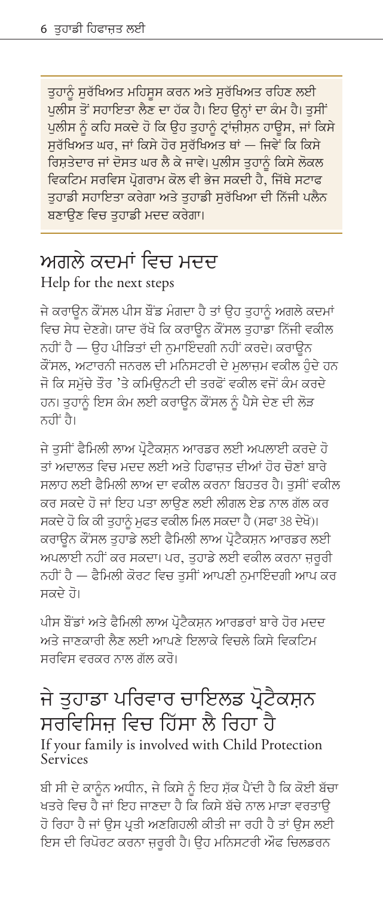<span id="page-7-0"></span>ਤਹਾਨੰ ਸਰੱਖਿਅਤ ਮਹਿਸਸ ਕਰਨ ਅਤੇ ਸਰੱਖਿਅਤ ਰਹਿਣ ਲਈ ਪਲੀਸ ਤੋਂ ਸਹਾਇਤਾ ਲੈਣ ਦਾ ਹੱਕ ਹੈ। ਇਹ ੳਨ੍ਹਾਂ ਦਾ ਕੰਮ ਹੈ। ਤਸੀਂ ਪਲੀਸ ਨੂੰ ਕਹਿ ਸਕਦੇ ਹੋ ਕਿ ਉਹ ਤਹਾਨੂੰ ਟਾਂਜੀਸ਼ਨ ਹਾਊਸ, ਜਾਂ ਕਿਸੇ ਸਰੱਖਿਅਤ ਘਰ, ਜਾਂ ਕਿਸੇ ਹੋਰ ਸਰੱਖਿਅਤ ਥਾਂ — ਜਿਵੇਂ ਕਿ ਕਿਸੇ ਰਿਸ਼ਤੇਦਾਰ ਜਾਂ ਦੋਸਤ ਘਰ ਲੈ ਕੇ ਜਾਵੇ। ਪੁਲੀਸ ਤੁਹਾਨੂੰ ਕਿਸੇ ਲੋਕਲ ਵਿਕਟਿਮ ਸਰਵਿਸ ਪੋਗਰਾਮ ਕੋਲ ਵੀ ਭੇਜ ਸਕਦੀ ਹੈ, ਜਿੱਥੇ ਸਟਾਫ ਤਹਾਡੀ ਸਹਾਇਤਾ ਕਰੇਗਾ ਅਤੇ ਤਹਾਡੀ ਸਰੱਖਿਆ ਦੀ ਨਿੱਜੀ ਪਲੈਨ ਬਣਾਉਣ ਵਿਚ ਤੁਹਾਡੀ ਮਦਦ ਕਰੇਗਾ।

# ਅਗਲੇ ਕਦਮਾਂ ਵਿਚ ਮਦਦ

Help for the next steps

ਜੇ ਕਰਾੳਨ ਕੌਂਸਲ ਪੀਸ ਬੈਂਡ ਮੰਗਦਾ ਹੈ ਤਾਂ ੳਹ ਤਹਾਨੰ ਅਗਲੇ ਕਦਮਾਂ ਵਿਚ ਸੇਧ ਦੇਣਗੇ। ਯਾਦ ਰੱਖੋ ਕਿ ਕਰਾੳਨ ਕੌਂਸਲ ਤਹਾਡਾ ਨਿੱਜੀ ਵਕੀਲ ਨਹੀਂ ਹੈ — ਉਹ ਪੀੜਿਤਾਂ ਦੀ ਨਮਾਇੰਦਗੀ ਨਹੀਂ ਕਰਦੇ। ਕਰਾਉਨ ਕੌਂਸਲ, ਅਟਾਰਨੀ ਜਨਰਲ ਦੀ ਮਨਿਸਟਰੀ ਦੇ ਮਲਾਜ਼ਮ ਵਕੀਲ ਹ<u>ੈ</u>ਦੇ ਹਨ ਜੋ ਕਿ ਸਮੱਚੇ ਤੌਰ 'ਤੇ ਕਮਿੳਨਟੀ ਦੀ ਤਰਫੋਂ ਵਕੀਲ ਵਜੋਂ ਕੰਮ ਕਰਦੇ ਹਨ। ਤੁਹਾਨੂੰ ਇਸ ਕੰਮ ਲਈ ਕਰਾਉਨ ਕੌਂਸਲ ਨੂੰ ਪੈਸੇ ਦੇਣ ਦੀ ਲੋੜ ਨਹੀਂ ਹੈ।

ਜੇ ਤਸੀਂ ਫੈਮਿਲੀ ਲਾਅ ਪ੍ਰੋਟੈਕਸ਼ਨ ਆਰਡਰ ਲਈ ਅਪਲਾਈ ਕਰਦੇ ਹੋ ਤਾਂ ਅਦਾਲਤ ਵਿਚ ਮਦਦ ਲਈ ਅਤੇ ਹਿਫਾਜਤ ਦੀਆਂ ਹੋਰ ਚੋਣਾਂ ਬਾਰੇ ਸਲਾਹ ਲਈ ਫੈਮਿਲੀ ਲਾਅ ਦਾ ਵਕੀਲ ਕਰਨਾ ਬਿਹਤਰ ਹੈ। ਤਸੀਂ ਵਕੀਲ ਕਰ ਸਕਦੇ ਹੋ ਜਾਂ ਇਹ ਪਤਾ ਲਾਉਣ ਲਈ ਲੀਗਲ ਏਡ ਨਾਲ ਗੱਲ ਕਰ ਸਕਦੇ ਹੋ ਕਿ ਕੀ ਤਹਾਨੰ ਮਫਤ ਵਕੀਲ ਮਿਲ ਸਕਦਾ ਹੈ (ਸਫਾ 38 ਦੇਖੋ)। ਕਰਾੳਨ ਕੌਂਸਲ ਤਹਾਡੇ ਲਈ ਫੈਮਿਲੀ ਲਾਅ ਪ੍ਰੋਟੈਕਸਨ ਆਰਡਰ ਲਈ ਅਪਲਾਈ ਨਹੀਂ ਕਰ ਸਕਦਾ। ਪਰ, ਤਹਾਡੇ ਲਈ ਵਕੀਲ ਕਰਨਾ ਜ਼ਰਰੀ ਨਹੀਂ ਹੈ — ਫੈਮਿਲੀ ਕੋਰਟ ਵਿਚ ਤਸੀਂ ਆਪਣੀ ਨਮਾਇੰਦਗੀ ਆਪ ਕਰ ਸਕਦੇ ਹੋ।

ਪੀਸ ਬੌਂਡਾਂ ਅਤੇ ਫੈਮਿਲੀ ਲਾਅ ਪ੍ਰੋਟੈਕਸਨ ਆਰਡਰਾਂ ਬਾਰੇ ਹੋਰ ਮਦਦ ਅਤੇ ਜਾਣਕਾਰੀ ਲੈਣ ਲਈ ਆਪਣੇ ਇਲਾਕੇ ਵਿਚਲੇ ਕਿਸੇ ਵਿਕਟਿਮ ਸਰਵਿਸ ਵਰਕਰ ਨਾਲ ਗੱਲ ਕਰੋ।

# ਜੇ ਤਹਾਡਾ ਪਰਿਵਾਰ ਚਾਇਲਡ ਪੋਟੈਕਸ਼ਨ ਸਰਵਿਸਿਜ ਵਿਚ ਹਿੱਸਾ ਲੈ ਰਿਹਾ ਹੈ

If your family is involved with Child Protection Services

ਬੀ ਸੀ ਦੇ ਕਾਨੰਨ ਅਧੀਨ, ਜੇ ਕਿਸੇ ਨੰ ਇਹ ਸ਼ੱਕ ਪੈਂਦੀ ਹੈ ਕਿ ਕੋਈ ਬੱਚਾ ਖਤਰੇ ਵਿਚ ਹੈ ਜਾਂ ਇਹ ਜਾਣਦਾ ਹੈ ਕਿ ਕਿਸੇ ਬੱਚੇ ਨਾਲ ਮਾੜਾ ਵਰਤਾੳ ਹੋ ਰਿਹਾ ਹੈ ਜਾਂ ਉਸ ਪਤੀ ਅਣਗਿਹਲੀ ਕੀਤੀ ਜਾ ਰਹੀ ਹੈ ਤਾਂ ਉਸ ਲਈ ਇਸ ਦੀ ਰਿਪੋਰਟ ਕਰਨਾ ਜਰਰੀ ਹੈ। ਉਹ ਮਨਿਸਟਰੀ ਔਫ ਚਿਲਡਰਨ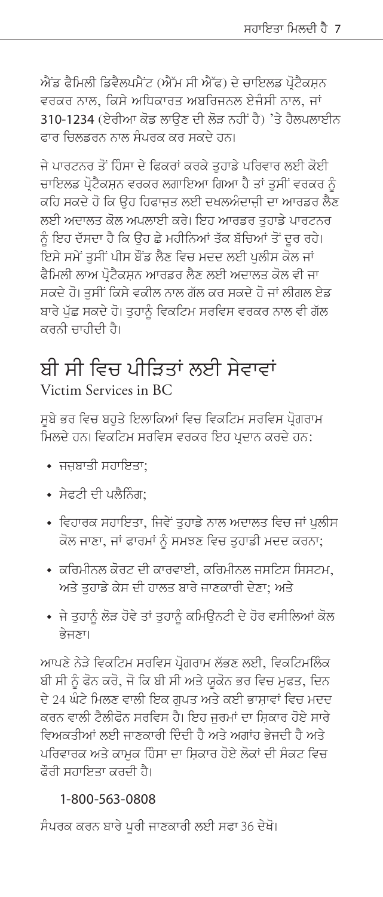<span id="page-8-0"></span>ਐਂਡ ਫੈਮਿਲੀ ਡਿਵੈਲਪਮੈਂਟ (ਐੱਮ ਸੀ ਐੱਫ) ਦੇ ਚਾਇਲਡ ਪੋਟੈਕਸੂਨ ਵਰਕਰ ਨਾਲ, ਕਿਸੇ ਅਧਿਕਾਰਤ ਅਬਰਿਜਨਲ ਏਜੰਸੀ ਨਾਲ, ਜਾਂ 310-1234 (ਏਰੀਆ ਕੋਡ ਲਾਉਣ ਦੀ ਲੋੜ ਨਹੀਂ ਹੈ) 'ਤੇ ਹੈਲਪਲਾਈਨ ਫ਼ਾਰ ਜ਼ਿਲਡਰਨ ਨਾਲ ਸੰਪਰਕ ਕਰ ਸਕਦੇ ਹਨ।

ਜੇ ਪਾਰਟਨਰ ਤੋਂ ਹਿੰਸਾ ਦੇ ਫਿਕਰਾਂ ਕਰਕੇ ਤਹਾਡੇ ਪਰਿਵਾਰ ਲਈ ਕੋਈ ਚਾਇਲਡ ਪੋਟੈਕਸ਼ਨ ਵਰਕਰ ਲਗਾਇਆ ਗਿਆ ਹੈ ਤਾਂ ਤਸੀਂ ਵਰਕਰ ਨੰ ਕਹਿ ਸਕਦੇ ਹੋ ਕਿ ੳਹ ਹਿਫਾਜਤ ਲਈ ਦਖਲਅੰਦਾਜੀ ਦਾ ਆਰਡਰ ਲੈਣ ਲਈ ਅਦਾਲਤ ਕੋਲ ਅਪਲਾਈ ਕਰੇ। ਇਹ ਆਰਡਰ ਤਹਾਡੇ ਪਾਰਟਨਰ ਨੂੰ ਇਹ ਦੱਸਦਾ ਹੈ ਕਿ ਉਹ ਛੇ ਮਹੀਨਿਆਂ ਤੱਕ ਬੱਚਿਆਂ ਤੋਂ ਦੂਰ ਰਹੇ। <sub>-</sub><br>ਇਸੇ ਸਮੇਂ ਤਸੀਂ ਪੀਸ ਬੌਂਡ ਲੈਣ ਵਿਚ ਮਦਦ ਲਈ ਪੁਲੀਸ ਕੋਲ ਜਾਂ ਫੈਮਿਲੀ ਲਾਅ ਪ੍ਰੋਟੈਕਸ਼ਨ ਆਰਡਰ ਲੈਣ ਲਈ ਅਦਾਲਤ ਕੋਲ ਵੀ ਜਾ ਸਕਦੇ ਹੋ। ਤਸੀਂ ਕਿਸੇ ਵਕੀਲ ਨਾਲ ਗੱਲ ਕਰ ਸਕਦੇ ਹੋ ਜਾਂ ਲੀਗਲ ਏਡ ਬਾਰੇ ਪੱਛ ਸਕਦੇ ਹੋ। ਤਹਾਨੰ ਵਿਕਟਿਮ ਸਰਵਿਸ ਵਰਕਰ ਨਾਲ ਵੀ ਗੱਲ ਕਰਨੀ ਚਾਹੀਦੀ ਹੈ।

## ਬੀ ਸੀ ਵਿਚ ਪੀਤਿਤਾਂ ਲਈ ਸੇਵਾਵਾਂ Victim Services in BC

ਸਬੇ ਭਰ ਵਿਚ ਬਹਤੇ ਇਲਾਕਿਆਂ ਵਿਚ ਵਿਕਟਿਮ ਸਰਵਿਸ ਪ੍ਰੋਗਰਾਮ ਮਿਲਦੇ ਹਨ। ਵਿਕਟਿਮ ਸਰਵਿਸ ਵਰਕਰ ਇਹ ਪ੍ਰਦਾਨ ਕਰਦੇ ਹਨ:

- ਜਜਬਾਤੀ ਸਹਾਇਤਾ:
- ਸੇਫਟੀ ਦੀ ਪਲੈਨਿੰਗ:
- ∙ ਵਿਹਾਰਕ ਸਹਾਇਤਾ. ਜਿਵੇਂ ਤਹਾਡੇ ਨਾਲ ਅਦਾਲਤ ਵਿਚ ਜਾਂ ਪਲੀਸ ਕੋਲ ਜਾਣਾ, ਜਾਂ ਫਾਰਮਾਂ ਨੰ ਸਮਝਣ ਵਿਚ ਤਹਾਡੀ ਮਦਦ ਕਰਨਾ;
- ਕਰਿਮੀਨਲ ਕੋਰਟ ਦੀ ਕਾਰਵਾਈ. ਕਰਿਮੀਨਲ ਜਸਟਿਸ ਸਿਸਟਮ. ਅਤੇ ਤਹਾਡੇ ਕੇਸ ਦੀ ਹਾਲਤ ਬਾਰੇ ਜਾਣਕਾਰੀ ਦੇਣਾ: ਅਤੇ
- ◆ ਜੇ ਤਹਾਨੂੰ ਲੋੜ ਹੋਵੇ ਤਾਂ ਤਹਾਨੂੰ ਕਮਿਊਨਟੀ ਦੇ ਹੋਰ ਵਸੀਲਿਆਂ ਕੋਲ ਕੇਜ਼ਣਾ।

ਆਪਣੇ ਨੇੜੇ ਵਿਕਟਿਮ ਸਰਵਿਸ ਪ੍ਰੋਗਰਾਮ ਲੱਭਣ ਲਈ, ਵਿਕਟਿਮਲਿੰਕ ਬੀ ਸੀ ਨੰ ਫੋਨ ਕਰੋ, ਜੋ ਕਿ ਬੀ ਸੀ ਅਤੇ ਯਕੋਨ ਭਰ ਵਿਚ ਮਫਤ, ਦਿਨ ਦੇ 24 ਘੰਟੇ ਮਿਲਣ ਵਾਲੀ ਇਕ ਗੁਪਤ ਅਤੇ ਕਈ ਭਾਸ਼ਾਵਾਂ ਵਿਚ ਮਦਦ ਕਰਨ ਵਾਲੀ ਟੈਲੀਫੋਨ ਸਰਵਿਸ ਹੈ। ਇਹ ਜਰਮਾਂ ਦਾ ਸ਼ਿਕਾਰ ਹੋਏ ਸਾਰੇ ਵਿਅਕਤੀਆਂ ਲਈ ਜਾਣਕਾਰੀ ਦਿੰਦੀ ਹੈ ਅਤੇ ਅਗਾਂਹ ਭੇਜ਼ਦੀ ਹੈ ਅਤੇ ਪਰਿਵਾਰਕ ਅਤੇ ਕਾਮਕ ਹਿੰਸਾ ਦਾ ਸ਼ਿਕਾਰ ਹੋਏ ਲੋਕਾਂ ਦੀ ਸੰਕਟ ਵਿਚ ਫ਼ੌਰੀ ਸਹਾਇਤਾ ਕਰਦੀ ਹੈ।

#### 1-800-563-0808

ਸੰਪਰਕ ਕਰਨ ਬਾਰੇ ਪੂਰੀ ਜਾਣਕਾਰੀ ਲਈ ਸਫਾ 36 ਦੇਖੋ।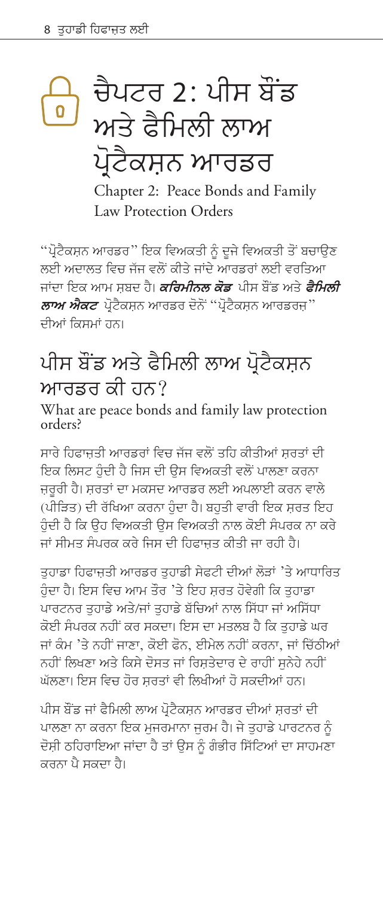# <span id="page-9-0"></span>ਚੈਪਟਰ 2: ਪੀਸ ਬੌਂਡ ਅਤੇ ਫੈਮਿਲੀ ਲਾਅ ਪ੍ਰੋਟੈਕਸ਼ਨ ਆਰਡਰ Chapter 2: Peace Bonds and Family

**Law Protection Orders** 

"ਪ੍ਰੋਟੈਕਸਨ ਆਰਡਰ" ਇਕ ਵਿਅਕਤੀ ਨੰ ਦਜੇ ਵਿਅਕਤੀ ਤੋਂ ਬਚਾੳਣ ਲਈ ਅਦਾਲਤ ਵਿਚ ਜੱਜ ਵਲੋਂ ਕੀਤੇ ਜਾਂਦੇ ਆਰਡਰਾਂ ਲਈ ਵਰਤਿਆ ਜਾਂਦਾ ਇਕ ਆਮ ਸਬਦ ਹੈ। **ਕਰਿਮੀਨਲ ਕੋਡ** ਪੀਸ ਬੌਂਡ ਅਤੇ *ਫੈਮਿਲੀ ਲਾਅ ਐਕਟ* ਪ੍ਰੋਟੈਕਸਨ ਆਰਡਰ ਦੋਨੋਂ ''ਪ੍ਰੋਟੈਕਸਨ ਆਰਡਰਜ਼'' ਦੀਆਂ ਕਿਸਮਾਂ ਹਨ।

# ਪੀਸ ਬੌਂਡ ਅਤੇ ਫੈਮਿਲੀ ਲਾਅ ਪੋਟੈਕਸੂਨ ਆਰਡਰ ਕੀ ਹਨ?

What are peace bonds and family law protection orders?

ਸਾਰੇ ਹਿਫਾਜਤੀ ਆਰਡਰਾਂ ਵਿਚ ਜੱਜ ਵਲੋਂ ਤਹਿ ਕੀਤੀਆਂ ਸਰਤਾਂ ਦੀ ਇਕ ਲਿਸਟ ਹੋਦੀ ਹੈ ਜਿਸ ਦੀ ਉਸ ਵਿਅਕਤੀ ਵਲੋਂ ਪਾਲਣਾ ਕਰਨਾ ਜ਼ਰਰੀ ਹੈ। ਸਰਤਾਂ ਦਾ ਮਕਸਦ ਆਰਡਰ ਲਈ ਅਪਲਾਈ ਕਰਨ ਵਾਲੇ (ਪੀੜਿਤ) ਦੀ ਰੱਖਿਆ ਕਰਨਾ ਹੈਦਾ ਹੈ। ਬਹਤੀ ਵਾਰੀ ਇਕ ਸੂਰਤ ਇਹ ਹੰਦੀ ਹੈ ਕਿ ਉਹ ਵਿਅਕਤੀ ਉਸ ਵਿਅਕਤੀ ਨਾਲ ਕੋਈ ਸੰਪਰਕ ਨਾ ਕਰੇ ਜਾਂ ਸੀਮਤ ਸੰਪਰਕ ਕਰੇ ਜਿਸ ਦੀ ਹਿਫਾਜ਼ਤ ਕੀਤੀ ਜਾ ਰਹੀ ਹੈ।

ਤੁਹਾਡਾ ਹਿਫਾਜ਼ਤੀ ਆਰਡਰ ਤੁਹਾਡੀ ਸੇਫਟੀ ਦੀਆਂ ਲੋੜਾਂ 'ਤੇ ਆਧਾਰਿਤ ਹੰਦਾ ਹੈ। ਇਸ ਵਿਚ ਆਮ ਤੌਰ 'ਤੇ ਇਹ ਸੂਰਤ ਹੋਵੇਗੀ ਕਿ ਤਹਾਡਾ ਪਾਰਟਨਰ ਤਹਾਡੇ ਅਤੇ/ਜਾਂ ਤਹਾਡੇ ਬੱਚਿਆਂ ਨਾਲ ਸਿੱਧਾ ਜਾਂ ਅਸਿੱਧਾ ਕੋਈ ਸੰਪਰਕ ਨਹੀਂ ਕਰ ਸਕਦਾ। ਇਸ ਦਾ ਮਤਲਬ ਹੈ ਕਿ ਤਹਾਡੇ ਘਰ ਜਾਂ ਕੰਮ 'ਤੇ ਨਹੀਂ ਜਾਣਾ, ਕੋਈ ਫੋਨ, ਈਮੇਲ ਨਹੀਂ ਕਰਨਾ, ਜਾਂ ਚਿੱਠੀਆਂ ਨਹੀਂ ਲਿਖਣਾ ਅਤੇ ਕਿਸੇ ਦੋਸਤ ਜਾਂ ਰਿਸਤੇਦਾਰ ਦੇ ਰਾਹੀਂ ਸਨੇਹੇ ਨਹੀਂ ਘੱਲਣਾ। ਇਸ ਵਿਚ ਹੋਰ ਸਰਤਾਂ ਵੀ ਲਿਖੀਆਂ ਹੋ ਸਕਦੀਆਂ ਹਨ।

ਪੀਸ ਬੌਂਡ ਜਾਂ ਫੈਮਿਲੀ ਲਾਅ ਪ੍ਰੋਟੈਕਸਨ ਆਰਡਰ ਦੀਆਂ ਸਰਤਾਂ ਦੀ ਪਾਲਣਾ ਨਾ ਕਰਨਾ ਇਕ ਮਜਰਮਾਨਾ ਜਰਮ ਹੈ। ਜੇ ਤਹਾਡੇ ਪਾਰਟਨਰ ਨੰ ਦੋਸ਼ੀ ਠਹਿਰਾਇਆ ਜਾਂਦਾ ਹੈ ਤਾਂ ਉਸ ਨੰ ਗੰਭੀਰ ਸਿੱਟਿਆਂ ਦਾ ਸਾਹਮਣਾ ਕਰਨਾ ਪੈ ਸਕਦਾ ਹੈ।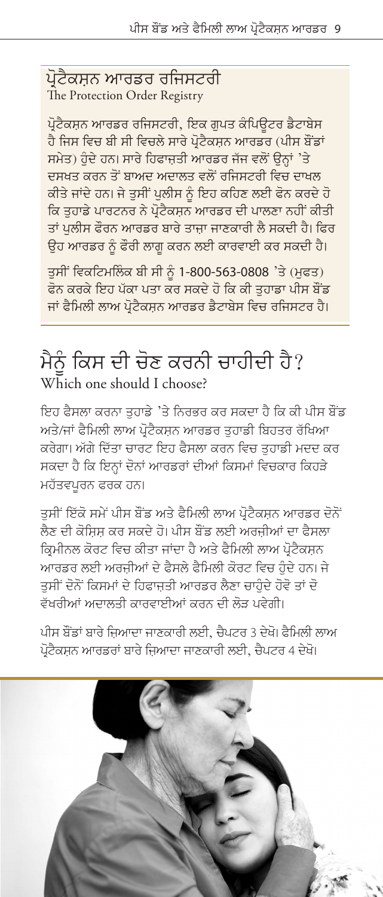#### <span id="page-10-0"></span>ਪ੍ਰੋਟੈਕਸ਼ਨ ਆਰਡਰ ਰਜਿਸਟਰੀ The Protection Order Registry

ਪ੍ਰੋਟੈਕਸ਼ਨ ਆਰਡਰ ਰਜਿਸਟਰੀ, ਇਕ ਗਪਤ ਕੰਪਿੳਟਰ ਡੈਟਾਬੇਸ ਹੈ ਜਿਸ ਵਿਚ ਬੀ ਸੀ ਵਿਚਲੇ ਸਾਰੇ ਪ੍ਰੋਟੈਕਸਨ ਆਰਡਰ (ਪੀਸ ਬੌਂਡਾਂ ਸਮੇਤ) ਹੁੰਦੇ ਹਨ। ਸਾਰੇ ਹਿਫਾਜ਼ਤੀ ਆਰਡਰ ਜੱਜ ਵਲੋਂ ੳਨ੍ਹਾਂ 'ਤੇ ਦਸਖਤ ਕਰਨ ਤੋਂ ਬਾਅਦ ਅਦਾਲਤ ਵਲੋਂ ਰਜਿਸਟਰੀ ਵਿਚ ਦਾਖਲ ਕੀਤੇ ਜਾਂਦੇ ਹਨ। ਜੇ ਤੁਸੀਂ ਪੁਲੀਸ ਨੂੰ ਇਹ ਕਹਿਣ ਲਈ ਫੋਨ ਕਰਦੇ ਹੋ ਕਿ ਤਹਾਡੇ ਪਾਰਟਨਰ ਨੇ ਪ੍ਰੋਟੈਕਸ਼ਨ ਆਰਡਰ ਦੀ ਪਾਲਣਾ ਨਹੀਂ ਕੀਤੀ ਤਾਂ ਪਲੀਸ ਫੌਰਨ ਆਰਡਰ ਬਾਰੇ ਤਾਜ਼ਾ ਜਾਣਕਾਰੀ ਲੈ ਸਕਦੀ ਹੈ। ਫਿਰ ਉਹ ਆਰਡਰ ਨੂੰ ਫੌਰੀ ਲਾਗੂ ਕਰਨ ਲਈ ਕਾਰਵਾਈ ਕਰ ਸਕਦੀ ਹੈ।

ਤੁਸੀਂ ਵਿਕਟਿਮਲਿੰਕ ਬੀ ਸੀ ਨੂੰ 1-800-563-0808 'ਤੇ (ਮੁਫਤ) .<br>ਫੋਨ ਕਰਕੇ ਇਹ ਪੱਕਾ ਪਤਾ ਕਰ ਸਕਦੇ ਹੋ ਕਿ ਕੀ ਤਹਾਡਾ ਪੀਸ ਬੋਂਡ ਜਾਂ ਫੈਮਿਲੀ ਲਾਅ ਪ੍ਰੋਟੈਕਸ਼ਨ ਆਰਡਰ ਡੈਟਾਬੇਸ ਵਿਚ ਰਜਿਸਟਰ ਹੈ।

## ਮੈਨੰ ਕਿਸ ਦੀ ਚੋਣ ਕਰਨੀ ਚਾਹੀਦੀ ਹੈ? Which one should I choose?

ਇਹ ਫੈਸਲਾ ਕਰਨਾ ਤਹਾਡੇ 'ਤੇ ਨਿਰਭਰ ਕਰ ਸਕਦਾ ਹੈ ਕਿ ਕੀ ਪੀਸ ਬੌਂਡ ਅਤੇ/ਜਾਂ ਫੈਮਿਲੀ ਲਾਅ ਪ੍ਰੋਟੈਕਸ਼ਨ ਆਰਡਰ ਤੁਹਾਡੀ ਬਿਹਤਰ ਰੱਖਿਆ ਕਰੇਗਾ। ਅੱਗੇ ਦਿੱਤਾ ਚਾਰਟ ਇਹ ਫੈਸਲਾ ਕਰਨ ਵਿਚ ਤਹਾਡੀ ਮਦਦ ਕਰ ਸਕਦਾ ਹੈ ਕਿ ਇਨ੍ਹਾਂ ਦੋਨਾਂ ਆਰਡਰਾਂ ਦੀਆਂ ਕਿਸਮਾਂ ਵਿਚਕਾਰ ਕਿਹੜੇ ਮਹੱਤਵਪੂਰਨ ਫਰਕ ਹਨ।

ਤਸੀਂ ਇੱਕੋ ਸਮੇਂ ਪੀਸ ਬੌਂਡ ਅਤੇ ਫੈਮਿਲੀ ਲਾਅ ਪ੍ਰੋਟੈਕਸ਼ਨ ਆਰਡਰ ਦੋਨੋਂ ਲੈਣ ਦੀ ਕੋਸ਼ਿਸ਼ ਕਰ ਸਕਦੇ ਹੋ। ਪੀਸ ਬੌਂਡ ਲਈ ਅਰਜੀਆਂ ਦਾ ਫੈਸਲਾ ਕ੍ਰਿਮੀਨਲ ਕੋਰਟ ਵਿਚ ਕੀਤਾ ਜਾਂਦਾ ਹੈ ਅਤੇ ਫੈਮਿਲੀ ਲਾਅ ਪ੍ਰੋਟੈਕਸ਼ਨ ਆਰਡਰ ਲਈ ਅਰਜੀਆਂ ਦੇ ਫੈਸਲੇ ਫੈਮਿਲੀ ਕੋਰਟ ਵਿਚ ਹੋਦੇ ਹਨ। ਜੇ ਤਸੀਂ ਦੋਨੋਂ ਕਿਸਮਾਂ ਦੇ ਹਿਫਾਜਤੀ ਆਰਡਰ ਲੈਣਾ ਚਾਹੁੰਦੇ ਹੋਵੋ ਤਾਂ ਦੋ ਵੱਖਰੀਆਂ ਅਦਾਲਤੀ ਕਾਰਵਾਈਆਂ ਕਰਨ ਦੀ ਲੋਤ ਪਵੇਗੀ।

ਪੀਸ ਬੌਂਡਾਂ ਬਾਰੇ ਜ਼ਿਆਦਾ ਜਾਣਕਾਰੀ ਲਈ, ਚੈਪਟਰ 3 ਦੇਖੋ। ਫੈਮਿਲੀ ਲਾਅ ਪ੍ਰੋਟੈਕਸਨ ਆਰਡਰਾਂ ਬਾਰੇ ਜ਼ਿਆਦਾ ਜਾਣਕਾਰੀ ਲਈ, ਚੈਪਟਰ 4 ਦੇਖੋ।

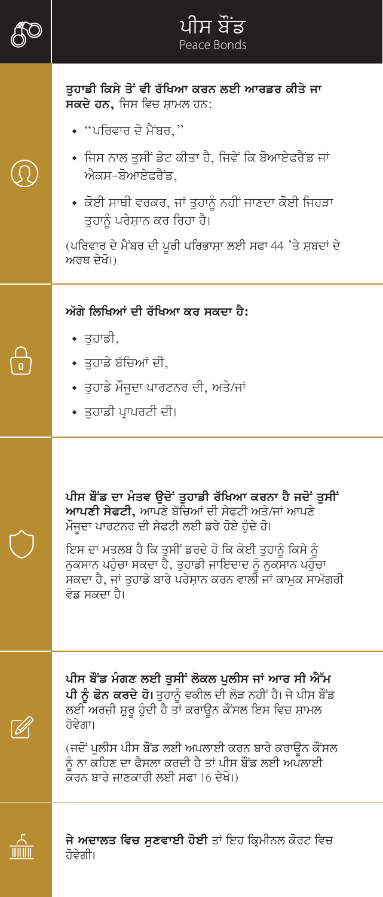| ਪੀਸ ਬੰਡ<br>Peace Bonds                                                                                                                                                                                                                                                                                                                                   |
|----------------------------------------------------------------------------------------------------------------------------------------------------------------------------------------------------------------------------------------------------------------------------------------------------------------------------------------------------------|
| ਤੁਹਾਡੀ ਕਿਸੇ ਤੋਂ ਵੀ ਰੱਖਿਆ ਕਰਨ ਲਈ ਆਰਡਰ ਕੀਤੇ ਜਾ<br>ਸਕਦੇ ਹਨ, ਜਿਸ ਵਿਚ ਸ਼ਾਮਲ ਹਨ:<br>∙ "ਪਰਿਵਾਰ ਦੇ ਮੈਂਬਰ,"<br>◆ ਜਿਸ ਨਾਲ ਤੁਸੀਂ ਡੇਟ ਕੀਤਾ ਹੈ, ਜਿਵੇਂ ਕਿ ਬੋਆਏਫਰੈਂਡ ਜਾਂ<br>ਐਕਸ-ਬੋਆਏਫਰੈਂਡ.<br>∙ ਕੋਈ ਸਾਥੀ ਵਰਕਰ, ਜਾਂ ਤੁਹਾਨੂੰ ਨਹੀਂ ਜਾਣਦਾ ਕੋਈ ਜਿਹੜਾ<br>ਤੁਹਾਨੂੰ ਪਰੇਸ਼ਾਨ ਕਰ ਰਿਹਾ ਹੈ।<br>(ਪਰਿਵਾਰ ਦੇ ਮੈਂਬਰ ਦੀ ਪੂਰੀ ਪਰਿਭਾਸ਼ਾ ਲਈ ਸਫਾ 44 'ਤੇ ਸ਼ਬਦਾਂ ਦੇ<br>ਅਰਥ ਦੇਖੋ।)               |
| ਅੱਗੇ ਲਿਖਿਆਂ ਦੀ ਰੱਖਿਆ ਕਰ ਸਕਦਾ ਹੈ:<br>∙ ਤੁਹਾਡੀ,<br>• ਤੁਹਾਡੇ ਬੱਚਿਆਂ ਦੀ,<br>◆ ਤੁਹਾਡੇ ਮੌਜੂਦਾ ਪਾਰਟਨਰ ਦੀ, ਅਤੇ/ਜਾਂ<br>◆ ਤੁਹਾਡੀ ਪ੍ਰਾਪਰਟੀ ਦੀ।                                                                                                                                                                                                                      |
| ਪੀਸ ਬੋਂਡ ਦਾ ਮੰਤਵ ਉਦੋਂ ਤੁਹਾਡੀ ਰੱਖਿਆ ਕਰਨਾ ਹੈ ਜਦੋਂ ਤੁਸੀਂ<br>ਆਪਣੀ ਸੇਫਟੀ, ਆਪਣੇ ਬੱਚਿਆਂ ਦੀ ਸੇਫਟੀ ਅਤੇ/ਜਾਂ ਆਪਣੇ<br>ਮੌਜੂਦਾ ਪਾਰਟਨਰ ਦੀ ਸੇਫਟੀ ਲਈ ਡਰੇ ਹੋਏ ਹੁੰਦੇ ਹੋ।<br>ਇਸ ਦਾ ਮਤਲਬ ਹੈ ਕਿ ਤੁਸੀਂ ਡਰਦੇ ਹੋ ਕਿ ਕੋਈ ਤੁਹਾਨੂੰ ਕਿਸੇ ਨੂੰ<br>ਨੁਕਸਾਨ ਪਹੁੰਚਾ ਸਕਦਾ ਹੈ, ਤੁਹਾਡੀ ਜਾਇਦਾਦ ਨੂੰ ਨੁਕਸਾਨ ਪਹੁੰਚਾ<br>ਸਕਦਾ ਹੈ, ਜਾਂ ਤੁਹਾਡੇ ਬਾਰੇ ਪਰੇਸ਼ਾਨ ਕਰਨ ਵਾਲੀ ਜਾਂ ਕਾਮੁਕ ਸਾਮੱਗਰੀ<br>ਵੰਡ ਸਕਦਾ ਹੈ। |
| ਪੀਸ ਬੋਂਡ ਮੰਗਣ ਲਈ ਤੁਸੀਂ ਲੋਕਲ ਪੁਲੀਸ ਜਾਂ ਆਰ ਸੀ ਐੱਮ<br>ਪੀ ਨੂੰ ਫੋਨ ਕਰਦੇ ਹੋ। ਤੁਹਾਨੂੰ ਵਕੀਲ ਦੀ ਲੋੜ ਨਹੀਂ ਹੈ। ਜੇ ਪੀਸ ਬੌਂਡ<br>ਲਈ ਅਰਜੀ ਸ਼ੁਰੂ ਹੁੰਦੀ ਹੈ ਤਾਂ ਕਰਾਉਨ ਕੌਂਸਲ ਇਸ ਵਿਚ ਸ਼ਾਮਲ<br>ਹੋਵੇਗਾ।<br>(ਜਦੋਂ ਪੁਲੀਸ ਪੀਸ ਬੌਂਡ ਲਈ ਅਪਲਾਈ ਕਰਨ ਬਾਰੇ ਕਰਾਉਨ ਕੌਂਸਲ<br>ਨੂੰ ਨਾ ਕਹਿਣ ਦਾ ਫੈਸਲਾ ਕਰਦੀ ਹੈ ਤਾਂ ਪੀਸ ਬੌਂਡ ਲਈ ਅਪਲਾਈ<br>ਕਰਨ ਬਾਰੇ ਜਾਣਕਾਰੀ ਲਈ ਸਫਾ 16 ਦੇਖੋ।)                       |
| ਜੇ ਅਦਾਲਤ ਵਿਚ ਸੁਣਵਾਈ ਹੋਈ ਤਾਂ ਇਹ ਕ੍ਰਿਮੀਨਲ ਕੋਰਟ ਵਿਚ<br>ਹੋਵੇਗੀ।                                                                                                                                                                                                                                                                                              |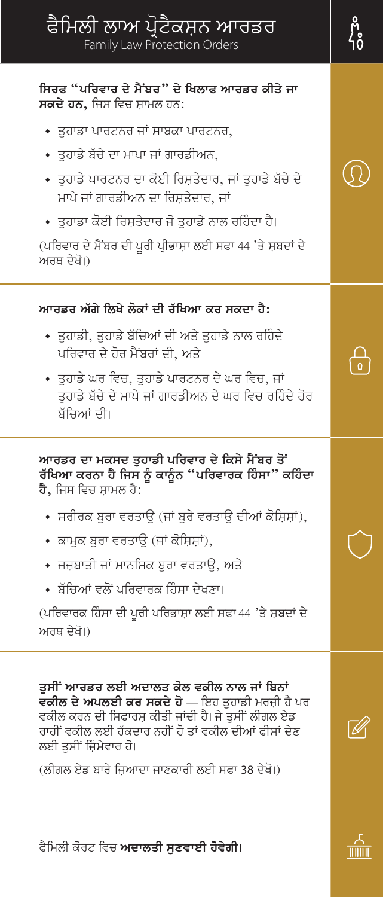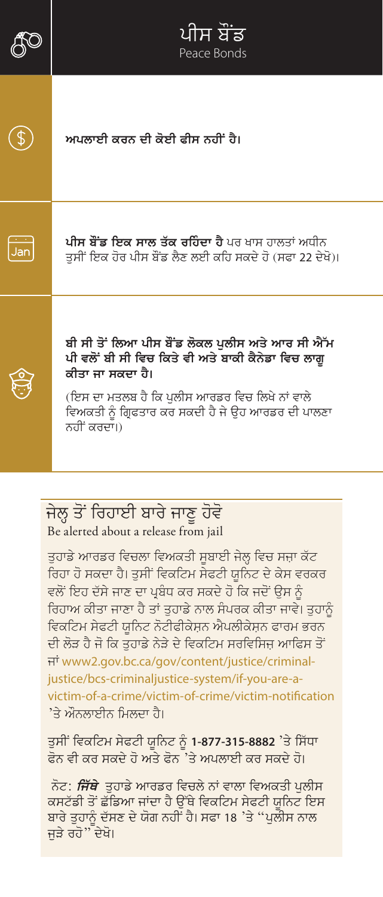|     | ਪੀਸ ਬੌਂਡ<br>Peace Bonds                                                                                                                                                                                                                          |
|-----|--------------------------------------------------------------------------------------------------------------------------------------------------------------------------------------------------------------------------------------------------|
|     | ਅਪਲਾਈ ਕਰਨ ਦੀ ਕੋਈ ਫੀਸ ਨਹੀਂ ਹੈ।                                                                                                                                                                                                                    |
| Jan | <b>ਪੀਸ ਬੋਂਡ ਇਕ ਸਾਲ ਤੱਕ ਰਹਿੰਦਾ ਹੈ</b> ਪਰ ਖਾਸ ਹਾਲਤਾਂ ਅਧੀਨ<br>ਤੁਸੀਂ ਇਕ ਹੋਰ ਪੀਸ ਬੌਂਡ ਲੈਣ ਲਈ ਕਹਿ ਸਕਦੇ ਹੋ (ਸਫਾ 22 ਦੇਖੋ)।                                                                                                                               |
|     | ਬੀ ਸੀ ਤੋਂ ਲਿਆ ਪੀਸ ਬੋਂਡ ਲੋਕਲ ਪੁਲੀਸ ਅਤੇ ਆਰ ਸੀ ਐੱਮ<br>ਪੀ ਵਲੋਂ ਬੀ ਸੀ ਵਿਚ ਕਿਤੇ ਵੀ ਅਤੇ ਬਾਕੀ ਕੈਨੇਡਾ ਵਿਚ ਲਾਗੁ<br>ਕੀਤਾ ਜਾ ਸਕਦਾ ਹੈ।<br>(ਇਸ ਦਾ ਮਤਲਬ ਹੈ ਕਿ ਪੁਲੀਸ ਆਰਡਰ ਵਿਚ ਲਿਖੇ ਨਾਂ ਵਾਲੇ<br>ਵਿਅਕਤੀ ਨੂੰ ਗ੍ਰਿਫਤਾਰ ਕਰ ਸਕਦੀ ਹੈ ਜੇ ਉਹ ਆਰਡਰ ਦੀ ਪਾਲਣਾ<br>ਨਹੀਂ ਕਰਦਾ।) |

#### ਜੇਲ੍ਹ ਤੋਂ ਰਿਹਾਈ ਬਾਰੇ ਜਾਣੂ ਹੋਵੋ Be alerted about a release from jail

ਤਹਾਡੇ ਆਰਡਰ ਵਿਚਲਾ ਵਿਅਕਤੀ ਸਬਾਈ ਜੇਲ੍ਹ ਵਿਚ ਸਜ਼ਾ ਕੱਟ ਰਿਹਾ ਹੋ ਸਕਦਾ ਹੈ। ਤਸੀਂ ਵਿਕਟਿਮ ਸੇਫਟੀ ਯੂਨਿਟ ਦੇ ਕੇਸ ਵਰਕਰ ਵਲੋਂ ਇਹ ਦੱਸੇ ਜਾਣ ਦਾ ਪ੍ਰਬੰਧ ਕਰ ਸਕਦੇ ਹੋ ਕਿ ਜਦੋਂ ਉਸ ਨੂੰ ਰਿਹਾਅ ਕੀਤਾ ਜਾਣਾ ਹੈ ਤਾਂ ਤਹਾਡੇ ਨਾਲ ਸੰਪਰਕ ਕੀਤਾ ਜਾਵੇ। ਤਹਾਨੰ ਵਿਕਟਿਮ ਸੇਫਟੀ ਯਨਿਟ ਨੋਟੀਫੀਕੇਸ਼ਨ ਐਪਲੀਕੇਸ਼ਨ ਫਾਰਮ ਭਰਨ ਦੀ ਲੋੜ ਹੈ ਜੋ ਕਿ ਤਹਾਡੇ ਨੇੜੇ ਦੇ ਵਿਕਟਿਮ ਸਰਵਿਸਿਜ ਆਫਿਸ ਤੋਂ 규 www2.gov.bc.ca/gov/content/justice/criminaljustice/bcs-criminaljustice-system/if-you-are-avictim-of-a-crime/victim-of-crime/victim-notification 'ਤੇ ਔਨਲਾਈਨ ਮਿਲਦਾ ਹੈ।

ਤੁਸੀਂ ਵਿਕਟਿਮ ਸੇਫਟੀ ਯੂਨਿਟ ਨੂੰ 1-877-315-8882 'ਤੇ ਸਿੱਧਾ ਫੋਨ ਵੀ ਕਰ ਸਕਦੇ ਹੋ ਅਤੇ ਫੋਨ 'ਤੇ ਅਪਲਾਈ ਕਰ ਸਕਦੇ ਹੋ।

ਨੋਟ: *ਜਿੱਥੇ ਤ*ਹਾਡੇ ਆਰਡਰ ਵਿਚਲੇ ਨਾਂ ਵਾਲਾ ਵਿਅਕਤੀ ਪਲੀਸ ਕਸਟੱਡੀ ਤੋਂ ਛੱਡਿਆ ਜਾਂਦਾ ਹੈ ਉੱਥੇ ਵਿਕਟਿਮ ਸੇਫਟੀ ਯੂਨਿਟ ਇਸ ਬਾਰੇ ਤੁਹਾਨੂੰ ਦੱਸਣ ਦੇ ਯੋਗ ਨਹੀਂ ਹੈ। ਸਫਾ 18 'ਤੇ "ਪੁਲੀਸ ਨਾਲ ਜੁੜੇ ਰਹੋ" ਦੇਖੋ।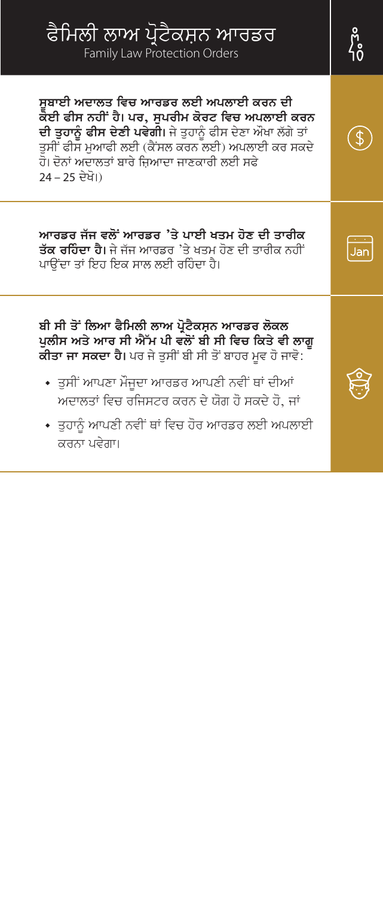# <u>ਫੈਮਿਲੀ ਲਾਅ ਪ੍ਰੋਟੈਕਸ਼ਨ ਆਰਡਰ</u>

Family Law Protection Orders

ਸੁਬਾਈ ਅਦਾਲਤ ਵਿਚ ਆਰਡਰ ਲਈ ਅਪਲਾਈ ਕਰਨ ਦੀ ਕੋਈ ਫੀਸ ਨਹੀਂ ਹੈ। ਪਰ, ਸੁਪਰੀਮ ਕੋਰਟ ਵਿਚ ਅਪਲਾਈ ਕਰਨ ਦੀ ਤੁਹਾਨੂੰ ਫੀਸ ਦੇਣੀ ਪਵੇਗੀ। ਜੇ ਤੁਹਾਨੂੰ ਫੀਸ ਦੇਣਾ ਔਖਾ ਲੱਗੇ ਤਾਂ ਤਸੀਂ ਫੀਸ ਮਆਫੀ ਲਈ (ਕੈਂਸਲ ਕਰਨ ਲਈ) ਅਪਲਾਈ ਕਰ ਸਕਦੇ ਹੋ। ਦੋਨਾਂ ਅਦਾਲਤਾਂ ਬਾਰੇ ਜਿਆਦਾ ਜਾਣਕਾਰੀ ਲਈ ਸਫੇ 24 – 25 ਦੇਖੋ।)

ਆਰਡਰ ਜੱਜ ਵਲੋਂ ਆਰਡਰ 'ਤੇ ਪਾਈ ਖਤਮ ਹੋਣ ਦੀ ਤਾਰੀਕ ਤੱਕ ਰਹਿੰਦਾ ਹੈ। ਜੇ ਜੱਜ ਆਰਡਰ 'ਤੇ ਖਤਮ ਹੋਣ ਦੀ ਤਾਰੀਕ ਨਹੀਂ ਪਾੳਂਦਾ ਤਾਂ ਇਹ ਇਕ ਸਾਲ ਲਈ ਰਹਿੰਦਾ ਹੈ।

ਬੀ ਸੀ ਤੋਂ ਲਿਆ ਫੈਮਿਲੀ ਲਾਅ ਪ੍ਰੋਟੈਕਸਨ ਆਰਡਰ ਲੋਕਲ ਪੁਲੀਸ ਅਤੇ ਆਰ ਸੀ ਐੱਮ ਪੀ ਵਲੋਂ ਬੀ ਸੀ ਵਿਚ ਕਿਤੇ ਵੀ ਲਾਗੁ -<br>**ਕੀਤਾ ਜਾ ਸਕਦਾ ਹੈ।** ਪਰ ਜੇ ਤੁਸੀਂ ਬੀ ਸੀ ਤੋਂ ਬਾਹਰ ਮੁਵ ਹੋ ਜਾਵੋ:

- ਤੁਸੀਂ ਆਪਣਾ ਮੌਜੂਦਾ ਆਰਡਰ ਆਪਣੀ ਨਵੀਂ ਥਾਂ ਦੀਆਂ ਅਦਾਲਤਾਂ ਵਿਚ ਰਜਿਸਟਰ ਕਰਨ ਦੇ ਯੋਗ ਹੋ ਸਕਦੇ ਹੋ, ਜਾਂ
- ਤਹਾਨੰ ਆਪਣੀ ਨਵੀਂ ਥਾਂ ਵਿਚ ਹੋਰ ਆਰਡਰ ਲਈ ਅਪਲਾਈ ਕਰਨਾ ਪਵੇਗਾ।

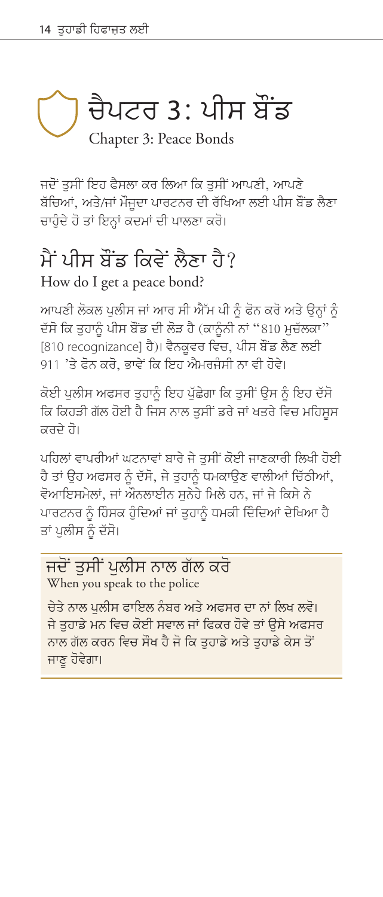# <span id="page-15-0"></span>ਚੈਪਟਰ 3∶ ਪੀਸ ਬੌਂਡ Chapter 3: Peace Bonds

ਜਦੋਂ ਤਸੀਂ ਇਹ ਫੈਸਲਾ ਕਰ ਲਿਆ ਕਿ ਤਸੀਂ ਆਪਣੀ, ਆਪਣੇ ਬੱਚਿਆਂ, ਅਤੇ/ਜਾਂ ਮੌਜੂਦਾ ਪਾਰਟਨਰ ਦੀ ਰੱਖਿਆ ਲਈ ਪੀਸ ਬੌਂਡ ਲੈਣਾ ਚਾਹੁੰਦੇ ਹੋ ਤਾਂ ਇਨ੍ਹਾਂ ਕਦਮਾਂ ਦੀ ਪਾਲਣਾ ਕਰੋ।

## ਮੈਂ ਪੀਸ ਸ਼ੌਂਡ ਕਿਵੇਂ ਲੈਣਾ ਹੈ*?* How do I get a peace bond?

ਆਪਣੀ ਲੋਕਲ ਪਲੀਸ ਜਾਂ ਆਰ ਸੀ ਐੱਮ ਪੀ ਨੂੰ ਫੋਨ ਕਰੋ ਅਤੇ ਉਨ੍ਹਾਂ ਨੂੰ ਦੱਸੋ ਕਿ ਤਹਾਨੂੰ ਪੀਸ ਬੌਂਡ ਦੀ ਲੋੜ ਹੈ (ਕਾਨੂੰਨੀ ਨਾਂ "810 ਮਚੱਲਕਾ" [810 recognizance] ਹੈ)। ਵੈਨਕਵਰ ਵਿਚ, ਪੀਸ ਬੌਂਡ ਲੈਣ ਲਈ 911 'ਤੇ ਫੋਨ ਕਰੋ. ਭਾਵੇਂ ਕਿ ਇਹ ਐਮਰਜੰਸੀ ਨਾ ਵੀ ਹੋਵੇ।

ਕੋਈ ਪੁਲੀਸ ਅਫਸਰ ਤੁਹਾਨੂੰ ਇਹ ਪੁੱਛੇਗਾ ਕਿ ਤੁਸੀਂ ਉਸ ਨੂੰ ਇਹ ਦੱਸੋ ਕਿ ਕਿਹੜੀ ਗੱਲ ਹੋਈ ਹੈ ਜਿਸ ਨਾਲ ਤਸੀਂ ਡਰੇ ਜਾਂ ਖਤਰੇ ਵਿਚ ਮਹਿਸਸ ਕਰਦੇ ਹੋ।

ਪਹਿਲਾਂ ਵਾਪਰੀਆਂ ਘਟਨਾਵਾਂ ਬਾਰੇ ਜੇ ਤਸੀਂ ਕੋਈ ਜਾਣਕਾਰੀ ਲਿਖੀ ਹੋਈ ਹੈ ਤਾਂ ੳਹ ਅਫਸਰ ਨੰ ਦੱਸੋ, ਜੇ ਤਹਾਨੰ ਧਮਕਾੳਣ ਵਾਲੀਆਂ ਚਿੱਠੀਆਂ, ਵੋਆਇਸਮੇਲਾਂ, ਜਾਂ ਔਨਲਾਈਨ ਸੁਨੇਹੇ ਮਿਲੇ ਹਨ, ਜਾਂ ਜੇ ਕਿਸੇ ਨੇ ਪਾਰਟਨਰ ਨੂੰ ਹਿੰਸਕ ਹੁੰਦਿਆਂ ਜਾਂ ਤੁਹਾਨੂੰ ਧਮਕੀ ਦਿੰਦਿਆਂ ਦੇਖਿਆ ਹੈ ਤਾਂ ਪਲੀਸ ਨੂੰ ਦੱਸੋ।

#### ਜਦੋਂ ਤਸੀਂ ਪਲੀਸ ਨਾਲ ਗੱਲ ਕਰੋ When you speak to the police

ਚੇਤੇ ਨਾਲ ਪਲੀਸ ਫਾਇਲ ਨੰਬਰ ਅਤੇ ਅਫਸਰ ਦਾ ਨਾਂ ਲਿਖ ਲਵੋ। ਜੇ ਤਹਾਡੇ ਮਨ ਵਿਚ ਕੋਈ ਸਵਾਲ ਜਾਂ ਫਿਕਰ ਹੋਵੇ ਤਾਂ ੳਸੇ ਅਫਸਰ ਨਾਲ ਗੱਲ ਕਰਨ ਵਿਚ ਸੌਖ ਹੈ ਜੋ ਕਿ ਤਹਾਡੇ ਅਤੇ ਤਹਾਡੇ ਕੇਸ ਤੋਂ ਜਾਣੂ ਹੋਵੇਗਾ।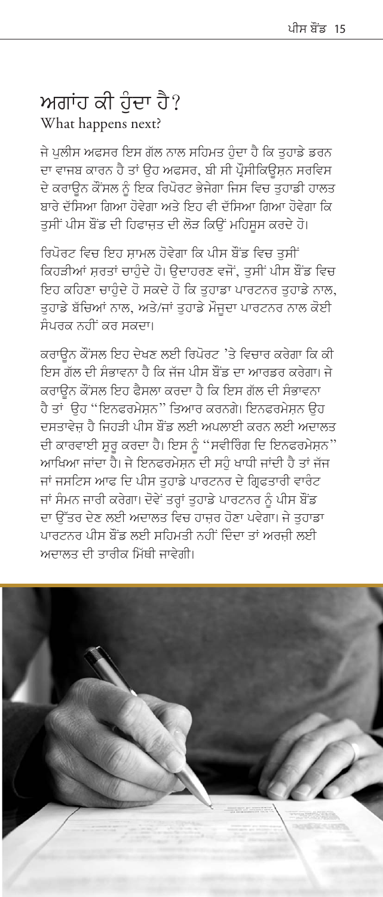# <span id="page-16-0"></span>ਅਗਾਂਹ ਕੀ ਹੰਦਾ ਹੈ?

What happens next?

ਜੇ ਪਲੀਸ ਅਫਸਰ ਇਸ ਗੱਲ ਨਾਲ ਸਹਿਮਤ ਹੈਦਾ ਹੈ ਕਿ ਤਹਾਡੇ ਡਰਨ ਦਾ ਵਾਜਬ ਕਾਰਨ ਹੈ ਤਾਂ ਉਹ ਅਫਸਰ, ਬੀ ਸੀ ਪ੍ਰੌਸੀਕਿਊਸ਼ਨ ਸਰਵਿਸ ਦੇ ਕਰਾਉਨ ਕੌਂਸਲ ਨੂੰ ਇਕ ਰਿਪੋਰਟ ਭੇਜੇਗਾ ਜਿਸ ਵਿਚ ਤੁਹਾਡੀ ਹਾਲਤ ਬਾਰੇ ਦੱਸਿਆ ਗਿਆ ਹੋਵੇਗਾ ਅਤੇ ਇਹ ਵੀ ਦੱਸਿਆ ਗਿਆ ਹੋਵੇਗਾ ਕਿ ਤਸੀਂ ਪੀਸ ਬੌਂਡ ਦੀ ਹਿਫਾਜ਼ਤ ਦੀ ਲੋੜ ਕਿੳਂ ਮਹਿਸਸ ਕਰਦੇ ਹੋ।

ਰਿਪੋਰਟ ਵਿਚ ਇਹ ਸਾਮਲ ਹੋਵੇਗਾ ਕਿ ਪੀਸ ਬੈਂਡ ਵਿਚ ਤਸੀਂ ਕਿਹੜੀਆਂ ਸਰਤਾਂ ਚਾਹੰਦੇ ਹੋ। ੳਦਾਹਰਣ ਵਜੋਂ, ਤਸੀਂ ਪੀਸ ਬੌਂਡ ਵਿਚ ਇਹ ਕਹਿਣਾ ਚਾਹੋਦੇ ਹੋ ਸਕਦੇ ਹੋ ਕਿ ਤਹਾਡਾ ਪਾਰਟਨਰ ਤਹਾਡੇ ਨਾਲ, ਤਹਾਡੇ ਬੱਚਿਆਂ ਨਾਲ, ਅਤੇ/ਜਾਂ ਤਹਾਡੇ ਮੌਜਦਾ ਪਾਰਟਨਰ ਨਾਲ ਕੋਈ ਸੰਪਰਕ ਨਹੀਂ ਕਰ ਸਕਦਾ।

ਕਰਾਊਨ ਕੌਂਸਲ ਇਹ ਦੇਖਣ ਲਈ ਰਿਪੋਰਟ 'ਤੇ ਵਿਚਾਰ ਕਰੇਗਾ ਕਿ ਕੀ ਇਸ ਗੱਲ ਦੀ ਸੰਭਾਵਨਾ ਹੈ ਕਿ ਜੱਜ ਪੀਸ ਬੌਂਡ ਦਾ ਆਰਡਰ ਕਰੇਗਾ। ਜੇ ਕਰਾਊਨ ਕੌਂਸਲ ਇਹ ਫੈਸਲਾ ਕਰਦਾ ਹੈ ਕਿ ਇਸ ਗੱਲ ਦੀ ਸੰਭਾਵਨਾ ਹੈ ਤਾਂ ਉਹ ''ਇਨਫਰਮੇਸ਼ਨ'' ਤਿਆਰ ਕਰਨਗੇ। ਇਨਫਰਮੇਸ਼ਨ ਉਹ ਦਸਤਾਵੇਜ ਹੈ ਜਿਹੜੀ ਪੀਸ ਬੌਂਡ ਲਈ ਅਪਲਾਈ ਕਰਨ ਲਈ ਅਦਾਲਤ ਦੀ ਕਾਰਵਾਈ ਸਰ ਕਰਦਾ ਹੈ। ਇਸ ਨੂੰ "ਸਵੀਰਿੰਗ ਦਿ ਇਨਫਰਮੇਸ਼ਨ" ਆਖਿਆ ਜਾਂਦਾ ਹੈ। ਜੇ ਇਨਫਰਮੇਸਨ ਦੀ ਸਹੰ ਖਾਧੀ ਜਾਂਦੀ ਹੈ ਤਾਂ ਜੱਜ ਜਾਂ ਜਸਟਿਸ ਆਫ ਦਿ ਪੀਸ ਤਹਾਡੇ ਪਾਰਟਨਰ ਦੇ ਗਿਫਤਾਰੀ ਵਾਰੰਟ ਜਾਂ ਸੰਮਨ ਜਾਰੀ ਕਰੇਗਾ। ਦੋਵੇਂ ਤਰ੍ਹਾਂ ਤਹਾਡੇ ਪਾਰਟਨਰ ਨੰ ਪੀਸ ਬੌਂਡ ਦਾ ਉੱਤਰ ਦੇਣ ਲਈ ਅਦਾਲਤ ਵਿਚ ਹਾਜਰ ਹੋਣਾ ਪਵੇਗਾ। ਜੇ ਤਹਾਡਾ ਪਾਰਟਨਰ ਪੀਸ ਬੌਂਡ ਲਈ ਸਹਿਮਤੀ ਨਹੀਂ ਦਿੰਦਾ ਤਾਂ ਅਰਜੀ ਲਈ ਅਦਾਲਤ ਦੀ ਤਾਰੀਕ ਮਿੱਥੀ ਜਾਵੇਗੀ।

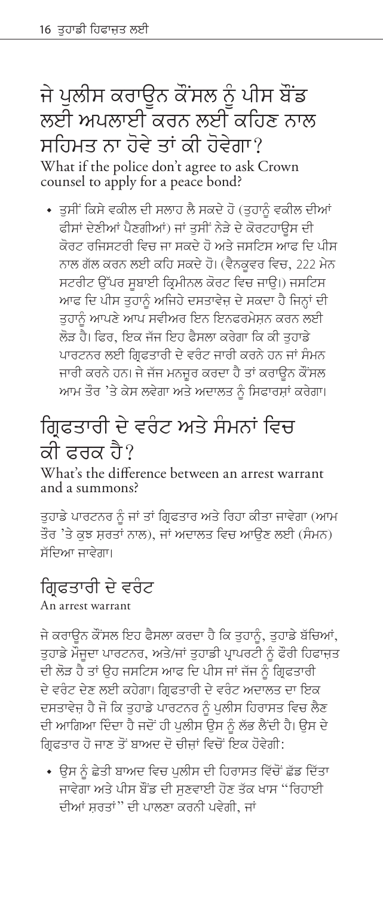# <span id="page-17-0"></span>ਜੇ ਪੁਲੀਸ ਕਰਾਉਨ ਕੌਂਸਲ ਨੂੰ ਪੀਸ ਬੌਂਡ ਲਈ ਅਪਲਾਈ ਕਰਨ ਲਈ ਕਹਿਣ ਨਾਲ ਸਹਿਮਤ ਨਾ ਹੋਵੇ ਤਾਂ ਕੀ ਹੋਵੇਗਾ?

What if the police don't agree to ask Crown counsel to apply for a peace bond?

∙ ਤੁਸੀਂ ਕਿਸੇ ਵਕੀਲ ਦੀ ਸਲਾਹ ਲੈ ਸਕਦੇ ਹੋ (ਤੁਹਾਨੂੰ ਵਕੀਲ ਦੀਆਂ ਫੀਸਾਂ ਦੇਣੀਆਂ ਪੈਣਗੀਆਂ) ਜਾਂ ਤਸੀਂ ਨੇੜੇ ਦੇ ਕੋਰਟਹਾੳਸ ਦੀ ਕੋਰਟ ਰਜਿਸਟਰੀ ਵਿਚ ਜਾ ਸਕਦੇ ਹੋ ਅਤੇ ਜਸਟਿਸ ਆਫ਼ ਦਿ ਪੀਸ ਨਾਲ ਗੱਲ ਕਰਨ ਲਈ ਕਹਿ ਸਕਦੇ ਹੋ। (ਵੈਨਕੁਵਰ ਵਿਚ, 222 ਮੇਨ ਸਟਰੀਟ ਉੱਪਰ ਸਬਾਈ ਕ੍ਰਿਮੀਨਲ ਕੋਰਟ ਵਿਚ ਜਾੳ।) ਜਸਟਿਸ ਆਫ ਦਿ ਪੀਸ ਤਹਾਨੂੰ ਅਜਿਹੇ ਦਸਤਾਵੇਜ਼ ਦੇ ਸਕਦਾ ਹੈ ਜਿਨਾਂ ਦੀ ਤਹਾਨੰ ਆਪਣੇ ਆਪ ਸਵੀਅਰ ਇਨ ਇਨਫਰਮੇਸ਼ਨ ਕਰਨ ਲਈ ਲੋੜ ਹੈ। ਫਿਰ, ਇਕ ਜੱਜ ਇਹ ਫੈਸਲਾ ਕਰੇਗਾ ਕਿ ਕੀ ਤਹਾਡੇ ਪਾਰਟਨਰ ਲਈ ਗਿਫਤਾਰੀ ਦੇ ਵਰੰਟ ਜਾਰੀ ਕਰਨੇ ਹਨ ਜਾਂ ਸੰਮਨ ਜਾਰੀ ਕਰਨੇ ਹਨ। ਜੇ ਜੱਜ ਮਨਜ਼ਰ ਕਰਦਾ ਹੈ ਤਾਂ ਕਰਾੳਨ ਕੌਂਸਲ ਆਮ ਤੌਰ 'ਤੇ ਕੇਸ ਲਵੇਗਾ ਅਤੇ ਅਦਾਲਤ ਨੂੰ ਸਿਫਾਰਸ਼ਾਂ ਕਰੇਗਾ।

# ਗਿਫਤਾਰੀ ਦੇ ਵਰੰਟ ਅਤੇ ਸੰਮਨਾਂ ਵਿਚ ਕੀ ਫ਼ਰਕ ਹੈ?

What's the difference between an arrest warrant and a summons?

ਤੁਹਾਡੇ ਪਾਰਟਨਰ ਨੂੰ ਜਾਂ ਤਾਂ ਗ੍ਰਿਫਤਾਰ ਅਤੇ ਰਿਹਾ ਕੀਤਾ ਜਾਵੇਗਾ (ਆਮ ਤੌਰ 'ਤੇ ਕੁਝ ਸਰਤਾਂ ਨਾਲ), ਜਾਂ ਅਦਾਲਤ ਵਿਚ ਆਉਣ ਲਈ (ਸੈਮਨ) ਸੱਦਿਆ ਜਾਵੇਗਾ।

#### ਗਿਫਤਾਰੀ ਦੇ ਵਰੰਟ

An arrest warrant

ਜੇ ਕਰਾੳਨ ਕੌਂਸਲ ਇਹ ਫੈਸਲਾ ਕਰਦਾ ਹੈ ਕਿ ਤਹਾਨੰ, ਤਹਾਡੇ ਬੱਚਿਆਂ, ਤੁਹਾਡੇ ਮੌਜੂਦਾ ਪਾਰਟਨਰ, ਅਤੇ/ਜਾਂ ਤੁਹਾਡੀ ਪ੍ਰਾਪਰਟੀ ਨੂੰ ਫੌਰੀ ਹਿਫਾਜ਼ਤ ਦੀ ਲੋੜ ਹੈ ਤਾਂ ੳਹ ਜਸਟਿਸ ਆਫ ਦਿ ਪੀਸ ਜਾਂ ਜੱਜ ਨੰ ਗ੍ਰਿਫਤਾਰੀ ਦੇ ਵਰੰਟ ਦੇਣ ਲਈ ਕਹੇਗਾ। ਗ੍ਰਿਫਤਾਰੀ ਦੇ ਵਰੰਟ ਅਦਾਲਤ ਦਾ ਇਕ ਦਸਤਾਵੇਜ਼ ਹੈ ਜੋ ਕਿ ਤੁਹਾਡੇ ਪਾਰਟਨਰ ਨੂੰ ਪੁਲੀਸ ਹਿਰਾਸਤ ਵਿਚ ਲੈਣ ਦੀ ਆਗਿਆ ਦਿੰਦਾ ਹੈ ਜਦੋਂ ਹੀ ਪਲੀਸ ਉਸ ਨੂੰ ਲੱਭ ਲੈਂਦੀ ਹੈ। ਉਸ ਦੇ ਗਿਫਤਾਰ ਹੋ ਜਾਣ ਤੋਂ ਬਾਅਦ ਦੋ ਚੀਜਾਂ ਵਿਚੋਂ ਇਕ ਹੋਵੇਗੀ:

∙ ਉਸ ਨੂੰ ਛੇਤੀ ਬਾਅਦ ਵਿਚ ਪੁਲੀਸ ਦੀ ਹਿਰਾਸਤ ਵਿੱਚੋਂ ਛੱਡ ਦਿੱਤਾ ਜਾਵੇਗਾ ਅਤੇ ਪੀਸ ਬੌਂਡ ਦੀ ਸਣਵਾਈ ਹੋਣ ਤੱਕ ਖਾਸ ''ਰਿਹਾਈ ਦੀਆਂ ਸਰਤਾਂ" ਦੀ ਪਾਲਣਾ ਕਰਨੀ ਪਵੇਗੀ, ਜਾਂ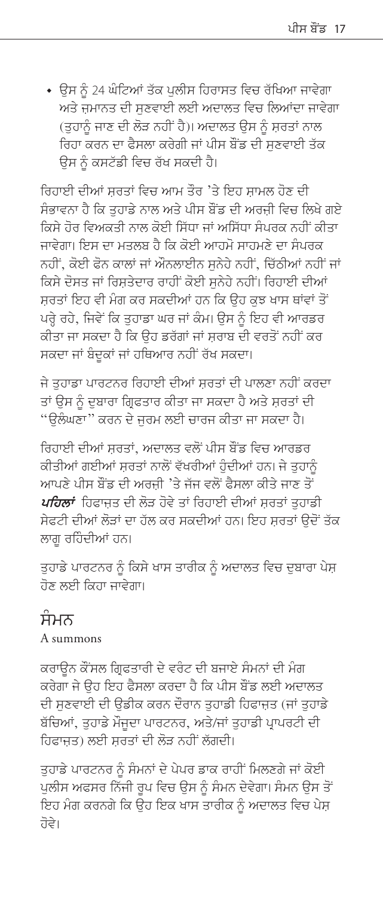• ਉਸ ਨੂੰ 24 ਘੰਟਿਆਂ ਤੱਕ ਪਲੀਸ ਹਿਰਾਸਤ ਵਿਚ ਰੱਖਿਆ ਜਾਵੇਗਾ ਅਤੇ ਜ਼ਮਾਨਤ ਦੀ ਸਣਵਾਈ ਲਈ ਅਦਾਲਤ ਵਿਚ ਲਿਆਂਦਾ ਜਾਵੇਗਾ (ਤਹਾਨੰ ਜਾਣ ਦੀ ਲੋੜ ਨਹੀਂ ਹੈ)। ਅਦਾਲਤ ੳਸ ਨੰ ਸੂਰਤਾਂ ਨਾਲ ਰਿਹਾ ਕਰਨ ਦਾ ਫੈਸਲਾ ਕਰੇਗੀ ਜਾਂ ਪੀਸ ਬੌਂਡ ਦੀ ਸਣਵਾਈ ਤੱਕ ੳਸ ਨੰ ਕਸਟੱਡੀ ਵਿਚ ਰੱਖ ਸਕਦੀ ਹੈ।

ਰਿਹਾਈ ਦੀਆਂ ਸਰਤਾਂ ਵਿਚ ਆਮ ਤੌਰ 'ਤੇ ਇਹ ਸਾਮਲ ਹੋਣ ਦੀ ਸੰਭਾਵਨਾ ਹੈ ਕਿ ਤਹਾਡੇ ਨਾਲ ਅਤੇ ਪੀਸ ਬੌਂਡ ਦੀ ਅਰਜ਼ੀ ਵਿਚ ਲਿਖੇ ਗਏ ਕਿਸੇ ਹੋਰ ਵਿਅਕਤੀ ਨਾਲ ਕੋਈ ਸਿੱਧਾ ਜਾਂ ਅਸਿੱਧਾ ਸੰਪਰਕ ਨਹੀਂ ਕੀਤਾ ਜਾਵੇਗਾ। ਇਸ ਦਾ ਮਤਲਬ ਹੈ ਕਿ ਕੋਈ ਆਹਮੋ ਸਾਹਮਣੇ ਦਾ ਸੰਪਰਕ ਨਹੀਂ, ਕੋਈ ਫੋਨ ਕਾਲਾਂ ਜਾਂ ਔਨਲਾਈਨ ਸਨੇਹੇ ਨਹੀਂ, ਚਿੱਠੀਆਂ ਨਹੀਂ ਜਾਂ ਕਿਸੇ ਦੋਸਤ ਜਾਂ ਰਿਸਤੇਦਾਰ ਰਾਹੀਂ ਕੋਈ ਸਨੇਹੇ ਨਹੀਂ। ਰਿਹਾਈ ਦੀਆਂ ਸਰਤਾਂ ਇਹ ਵੀ ਮੰਗ ਕਰ ਸਕਦੀਆਂ ਹਨ ਕਿ ਉਹ ਕੁਝ ਖਾਸ ਥਾਂਵਾਂ ਤੋਂ ਪਰ੍ਹੇ ਰਹੇ, ਜਿਵੇਂ ਕਿ ਤੁਹਾਡਾ ਘਰ ਜਾਂ ਕੰਮ। ਉਸ ਨੂੰ ਇਹ ਵੀ ਆਰਡਰ ਕੀਤਾ ਜਾ ਸਕਦਾ ਹੈ ਕਿ ਉਹ ਡਰੱਗਾਂ ਜਾਂ ਸਰਾਬ ਦੀ ਵਰਤੋਂ ਨਹੀਂ ਕਰ ਸਕਦਾ ਜਾਂ ਬੰਦਕਾਂ ਜਾਂ ਹਥਿਆਰ ਨਹੀਂ ਰੱਖ ਸਕਦਾ।

ਜੇ ਤਹਾਡਾ ਪਾਰਟਨਰ ਰਿਹਾਈ ਦੀਆਂ ਸਰਤਾਂ ਦੀ ਪਾਲਣਾ ਨਹੀਂ ਕਰਦਾ ਤਾਂ ੳਸ ਨੰ ਦਬਾਰਾ ਗ੍ਰਿਫਤਾਰ ਕੀਤਾ ਜਾ ਸਕਦਾ ਹੈ ਅਤੇ ਸਰਤਾਂ ਦੀ "ੳਲੰਘਣਾ" ਕਰਨ ਦੇ ਜਰਮ ਲਈ ਚਾਰਜ ਕੀਤਾ ਜਾ ਸਕਦਾ ਹੈ।

ਰਿਹਾਈ ਦੀਆਂ ਸਰਤਾਂ. ਅਦਾਲਤ ਵਲੋਂ ਪੀਸ ਬੌਂਡ ਵਿਚ ਆਰਡਰ ਕੀਤੀਆਂ ਗਈਆਂ ਸੂਰਤਾਂ ਨਾਲੋਂ ਵੱਖਰੀਆਂ ਹੰਦੀਆਂ ਹਨ। ਜੇ ਤਹਾਨੰ ਆਪਣੇ ਪੀਸ ਬੌਂਡ ਦੀ ਅਰਜੀ 'ਤੇ ਜੱਜ ਵਲੋਂ ਫੈਸਲਾ ਕੀਤੇ ਜਾਣ ਤੋਂ *ਪਹਿਲਾਂ* ਹਿਫਾਜਤ ਦੀ ਲੋੜ ਹੋਵੇ ਤਾਂ ਰਿਹਾਈ ਦੀਆਂ ਸਰਤਾਂ ਤਹਾਡੀ ਸੇਫਟੀ ਦੀਆਂ ਲੋੜਾਂ ਦਾ ਹੱਲ ਕਰ ਸਕਦੀਆਂ ਹਨ। ਇਹ ਸੂਰਤਾਂ ੳਦੋਂ ਤੱਕ ਲਾਗ ਰਹਿੰਦੀਆਂ ਹਨ।

ਤੁਹਾਡੇ ਪਾਰਟਨਰ ਨੂੰ ਕਿਸੇ ਖਾਸ ਤਾਰੀਕ ਨੂੰ ਅਦਾਲਤ ਵਿਚ ਦੁਬਾਰਾ ਪੇਸ਼ ਹੋਣ ਲਈ ਕਿਹਾ ਜਾਵੇਗਾ।

## ਸੰਮਨ

A summons

ਕਰਾੳਨ ਕੌਂਸਲ ਗ੍ਰਿਫਤਾਰੀ ਦੇ ਵਰੰਟ ਦੀ ਬਜਾਏ ਸੰਮਨਾਂ ਦੀ ਮੰਗ ਕਰੇਗਾ ਜੇ ੳਹ ਇਹ ਫੈਸਲਾ ਕਰਦਾ ਹੈ ਕਿ ਪੀਸ ਬੌਂਡ ਲਈ ਅਦਾਲਤ ਦੀ ਸਣਵਾਈ ਦੀ ੳਡੀਕ ਕਰਨ ਦੌਰਾਨ ਤਹਾਡੀ ਹਿਫਾਜ਼ਤ (ਜਾਂ ਤਹਾਡੇ ਬੱਚਿਆਂ, ਤਹਾਡੇ ਮੌਜਦਾ ਪਾਰਟਨਰ, ਅਤੇ/ਜਾਂ ਤਹਾਡੀ ਪ੍ਰਾਪਰਟੀ ਦੀ ਹਿਫਾਜ਼ਤ) ਲਈ ਸਰਤਾਂ ਦੀ ਲੋੜ ਨਹੀਂ ਲੱਗਦੀ।

ਤੁਹਾਡੇ ਪਾਰਟਨਰ ਨੂੰ ਸੰਮਨਾਂ ਦੇ ਪੇਪਰ ਡਾਕ ਰਾਹੀਂ ਮਿਲਣਗੇ ਜਾਂ ਕੋਈ ਪੁਲੀਸ ਅਫਸਰ ਨਿੱਜੀ ਰੂਪ ਵਿਚ ਉਸ ਨੂੰ ਸੰਮਨ ਦੇਵੇਗਾ। ਸੰਮਨ ਉਸ ਤੋਂ ਇਹ ਮੰਗ ਕਰਨਗੇ ਕਿ ਉਹ ਇਕ ਖਾਸ ਤਾਰੀਕ ਨੂੰ ਅਦਾਲਤ ਵਿਚ ਪੇਸ਼ ਹੋਵੇ।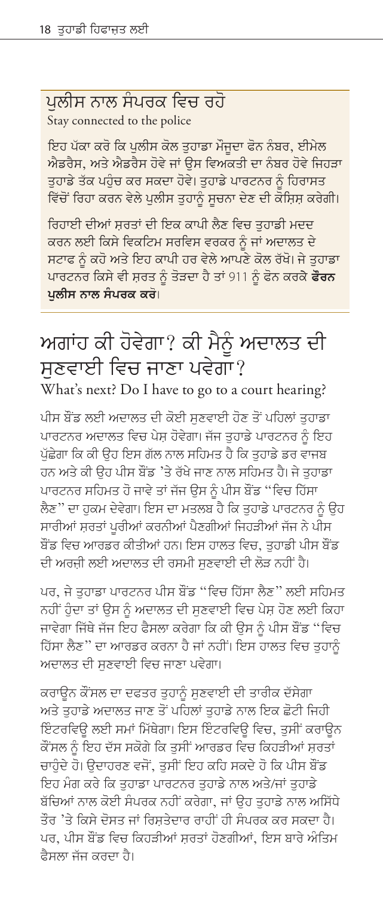#### <span id="page-19-0"></span>ਪਲੀਸ ਨਾਲ ਸੰਪਰਕ ਵਿਚ ਰਹੋ

Stay connected to the police

ਇਹ ਪੱਕਾ ਕਰੋ ਕਿ ਪੁਲੀਸ ਕੋਲ ਤੁਹਾਡਾ ਮੌਜੂਦਾ ਫੋਨ ਨੰਬਰ, ਈਮੇਲ ਐਡਰੈਸ, ਅਤੇ ਐਡਰੈਸ ਹੋਵੇ ਜਾਂ ੳਸ ਵਿਅਕਤੀ ਦਾ ਨੰਬਰ ਹੋਵੇ ਜਿਹੜਾ ਤਹਾਡੇ ਤੱਕ ਪਹੁੰਚ ਕਰ ਸਕਦਾ ਹੋਵੇ। ਤੁਹਾਡੇ ਪਾਰਟਨਰ ਨੂੰ ਹਿਰਾਸਤ ਵਿੱਚੋਂ ਰਿਹਾ ਕਰਨ ਵੇਲੇ ਪੁਲੀਸ ਤੁਹਾਨੂੰ ਸੂਚਨਾ ਦੇਣ ਦੀ ਕੋਸ਼ਿਸ਼ ਕਰੇਗੀ।

ਰਿਹਾਈ ਦੀਆਂ ਸ਼ਰਤਾਂ ਦੀ ਇਕ ਕਾਪੀ ਲੈਣ ਵਿਚ ਤੁਹਾਡੀ ਮਦਦ ਕਰਨ ਲਈ ਕਿਸੇ ਵਿਕਟਿਮ ਸਰਵਿਸ ਵਰਕਰ ਨੂੰ ਜਾਂ ਅਦਾਲਤ ਦੇ ਸਟਾਫ ਨੂੰ ਕਹੋ ਅਤੇ ਇਹ ਕਾਪੀ ਹਰ ਵੇਲੇ ਆਪਣੇ ਕੋਲ ਰੱਖੋ। ਜੇ ਤੁਹਾਡਾ ਪਾਰਟਨਰ ਕਿਸੇ ਵੀ ਸ਼ਰਤ ਨੂੰ ਤੋੜਦਾ ਹੈ ਤਾਂ 911 ਨੂੰ ਫੋਨ ਕਰਕੇ ਫੋਰਨ <mark>ਪੁਲੀਸ ਨਾਲ ਸੰਪਰਕ ਕ</mark>ਰੋ।

#### ਅਗਾਂਹ ਕੀ ਹੋਵੇਗਾ? ਕੀ ਮੈਨੂੰ ਅਦਾਲਤ ਦੀ ਸਣਵਾਈ ਵਿਚ ਜਾਣਾ ਪਵੇਗਾ? What's next? Do I have to go to a court hearing?

ਪੀਸ ਬੌਂਡ ਲਈ ਅਦਾਲਤ ਦੀ ਕੋਈ ਸਣਵਾਈ ਹੋਣ ਤੋਂ ਪਹਿਲਾਂ ਤਹਾਡਾ ਪਾਰਟਨਰ ਅਦਾਲਤ ਵਿਚ ਪੇਸ਼ ਹੋਵੇਗਾ। ਜੱਜ ਤਹਾਡੇ ਪਾਰਟਨਰ ਨੂੰ ਇਹ ਪੱਛੇਗਾ ਕਿ ਕੀ ਉਹ ਇਸ ਗੱਲ ਨਾਲ ਸਹਿਮਤ ਹੈ ਕਿ ਤਹਾਡੇ ਡਰ ਵਾਜਬ ਹਨ ਅਤੇ ਕੀ ਉਹ ਪੀਸ ਬੌਂਡ 'ਤੇ ਰੱਖੇ ਜਾਣ ਨਾਲ ਸਹਿਮਤ ਹੈ। ਜੇ ਤਹਾਡਾ ਪਾਰਟਨਰ ਸਹਿਮਤ ਹੋ ਜਾਵੇ ਤਾਂ ਜੱਜ ੳਸ ਨੰ ਪੀਸ ਬੌਂਡ ''ਵਿਚ ਹਿੱਸਾ ਲੈਣ'' ਦਾ ਹੁਕਮ ਦੇਵੇਗਾ। ਇਸ ਦਾ ਮਤਲਬ ਹੈ ਕਿ ਤੁਹਾਡੇ ਪਾਰਟਨਰ ਨੂੰ ਉਹ ਸਾਰੀਆਂ ਸਰਤਾਂ ਪਰੀਆਂ ਕਰਨੀਆਂ ਪੈਣਗੀਆਂ ਜਿਹੜੀਆਂ ਜੱਜ ਨੇ ਪੀਸ ਬੌਂਡ ਵਿਚ ਆਰਡਰ ਕੀਤੀਆਂ ਹਨ। ਇਸ ਹਾਲਤ ਵਿਚ, ਤਹਾਡੀ ਪੀਸ ਬੌਂਡ ਦੀ ਅਰਜ਼ੀ ਲਈ ਅਦਾਲਤ ਦੀ ਰਸਮੀ ਸਣਵਾਈ ਦੀ ਲੋੜ ਨਹੀਂ ਹੈ।

ਪਰ, ਜੇ ਤਹਾਡਾ ਪਾਰਟਨਰ ਪੀਸ ਬੌਂਡ ''ਵਿਚ ਹਿੱਸਾ ਲੈਣ'' ਲਈ ਸਹਿਮਤ ਨਹੀਂ ਹੁੰਦਾ ਤਾਂ ਉਸ ਨੂੰ ਅਦਾਲਤ ਦੀ ਸੁਣਵਾਈ ਵਿਚ ਪੇਸ਼ ਹੋਣ ਲਈ ਕਿਹਾ ਜਾਵੇਗਾ ਜਿੱਥੇ ਜੱਜ ਇਹ ਫੈਸਲਾ ਕਰੇਗਾ ਕਿ ਕੀ ਉਸ ਨੂੰ ਪੀਸ ਬੌਂਡ ''ਵਿਚ ਹਿੱਸਾ ਲੈਣ" ਦਾ ਆਰਡਰ ਕਰਨਾ ਹੈ ਜਾਂ ਨਹੀਂ। ਇਸ ਹਾਲਤ ਵਿਚ ਤਹਾਨੰ ਅਦਾਲਤ ਦੀ ਸਣਵਾਈ ਵਿਚ ਜਾਣਾ ਪਵੇਗਾ।

ਕਰਾਊਨ ਕੌਂਸਲ ਦਾ ਦਫਤਰ ਤਹਾਨੂੰ ਸੁਣਵਾਈ ਦੀ ਤਾਰੀਕ ਦੱਸੇਗਾ ਅਤੇ ਤੁਹਾਡੇ ਅਦਾਲਤ ਜਾਣ ਤੋਂ ਪਹਿਲਾਂ ਤੁਹਾਡੇ ਨਾਲ ਇਕ ਛੋਟੀ ਜਿਹੀ ਇੰਟਰਵਿੳ ਲਈ ਸਮਾਂ ਮਿੱਥੇਗਾ। ਇਸ ਇੰਟਰਵਿੳ ਵਿਚ, ਤਸੀਂ ਕਰਾੳਨ ਕੌਂਸਲ ਨੰ ਇਹ ਦੱਸ ਸਕੋਗੇ ਕਿ ਤੁਸੀਂ ਆਰਡਰ ਵਿਚ ਕਿਹੜੀਆਂ ਸ਼ਰਤਾ<mark>ਂ</mark> ਚਾਹੋਦੇ ਹੋ। ੳਦਾਹਰਣ ਵਜੋਂ, ਤੁਸੀਂ ਇਹ ਕਹਿ ਸਕਦੇ ਹੋ ਕਿ ਪੀਸ ਬੌਂਡ ਇਹ ਮੰਗ ਕਰੇ ਕਿ ਤਹਾਡਾ ਪਾਰਟਨਰ ਤਹਾਡੇ ਨਾਲ ਅਤੇ/ਜਾਂ ਤਹਾਡੇ ਬੱਚਿਆਂ ਨਾਲ ਕੋਈ ਸੰਪਰਕ ਨਹੀਂ ਕਰੇਗਾ. ਜਾਂ ਉਹ ਤਹਾਡੇ ਨਾਲ ਅਸਿੱਧੇ ਤੌਰ 'ਤੇ ਕਿਸੇ ਦੋਸਤ ਜਾਂ ਰਿਸ਼ਤੇਦਾਰ ਰਾਹੀਂ ਹੀ ਸੰਪਰਕ ਕਰ ਸਕਦਾ ਹੈ। ਪਰ, ਪੀਸ ਬੌਂਡ ਵਿਚ ਕਿਹੜੀਆਂ ਸਰਤਾਂ ਹੋਣਗੀਆਂ, ਇਸ ਬਾਰੇ ਅੰਤਿਮ ਫ਼ੈਸਲਾ ਜੱਜ ਕਰਦਾ ਹੈ।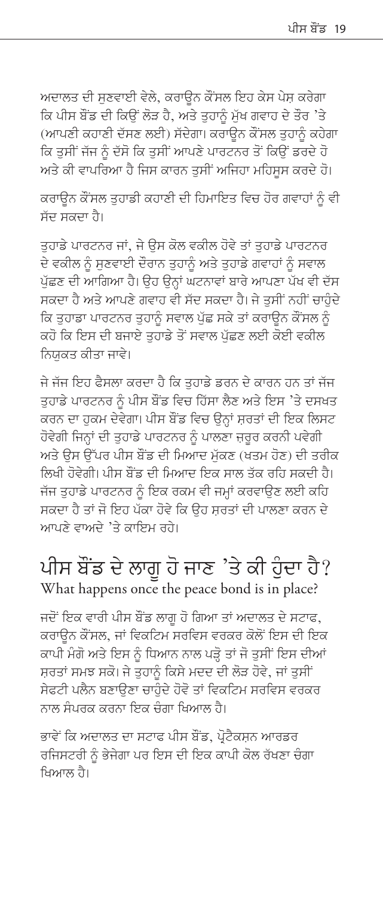<span id="page-20-0"></span>ਅਦਾਲਤ ਦੀ ਸਣਵਾਈ ਵੇਲੇ. ਕਰਾੳਨ ਕੌਂਸਲ ਇਹ ਕੇਸ ਪੇਸ ਕਰੇਗਾ ਕਿ ਪੀਸ ਬੌਂਡ ਦੀ ਕਿੳਂ ਲੋੜ ਹੈ, ਅਤੇ ਤਹਾਨੰ ਮੱਖ ਗਵਾਹ ਦੇ ਤੌਰ 'ਤੇ (ਆਪਣੀ ਕਹਾਣੀ ਦੱਸਣ ਲਈ) ਸੱਦੇਗਾ। ਕਰਾਉਨ ਕੌਂਸਲ ਤਹਾਨੂੰ ਕਹੇਗਾ ਕਿ ਤਸੀਂ ਜੱਜ ਨੂੰ ਦੱਸੋ ਕਿ ਤਸੀਂ ਆਪਣੇ ਪਾਰਟਨਰ ਤੋਂ ਕਿਉਂ ਡਰਦੇ ਹੋ ਅਤੇ ਕੀ ਵਾਪਰਿਆ ਹੈ ਜਿਸ ਕਾਰਨ ਤਸੀਂ ਅਜਿਹਾ ਮਹਿਸੂਸ ਕਰਦੇ ਹੋ।

ਕਰਾਉਨ ਕੌਂਸਲ ਤੁਹਾਡੀ ਕਹਾਣੀ ਦੀ ਹਿਮਾਇਤ ਵਿਚ ਹੋਰ ਗਵਾਹਾਂ ਨੂੰ ਵੀ ਸੱਦ ਸਕਦਾ ਹੈ।

ਤਹਾਡੇ ਪਾਰਟਨਰ ਜਾਂ, ਜੇ ਉਸ ਕੋਲ ਵਕੀਲ ਹੋਵੇ ਤਾਂ ਤਹਾਡੇ ਪਾਰਟਨਰ -<br>ਦੇ ਵਕੀਲ ਨੂੰ ਸੁਣਵਾਈ ਦੌਰਾਨ ਤੁਹਾਨੂੰ ਅਤੇ ਤੁਹਾਡੇ ਗਵਾਹਾਂ ਨੂੰ ਸਵਾਲ ਪੱਛਣ ਦੀ ਆਗਿਆ ਹੈ। ਉਹ ਉਨ੍ਹਾਂ ਘਟਨਾਵਾਂ ਬਾਰੇ ਆਪਣਾ ਪੱਖ ਵੀ ਦੱਸ ਸਕਦਾ ਹੈ ਅਤੇ ਆਪਣੇ ਗਵਾਹ ਵੀ ਸੱਦ ਸਕਦਾ ਹੈ। ਜੇ ਤਸੀਂ ਨਹੀਂ ਚਾਹੰਦੇ ਕਿ ਤਹਾਡਾ ਪਾਰਟਨਰ ਤਹਾਨੂੰ ਸਵਾਲ ਪੁੱਛ ਸਕੇ ਤਾਂ ਕਰਾਉਨ ਕੌਂਸਲ ਨੂੰ ਕਹੋ ਕਿ ਇਸ ਦੀ ਬਜਾਏ ਤਹਾਡੇ ਤੋਂ ਸਵਾਲ ਪੱਛਣ ਲਈ ਕੋਈ ਵਕੀਲ<sup>ੋ</sup> ਨਿਯਕਤ ਕੀਤਾ ਜਾਵੇ।

ਜੇ ਜੱਜ ਇਹ ਫੈਸਲਾ ਕਰਦਾ ਹੈ ਕਿ ਤਹਾਡੇ ਡਰਨ ਦੇ ਕਾਰਨ ਹਨ ਤਾਂ ਜੱਜ ਤੁਹਾਡੇ ਪਾਰਟਨਰ ਨੂੰ ਪੀਸ ਬੌਂਡ ਵਿਚ ਹਿੱਸਾ ਲੈਣ ਅਤੇ ਇਸ 'ਤੇ ਦਸਖਤ ਕਰਨ ਦਾ ਹਕਮ ਦੇਵੇਗਾ। ਪੀਸ ਬੌਂਡ ਵਿਚ ੳਨਾਂ ਸ਼ਰਤਾਂ ਦੀ ਇਕ ਲਿਸਟ ਹੋਵੇਗੀ ਜਿਨ੍ਹਾਂ ਦੀ ਤਹਾਡੇ ਪਾਰਟਨਰ ਨੂੰ ਪਾਲਣਾ ਜਰੂਰ ਕਰਨੀ ਪਵੇਗੀ ਅਤੇ ੳਸ ੳੱਪਰ ਪੀਸ ਬੌਂਡ ਦੀ ਮਿਆਦ ਮੱਕਣ (ਖਤਮ ਹੋਣ) ਦੀ ਤਰੀਕ ਲਿਖੀ ਹੋਵੇਗੀ। ਪੀਸ ਬੌਂਡ ਦੀ ਮਿਆਦ ਇਕ ਸਾਲ ਤੱਕ ਰਹਿ ਸਕਦੀ ਹੈ। ਜੱਜ ਤਹਾਡੇ ਪਾਰਟਨਰ ਨੂੰ ਇਕ ਰਕਮ ਵੀ ਜਮ੍ਹਾਂ ਕਰਵਾਉਣ ਲਈ ਕਹਿ ਸਕਦਾ ਹੈ ਤਾਂ ਜੋ ਇਹ ਪੱਕਾ ਹੋਵੇ ਕਿ ਉਹ ਸਰਤਾਂ ਦੀ ਪਾਲਣਾ ਕਰਨ ਦੇ ਆਪਣੇ ਵਾਅਦੇ 'ਤੇ ਕਾਇਮ ਰਹੇ।

#### ਪੀਸ ਬੌਂਡ ਦੇ ਲਾਗ ਹੋ ਜਾਣ 'ਤੇ ਕੀ ਹੰਦਾ ਹੈ? What happens once the peace bond is in place?

ਜਦੋਂ ਇਕ ਵਾਰੀ ਪੀਸ ਬੌਂਡ ਲਾਗੂ ਹੋ ਗਿਆ ਤਾਂ ਅਦਾਲਤ ਦੇ ਸਟਾਫ, ਕਰਾੳਨ ਕੌਂਸਲ, ਜਾਂ ਵਿਕਟਿਮ ਸਰਵਿਸ ਵਰਕਰ ਕੋਲੋਂ ਇਸ ਦੀ ਇਕ ਕਾਪੀ ਮੰਗੋ ਅਤੇ ਇਸ ਨੂੰ ਧਿਆਨ ਨਾਲ ਪੜ੍ਹੋ ਤਾਂ ਜੋ ਤਸੀਂ ਇਸ ਦੀਆਂ ਸਰਤਾਂ ਸਮਝ ਸਕੋ। ਜੇ ਤਹਾਨੂੰ ਕਿਸੇ ਮਦਦ ਦੀ ਲੋੜ ਹੋਵੇ, ਜਾਂ ਤਸੀਂ ਸੇਫਟੀ ਪਲੈਨ ਬਣਾੳਣਾ ਚਾਹੋਦੇ ਹੋਵੋ ਤਾਂ ਵਿਕਟਿਮ ਸਰਵਿਸ ਵਰਕਰ ਨਾਲ ਸੰਪਰਕ ਕਰਨਾ ਇਕ ਚੰਗਾ ਖਿਆਲ ਹੈ।

ਭਾਵੇਂ ਕਿ ਅਦਾਲਤ ਦਾ ਸਟਾਫ ਪੀਸ ਬੌਂਡ, ਪ੍ਰੋਟੈਕਸ਼ਨ ਆਰਡਰ ਰਜਿਸਟਰੀ ਨੂੰ ਭੇਜੇਗਾ ਪਰ ਇਸ ਦੀ ਇਕ ਕਾਪੀ ਕੋਲ ਰੱਖਣਾ ਚੰਗਾ ਮਿਆਲ ਹੈ।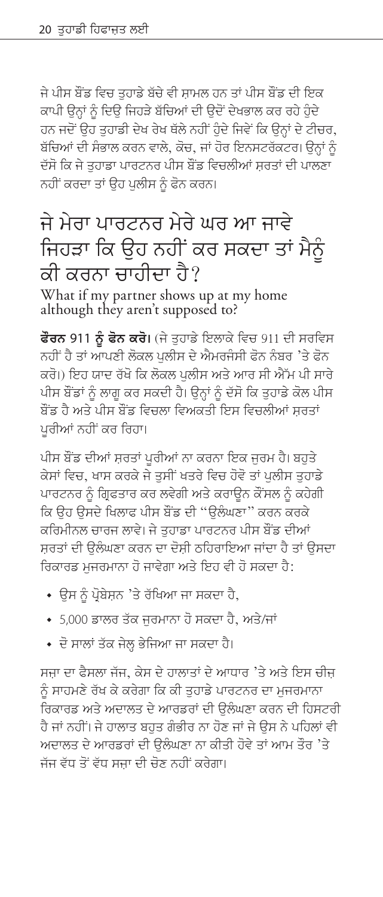<span id="page-21-0"></span>ਜੇ ਪੀਸ ਬੌਂਡ ਵਿਚ ਤਹਾਡੇ ਬੱਚੇ ਵੀ ਸਾਮਲ ਹਨ ਤਾਂ ਪੀਸ ਬੌਂਡ ਦੀ ਇਕ ਕਾਪੀ ੳਨਾਂ ਨੰ ਦਿਉ ਜਿਹੜੇ ਬੱਚਿਆਂ ਦੀ ਉਦੋਂ ਦੇਖਭਾਲ ਕਰ ਰਹੇ ਹੁੰਦੇ ਹਨ ਜਦੋਂ ਉਹ ਤੁਹਾਡੀ ਦੇਖ ਰੇਖ ਥੱਲੇ ਨਹੀਂ ਹੁੰਦੇ ਜਿਵੇਂ ਕਿ ਉਨ੍ਹਾਂ ਦੇ ਟੀਚਰ, ਬੱਚਿਆਂ ਦੀ ਸੰਭਾਲ ਕਰਨ ਵਾਲੇ, ਕੋਚ, ਜਾਂ ਹੋਰ ਇਨਸਟਰੱਕਟਰ। ਉਨ੍ਹਾਂ ਨੰ ਦੱਸੋ ਕਿ ਜੇ ਤਹਾਡਾ ਪਾਰਟਨਰ ਪੀਸ ਬੌਂਡ ਵਿਚਲੀਆਂ ਸਰਤਾਂ ਦੀ ਪਾਲਣਾ ਨਹੀਂ ਕਰਦਾ ਤਾਂ ਉਹ ਪਲੀਸ ਨੂੰ ਫੋਨ ਕਰਨ।

# ਜੇ ਮੇਰਾ ਪਾਰਟਨਰ ਮੇਰੇ ਘਰ ਆ ਜਾਵੇ ਜਿਹੜਾ ਕਿ ੳਹ ਨਹੀਂ ਕਰ ਸਕਦਾ ਤਾਂ ਮੈਨੰ ਕੀ ਕਰਨਾ ਜਾਗੀਦਾ ਹੈ $\overline{?}$

What if my partner shows up at my home although they aren't supposed to?

<mark>ਫੌਰਨ 911 ਨੂੰ ਫੋਨ ਕਰੋ।</mark> (ਜੇ ਤੁਹਾਡੇ ਇਲਾਕੇ ਵਿਚ 911 ਦੀ ਸਰਵਿਸ ਨਹੀਂ ਹੈ ਤਾਂ ਆਪਣੀ ਲੋਕਲ ਪਲੀਸ ਦੇ ਐਮਰਜੰਸੀ ਫੋਨ ਨੰਬਰ 'ਤੇ ਫੋਨ ਕਰੋ।) ਇਹ ਯਾਦ ਰੱਖੋ ਕਿ ਲੋਕਲ ਪਲੀਸ ਅਤੇ ਆਰ ਸੀ ਐੱਮ ਪੀ ਸਾਰੇ ਪੀਸ ਬੌਂਡਾਂ ਨੰ ਲਾਗ ਕਰ ਸਕਦੀ ਹੈ। ਉਨ੍ਹਾਂ ਨੰ ਦੱਸੋ ਕਿ ਤਹਾਡੇ ਕੋਲ ਪੀਸ ਬੋਂਡ ਹੈ ਅਤੇ ਪੀਸ ਬੌਂਡ ਵਿਚਲਾ ਵਿਅਕਤੀ ਇਸ ਵਿਚਲੀਆਂ ਸਰਤਾਂ ਪਰੀਆਂ ਨਹੀਂ ਕਰ ਰਿਹਾ।

ਪੀਸ ਬੌਂਡ ਦੀਆਂ ਸਰਤਾਂ ਪਰੀਆਂ ਨਾ ਕਰਨਾ ਇਕ ਜਰਮ ਹੈ। ਬਹਤੇ ਕੇਸਾਂ ਵਿਚ, ਖਾਸ ਕਰਕੇ ਜੇ ਤਸੀਂ ਖਤਰੇ ਵਿਚ ਹੋਵੋ ਤਾਂ ਪਲੀਸ ਤਹਾਡੇ ਪਾਰਟਨਰ ਨੰ ਗ੍ਰਿਫਤਾਰ ਕਰ ਲਵੇਗੀ ਅਤੇ ਕਰਾਉਨ ਕੌਂਸਲ ਨੰ ਕਹੇਗੀ ਕਿ ਉਹ ਉਸਦੇ ਖਿਲਾਫ ਪੀਸ ਬੌਂਡ ਦੀ ''ਉਲੰਘਣਾ'' ਕਰਨ ਕਰਕੇ ਕਰਿਮੀਨਲ ਚਾਰਜ ਲਾਵੇ। ਜੇ ਤਹਾਡਾ ਪਾਰਟਨਰ ਪੀਸ ਬੌਂਡ ਦੀਆਂ ਸਰਤਾਂ ਦੀ ੳਲੰਘਣਾ ਕਰਨ ਦਾ ਦੋਸੀ ਠਹਿਰਾਇਆ ਜਾਂਦਾ ਹੈ ਤਾਂ ੳਸਦਾ ਰਿਕਾਰਡ ਮੁਜਰਮਾਨਾ ਹੋ ਜਾਵੇਗਾ ਅਤੇ ਇਹ ਵੀ ਹੋ ਸਕਦਾ ਹੈ:

- ਉਸ ਨੂੰ ਪ੍ਰੋਬੇਸ਼ਨ 'ਤੇ ਰੱਖਿਆ ਜਾ ਸਕਦਾ ਹੈ,
- 5,000 ਡਾਲਰ ਤੱਕ ਜਰਮਾਨਾ ਹੋ ਸਕਦਾ ਹੈ. ਅਤੇ/ਜਾਂ
- ਦੋ ਸਾਲਾਂ ਤੱਕ ਜੇਲ੍ਹ ਭੇਜਿਆ ਜਾ ਸਕਦਾ ਹੈ।

ਸਜ਼ਾ ਦਾ ਫੈਸਲਾ ਜੱਜ, ਕੇਸ ਦੇ ਹਾਲਾਤਾਂ ਦੇ ਆਧਾਰ 'ਤੇ ਅਤੇ ਇਸ ਚੀਜ ਨੰ ਸਾਹਮਣੇ ਰੱਖ ਕੇ ਕਰੇਗਾ ਕਿ ਕੀ ਤਹਾਡੇ ਪਾਰਟਨਰ ਦਾ ਮਜਰਮਾਨਾ ਰਿਕਾਰਡ ਅਤੇ ਅਦਾਲਤ ਦੇ ਆਰਡਰਾਂ ਦੀ ੳਲੰਘਣਾ ਕਰਨ ਦੀ ਹਿਸਟਰੀ ਹੈ ਜਾਂ ਨਹੀਂ। ਜੇ ਹਾਲਾਤ ਬਹਤ ਗੰਭੀਰ ਨਾ ਹੋਣ ਜਾਂ ਜੇ ਉਸ ਨੇ ਪਹਿਲਾਂ ਵੀ ਅਦਾਲਤ ਦੇ ਆਰਡਰਾਂ ਦੀ ੳਲੰਘਣਾ ਨਾ ਕੀਤੀ ਹੋਵੇ ਤਾਂ ਆਮ ਤੌਰ 'ਤੇ ਜੱਜ ਵੱਧ ਤੋਂ ਵੱਧ ਸਜਾ ਦੀ ਚੋਣ ਨਹੀਂ ਕਰੇਗਾ।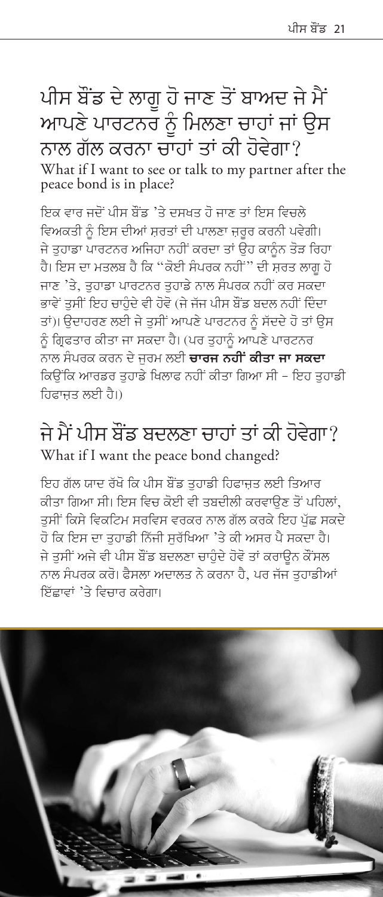<span id="page-22-0"></span>ਪੀਸ ਬੌਂਡ ਦੇ ਲਾਗੁ ਹੋ ਜਾਣ ਤੋਂ ਬਾਅਦ ਜੇ ਮੈਂ ਆਪਣੇ ਪਾਰਟਨਰ ਨੰ ਮਿਲਣਾ ਚਾਹਾਂ ਜਾਂ ੳਸ ਨਾਲ ਗੱਲ ਕਰਨਾ ਚਾਹਾਂ ਤਾਂ ਕੀ ਹੋਵੇਗਾ*?* What if I want to see or talk to my partner after the peace bond is in place?

ਇਕ ਵਾਰ ਜਦੋਂ ਪੀਸ ਬੌਂਡ 'ਤੇ ਦਸਖਤ ਹੋ ਜਾਣ ਤਾਂ ਇਸ ਵਿਚਲੇ ਵਿਅਕਤੀ ਨੂੰ ਇਸ ਦੀਆਂ ਸਰਤਾਂ ਦੀ ਪਾਲਣਾ ਜਰੂਰ ਕਰਨੀ ਪਵੇਗੀ। ਜੇ ਤਹਾਡਾ ਪਾਰਟਨਰ ਅਜਿਹਾ ਨਹੀਂ ਕਰਦਾ ਤਾਂ ਉਹ ਕਾਨੰਨ ਤੋੜ ਰਿਹਾ .<br>ਹੈ। ਇਸ ਦਾ ਮਤਲਬ ਹੈ ਕਿ ''ਕੋਈ ਸੰਪਰਕ ਨਹੀਂ'' ਦੀ ਸਰਤ ਲਾਗ ਹੋ ਜਾਣ 'ਤੇ, ਤਹਾਡਾ ਪਾਰਟਨਰ ਤਹਾਡੇ ਨਾਲ ਸੰਪਰਕ ਨਹੀਂ ਕਰ ਸਕਦਾ ਭਾਵੇਂ ਤਸੀਂ ਇਹ ਚਾਹੰਦੇ ਵੀ ਹੋਵੋ (ਜੇ ਜੱਜ ਪੀਸ ਬੌਂਡ ਬਦਲ ਨਹੀਂ ਦਿੰਦਾ ਤਾਂ)। ਉਦਾਹਰਣ ਲਈ ਜੇ ਤਸੀਂ ਆਪਣੇ ਪਾਰਟਨਰ ਨੂੰ ਸੱਦਦੇ ਹੋ ਤਾਂ ਉਸ ਨੰ ਗਿਫਤਾਰ ਕੀਤਾ ਜਾ ਸਕਦਾ ਹੈ। (ਪਰ ਤਹਾਨੰ ਆਪਣੇ ਪਾਰਟਨਰ ਨਾਲ ਸੰਪਰਕ ਕਰਨ ਦੇ ਜਰਮ ਲਈ **ਚਾਰਜ ਨਹੀਂ ਕੀਤਾ ਜਾ ਸਕਦਾ** ਕਿਉਂਕਿ ਆਰਡਰ ਤਹਾਡੇ ਖਿਲਾਫ ਨਹੀਂ ਕੀਤਾ ਗਿਆ ਸੀ - ਇਹ ਤਹਾਡੀ ਹਿਫਾਜਤ ਲਈ ਹੈ।)

#### ਜੇ ਮੈਂ ਪੀਸ ਬੌਂਡ ਬਦਲਣਾ ਚਾਹਾਂ ਤਾਂ ਕੀ ਹੋਵੇਗਾ? What if I want the peace bond changed?

ਇਹ ਗੱਲ ਯਾਦ ਰੱਖੋ ਕਿ ਪੀਸ ਬੌਂਡ ਤਹਾਡੀ ਹਿਫਾਜ਼ਤ ਲਈ ਤਿਆਰ ਕੀਤਾ ਗਿਆ ਸੀ। ਇਸ ਵਿਚ ਕੋਈ ਵੀ ਤਬਦੀਲੀ ਕਰਵਾਉਣ ਤੋਂ ਪਹਿਲਾਂ. ਤਸੀਂ ਕਿਸੇ ਵਿਕਟਿਮ ਸਰਵਿਸ ਵਰਕਰ ਨਾਲ ਗੱਲ ਕਰਕੇ ਇਹ ਪੱਛ ਸਕਦੇ ਹੋ ਕਿ ਇਸ ਦਾ ਤਹਾਡੀ ਨਿੱਜੀ ਸਰੱਖਿਆ 'ਤੇ ਕੀ ਅਸਰ ਪੈ ਸਕਦਾ ਹੈ। ਜੇ ਤਸੀਂ ਅਜੇ ਵੀ ਪੀਸ ਬੌਂਡ ਬਦਲਣਾ ਚਾਹੁੰਦੇ ਹੋਵੋ ਤਾਂ ਕਰਾਉਨ ਕੌਂਸਲ ਨਾਲ ਸੰਪਰਕ ਕਰੋ। ਫੈਸਲਾ ਅਦਾਲਤ ਨੇ ਕਰਨਾ ਹੈ. ਪਰ ਜੱਜ ਤਹਾਡੀਆਂ ਇੱਛਾਵਾਂ 'ਤੇ ਵਿਜ਼ਾਰ ਕਰੇਗਾ।

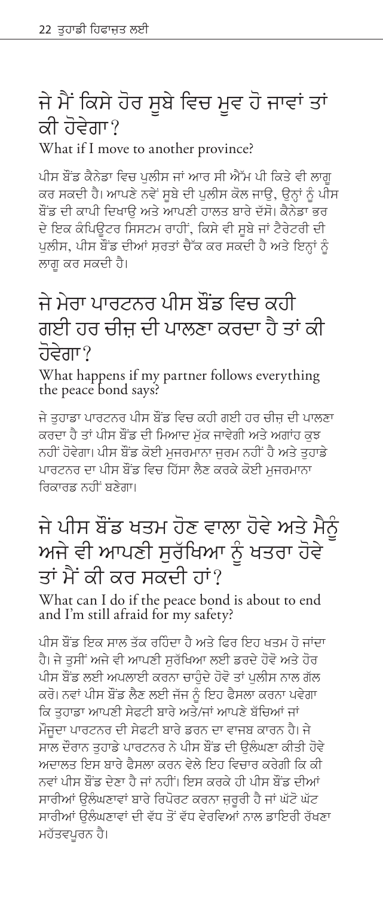# <span id="page-23-0"></span>ਜੇ ਮੈਂ ਕਿਸੇ ਹੋਰ ਸੂਬੇ ਵਿਚ ਮੁਵ ਹੋ ਜਾਵਾਂ ਤਾਂ ਕੀ ਹੋਵੇਗਾ?

What if I move to another province?

ਪੀਸ ਬੌਂਡ ਕੈਨੇਡਾ ਵਿਚ ਪੁਲੀਸ ਜਾਂ ਆਰ ਸੀ ਐੱਮ ਪੀ ਕਿਤੇ ਵੀ ਲਾਗ ਕਰ ਸਕਦੀ ਹੈ। ਆਪਣੇ ਨਵੇਂ ਸੂਬੇ ਦੀ ਪੁਲੀਸ ਕੋਲ ਜਾਉ, ਉਨ੍ਹਾਂ ਨੂੰ ਪੀਸ ਬੋਂਡ ਦੀ ਕਾਪੀ ਦਿਖਾੳ ਅਤੇ ਆਪਣੀ ਹਾਲਤ ਬਾਰੇ ਦੱਸੋ। ਕੈਨੇਡਾ ਭਰ ਦੇ ਇਕ ਕੰਪਿਊਟਰ ਸਿਸਟਮ ਰਾਹੀਂ, ਕਿਸੇ ਵੀ ਸਬੇ ਜਾਂ ਟੈਰੇਟਰੀ ਦੀ ਪੁਲੀਸ, ਪੀਸ ਬੌਂਡ ਦੀਆਂ ਸਰਤਾਂ ਚੈੱਕ ਕਰ ਸਕਦੀ ਹੈ ਅਤੇ ਇਨ੍ਹਾਂ ਨੰ ਲਾਗ ਕਰ ਸਕਦੀ ਹੈ।

# ਜੇ ਮੇਰਾ ਪਾਰਟਨਰ ਪੀਸ ਬੌਂਡ ਵਿਜ ਕਹੀ ਗਈ ਹਰ ਚੀਜ ਦੀ ਪਾਲਣਾ ਕਰਦਾ ਹੈ ਤਾਂ ਕੀ ਹੋਵੇਗਾ?

What happens if my partner follows everything<br>the peace bond says?

ਜੇ ਤਹਾਡਾ ਪਾਰਟਨਰ ਪੀਸ ਬੌਂਡ ਵਿਚ ਕਹੀ ਗਈ ਹਰ ਚੀਜ਼ ਦੀ ਪਾਲਣਾ ਕਰਦਾ ਹੈ ਤਾਂ ਪੀਸ ਬੌਂਡ ਦੀ ਮਿਆਦ ਮੱਕ ਜਾਵੇਗੀ ਅਤੇ ਅਗਾਂਹ ਕਝ ਨਹੀਂ ਹੋਵੇਗਾ। ਪੀਸ ਬੌਂਡ ਕੋਈ ਮਜਰਮਾਨਾ ਜਰਮ ਨਹੀਂ ਹੈ ਅਤੇ ਤਹਾਡੇ ਪਾਰਟਨਰ ਦਾ ਪੀਸ ਬੌਂਡ ਵਿਚ ਹਿੱਸਾ ਲੈਣ ਕਰਕੇ ਕੋਈ ਮਜਰਮਾਨਾ ਰਿਕਾਰਡ ਨਹੀਂ ਬਣੇਗਾ।

# ਜੇ ਪੀਸ ਬੌਂਡ ਖਤਮ ਹੋਣ ਵਾਲਾ ਹੋਵੇ ਅਤੇ ਮੈਨੂੰ ਅਜੇ ਵੀ ਆਪਣੀ ਸੁਰੱਖਿਆ ਨੂੰ ਖਤਰਾ ਹੋਵੇ ਤਾਂ ਮੈਂ ਕੀ ਕਰ ਸਕਦੀ ਹਾਂ?

What can I do if the peace bond is about to end and I'm still afraid for my safety?

ਪੀਸ ਬੌਂਡ ਇਕ ਸਾਲ ਤੱਕ ਰਹਿੰਦਾ ਹੈ ਅਤੇ ਫਿਰ ਇਹ ਖਤਮ ਹੋ ਜਾਂਦਾ ਹੈ। ਜੇ ਤੁਸੀਂ ਅਜੇ ਵੀ ਆਪਣੀ ਸਰੱਖਿਆ ਲਈ ਡਰਦੇ ਹੋਵੋ ਅਤੇ ਹੋਰ ਪੀਸ ਬੌਂਡ ਲਈ ਅਪਲਾਈ ਕਰਨਾ ਚਾਹੁੰਦੇ ਹੋਵੋ ਤਾਂ ਪਲੀਸ ਨਾਲ ਗੱਲ ਕਰੋ। ਨਵਾਂ ਪੀਸ ਬੌਂਡ ਲੈਣ ਲਈ ਜੱਜ ਨੂੰ ਇਹ ਫੈਸਲਾ ਕਰਨਾ ਪਵੇਗਾ ਕਿ ਤੁਹਾਡਾ ਆਪਣੀ ਸੇਫਟੀ ਬਾਰੇ ਅਤੇ/ਜਾਂ ਆਪਣੇ ਬੱਚਿਆਂ ਜਾਂ ਮੌਜੂਦਾ ਪਾਰਟਨਰ ਦੀ ਸੇਫਟੀ ਬਾਰੇ ਡਰਨ ਦਾ ਵਾਜਬ ਕਾਰਨ ਹੈ। ਜੇ ਸਾਲ ਦੌਰਾਨ ਤਹਾਡੇ ਪਾਰਟਨਰ ਨੇ ਪੀਸ ਬੌਂਡ ਦੀ ੳਲੰਘਣਾ ਕੀਤੀ ਹੋਵੇ ਅਦਾਲਤ ਇਸ ਬਾਰੇ ਫੈਸਲਾ ਕਰਨ ਵੇਲੇ ਇਹ ਵਿਚਾਰ ਕਰੇਗੀ ਕਿ ਕੀ ਨਵਾਂ ਪੀਸ ਬੌਂਡ ਦੇਣਾ ਹੈ ਜਾਂ ਨਹੀਂ। ਇਸ ਕਰਕੇ ਹੀ ਪੀਸ ਬੌਂਡ ਦੀਆਂ ਸਾਰੀਆਂ ੳਲੰਘਣਾਵਾਂ ਬਾਰੇ ਰਿਪੋਰਟ ਕਰਨਾ ਜ਼ਰਰੀ ਹੈ ਜਾਂ ਘੱਟੋ ਘੱਟ ਸਾਰੀਆਂ ੳਲੰਘਣਾਵਾਂ ਦੀ ਵੱਧ ਤੋਂ ਵੱਧ ਵੇਰਵਿਆਂ ਨਾਲ ਡਾਇਰੀ ਰੱਖਣਾ ਮਹੱਤਵਪਰਨ ਹੈ।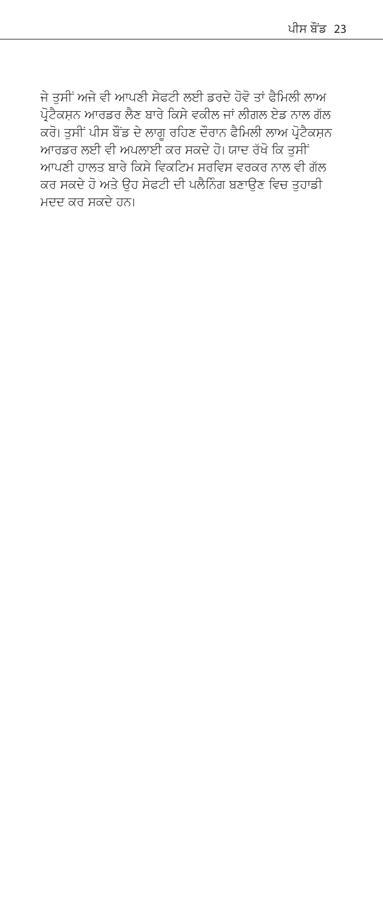ਜੇ ਤਸੀਂ ਅਜੇ ਵੀ ਆਪਣੀ ਸੇਫਟੀ ਲਈ ਡਰਦੇ ਹੋਵੋ ਤਾਂ ਫੈਮਿਲੀ ਲਾਅ ਪ੍ਰੋਟੈਕਸਨ ਆਰਡਰ ਲੈਣ ਬਾਰੇ ਕਿਸੇ ਵਕੀਲ ਜਾਂ ਲੀਗਲ ਏਡ ਨਾਲ ਗੱਲ ਕਰੋ। ਤਸੀਂ ਪੀਸ ਬੌਂਡ ਦੇ ਲਾਗ ਰਹਿਣ ਦੌਰਾਨ ਫੈਮਿਲੀ ਲਾਅ ਪ੍ਰੋਟੈਕਸਨ ਆਰਡਰ ਲਈ ਵੀ ਅਪਲਾਈ ਕਰ ਸਕਦੇ ਹੋ। ਯਾਦ ਰੱਖੋ ਕਿ ਤਸੀਂ ਆਪਣੀ ਹਾਲਤ ਬਾਰੇ ਕਿਸੇ ਵਿਕਟਿਮ ਸਰਵਿਸ ਵਰਕਰ ਨਾਲ ਵੀ ਗੱਲ ਕਰ ਸਕਦੇ ਹੋ ਅਤੇ ਉਹ ਸੇਫਟੀ ਦੀ ਪਲੈਨਿੰਗ ਬਣਾਉਣ ਵਿਚ ਤਹਾਡੀ ਮਦਦ ਕਰ ਸਕਦੇ ਹਨ।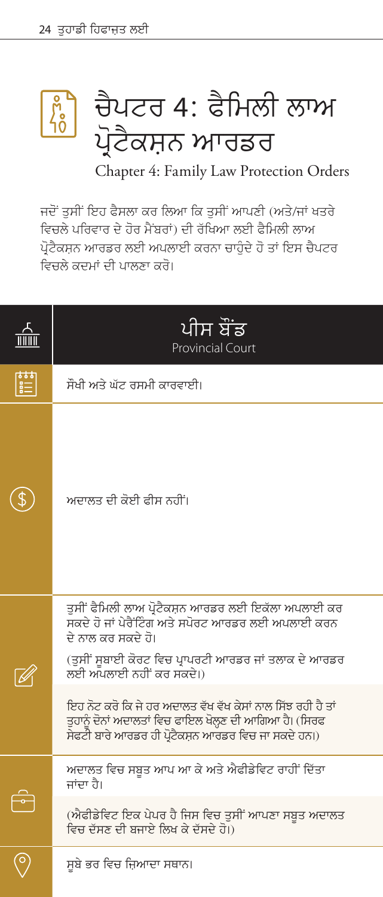# <span id="page-25-0"></span>ਚੈਪਟਰ 4: ਫੈਮਿਲੀ ਲਾਅ <u>।</u>ਟੈਕਸ਼ਨ ਆਰਡਰ

Chapter 4: Family Law Protection Orders

ਜਦੋਂ ਤੁਸੀਂ ਇਹ ਫੈਸਲਾ ਕਰ ਲਿਆ ਕਿ ਤੁਸੀਂ ਆਪਣੀ (ਅਤੇ/ਜਾਂ ਖਤਰੇ ਵਿਚਲੇ ਪਰਿਵਾਰ ਦੇ ਹੋਰ ਮੈਂਬਰਾਂ) ਦੀ ਰੱਖਿਆ ਲਈ ਫੈਮਿਲੀ ਲਾਅ ਪ੍ਰੋਟੈਕਸਨ ਆਰਡਰ ਲਈ ਅਪਲਾਈ ਕਰਨਾ ਚਾਹੰਦੇ ਹੋ ਤਾਂ ਇਸ ਚੈਪਟਰ ਵਿਚਲੇ ਕਦਮਾਂ ਦੀ ਪਾਲਣਾ ਕਰੋ।

| ਪੀਸ ਬੌਂਡ<br><b>Provincial Court</b>                                                                                                                                                                                                                                                                                                                                                             |
|-------------------------------------------------------------------------------------------------------------------------------------------------------------------------------------------------------------------------------------------------------------------------------------------------------------------------------------------------------------------------------------------------|
| ਸੌਖੀ ਅਤੇ ਘੱਟ ਰਸਮੀ ਕਾਰਵਾਈ।                                                                                                                                                                                                                                                                                                                                                                       |
| ਅਦਾਲਤ ਦੀ ਕੋਈ ਫੀਸ ਨਹੀਂ।                                                                                                                                                                                                                                                                                                                                                                          |
| ਤਸੀਂ ਫੈਮਿਲੀ ਲਾਅ ਪ੍ਰੋਟੈਕਸ਼ਨ ਆਰਡਰ ਲਈ ਇਕੱਲਾ ਅਪਲਾਈ ਕਰ<br>ਸਕਦੇ ਹੋ ਜਾਂ ਪੇਰੈਂਟਿੰਗ ਅਤੇ ਸਪੋਰਟ ਆਰਡਰ ਲਈ ਅਪਲਾਈ ਕਰਨ<br>ਦੇ ਨਾਲ ਕਰ ਸਕਦੇ ਹੋ।<br>(ਤੁਸੀਂ ਸੁਬਾਈ ਕੋਰਟ ਵਿਚ ਪ੍ਰਾਪਰਟੀ ਆਰਡਰ ਜਾਂ ਤਲਾਕ ਦੇ ਆਰਡਰ<br>ਲਈ ਅਪਲਾਈ ਨਹੀਂ ਕਰ ਸਕਦੇ।)<br>ਇਹ ਨੋਟ ਕਰੋ ਕਿ ਜੇ ਹਰ ਅਦਾਲਤ ਵੱਖ ਵੱਖ ਕੇਸਾਂ ਨਾਲ ਸਿੱਝ ਰਹੀ ਹੈ ਤਾਂ<br>ਤੁਹਾਨੂੰ ਦੋਨਾਂ ਅਦਾਲਤਾਂ ਵਿਚ ਫਾਇਲ ਖੋਲ੍ਹਣ ਦੀ ਆਗਿਆ ਹੈ। (ਸਿਰਫ<br>ਸੇਫਟੀ ਬਾਰੇ ਆਰਡਰ ਹੀ ਪ੍ਰੋਟੈਕਸਨ ਆਰਡਰ ਵਿਚ ਜਾ ਸਕਦੇ ਹਨ।) |
| ਅਦਾਲਤ ਵਿਚ ਸਬੂਤ ਆਪ ਆ ਕੇ ਅਤੇ ਐਫੀਡੇਵਿਟ ਰਾਹੀਂ ਦਿੱਤਾ<br>ਜਾਂਦਾ ਹੈ।<br>(ਐਫੀਡੇਵਿਟ ਇਕ ਪੇਪਰ ਹੈ ਜਿਸ ਵਿਚ ਤੁਸੀਂ ਆਪਣਾ ਸਬੂਤ ਅਦਾਲਤ<br>ਵਿਚ ਦੱਸਣ ਦੀ ਬਜਾਏ ਲਿਖ ਕੇ ਦੱਸਦੇ ਹੋ।)                                                                                                                                                                                                                                        |
| ਸੂਬੇ ਭਰ ਵਿਚ ਜ਼ਿਆਦਾ ਸਥਾਨ।                                                                                                                                                                                                                                                                                                                                                                        |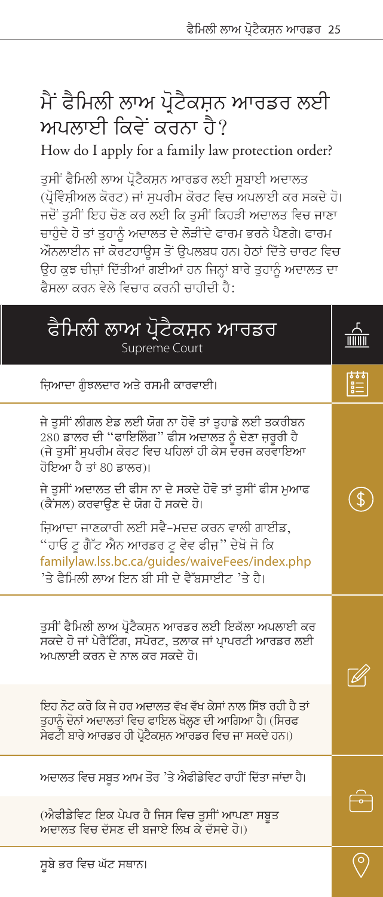# <span id="page-26-0"></span>ਮੈਂ ਫੈਮਿਲੀ ਲਾਅ ਪ੍ਰੋਟੈਕਸ਼ਨ ਆਰਡਰ ਲਈ ਅਪਲਾਈ ਕਿਵੇਂ ਕਰਨਾ ਹੈ?

How do I apply for a family law protection order?

ਤੁਸੀਂ ਫੈਮਿਲੀ ਲਾਅ ਪ੍ਰੋਟੈਕਸ਼ਨ ਆਰਡਰ ਲਈ ਸੂਬਾਈ ਅਦਾਲਤ (ਪੋਵਿੰਸ਼ੀਅਲ ਕੋਰਟ) ਜਾਂ ਸਪਰੀਮ ਕੋਰਟ ਵਿਚ ਅਪਲਾਈ ਕਰ ਸਕਦੇ ਹੋ। ਜਦੋਂ ਤਸੀਂ ਇਹ ਚੋਣ ਕਰ ਲਈ ਕਿ ਤਸੀਂ ਕਿਹੜੀ ਅਦਾਲਤ ਵਿਚ ਜਾਣਾ ਚਾਹੁੰਦੇ ਹੋ ਤਾਂ ਤੁਹਾਨੂੰ ਅਦਾਲਤ ਦੇ ਲੋੜੀਂਦੇ ਫਾਰਮ ਭਰਨੇ ਪੈਣਗੇ। ਫਾਰਮ ਔਨਲਾਈਨ ਜਾਂ ਕੋਰਟਹਾਊਸ ਤੋਂ ਉਪਲਬਧ ਹਨ। ਹੇਠਾਂ ਦਿੱਤੇ ਚਾਰਟ ਵਿਚ .<br>ਉਹ ਕੁਝ ਚੀਜ਼ਾਂ ਦਿੱਤੀਆਂ ਗਈਆਂ ਹਨ ਜਿਨ੍ਹਾਂ ਬਾਰੇ ਤੁਹਾਨੂੰ ਅਦਾਲਤ ਦਾ ਫੈਸਲਾ ਕਰਨ ਵੇਲੇ ਵਿਚਾਰ ਕਰਨੀ ਚਾਹੀਦੀ ਹੈ:

| ਫੈਮਿਲੀ ਲਾਅ ਪ੍ਰੋਟੈਕਸੁਨ ਆਰਡਰ<br>Supreme Court                                                                                                                                                                                                                                                                                                                                                                                                                                            |  |
|----------------------------------------------------------------------------------------------------------------------------------------------------------------------------------------------------------------------------------------------------------------------------------------------------------------------------------------------------------------------------------------------------------------------------------------------------------------------------------------|--|
| ਜ਼ਿਆਦਾ ਗੁੰਝਲਦਾਰ ਅਤੇ ਰਸਮੀ ਕਾਰਵਾਈ।                                                                                                                                                                                                                                                                                                                                                                                                                                                       |  |
| ਜੇ ਤਸੀਂ ਲੀਗਲ ਏਡ ਲਈ ਯੋਗ ਨਾ ਹੋਵੋ ਤਾਂ ਤੁਹਾਡੇ ਲਈ ਤਕਰੀਬਨ<br>280 ਡਾਲਰ ਦੀ "ਫਾਇਲਿੰਗ" ਫੀਸ ਅਦਾਲਤ ਨੂੰ ਦੇਣਾ ਜ਼ਰੂਰੀ ਹੈ<br>(ਜੇ ਤੁਸੀਂ ਸੁਪਰੀਮ ਕੋਰਟ ਵਿਚ ਪਹਿਲਾਂ ਹੀ ਕੇਸ ਦਰਜ ਕਰਵਾਇਆ<br>ਹੋਇਆ ਹੈ ਤਾਂ 80 ਡਾਲਰ)।<br>ਜੇ ਤੁਸੀਂ ਅਦਾਲਤ ਦੀ ਫੀਸ ਨਾ ਦੇ ਸਕਦੇ ਹੋਵੋ ਤਾਂ ਤੁਸੀਂ ਫੀਸ ਮੁਆਫ<br>(ਕੈਂਸਲ) ਕਰਵਾੳਣ ਦੇ ਯੋਗ ਹੋ ਸਕਦੇ ਹੋ।<br>ਜ਼ਿਆਦਾ ਜਾਣਕਾਰੀ ਲਈ ਸਵੈ-ਮਦਦ ਕਰਨ ਵਾਲੀ ਗਾਈਡ,<br>"ਹਾਓ ਟੁ ਗੈੱਟ ਐਨ ਆਰਡਰ ਟੂ ਵੇਵ ਫੀਜ਼" ਦੇਖੋ ਜੋ ਕਿ<br>familylaw.lss.bc.ca/guides/waiveFees/index.php<br>'ਤੇ ਫੈਮਿਲੀ ਲਾਅ ਇਨ ਬੀ ਸੀ ਦੇ ਵੈੱਬਸਾਈਟ 'ਤੇ ਹੈ। |  |
| ਤਸੀਂ ਫੈਮਿਲੀ ਲਾਅ ਪ੍ਰੋਟੈਕਸ਼ਨ ਆਰਡਰ ਲਈ ਇਕੱਲਾ ਅਪਲਾਈ ਕਰ<br>ਸਕਦੇ ਹੋ ਜਾਂ ਪੇਰੈਂਟਿੰਗ, ਸਪੋਰਟ, ਤਲਾਕ ਜਾਂ ਪ੍ਰਾਪਰਟੀ ਆਰਡਰ ਲਈ<br>ਅਪਲਾਈ ਕਰਨ ਦੇ ਨਾਲ ਕਰ ਸਕਦੇ ਹੋ।                                                                                                                                                                                                                                                                                                                                           |  |
| ਇਹ ਨੋਟ ਕਰੋ ਕਿ ਜੇ ਹਰ ਅਦਾਲਤ ਵੱਖ ਵੱਖ ਕੇਸਾਂ ਨਾਲ ਸਿੱਝ ਰਹੀ ਹੈ ਤਾਂ<br>ਤੁਹਾਨੂੰ ਦੋਨਾਂ ਅਦਾਲਤਾਂ ਵਿਚ ਫਾਇਲ ਖੋਲ੍ਹਣ ਦੀ ਆਗਿਆ ਹੈ। (ਸਿਰਫ<br>ਸੇਫਟੀ ਬਾਰੇ ਆਰਡਰ ਹੀ ਪ੍ਰੋਟੈਕਸਨ ਆਰਡਰ ਵਿਚ ਜਾ ਸਕਦੇ ਹਨ।)                                                                                                                                                                                                                                                                                                           |  |
| ਅਦਾਲਤ ਵਿਚ ਸਬੂਤ ਆਮ ਤੌਰ 'ਤੇ ਐਫੀਡੇਵਿਟ ਰਾਹੀਂ ਦਿੱਤਾ ਜਾਂਦਾ ਹੈ।                                                                                                                                                                                                                                                                                                                                                                                                                               |  |
| (ਐਫੀਡੇਵਿਟ ਇਕ ਪੇਪਰ ਹੈ ਜਿਸ ਵਿਚ ਤਸੀਂ ਆਪਣਾ ਸਬਤ<br>ਅਦਾਲਤ ਵਿਚ ਦੱਸਣ ਦੀ ਬਜਾਏ ਲਿਖ ਕੇ ਦੱਸਦੇ ਹੋ।)                                                                                                                                                                                                                                                                                                                                                                                                 |  |
| ਸੂਬੇ ਭਰ ਵਿਚ ਘੱਟ ਸਥਾਨ।                                                                                                                                                                                                                                                                                                                                                                                                                                                                  |  |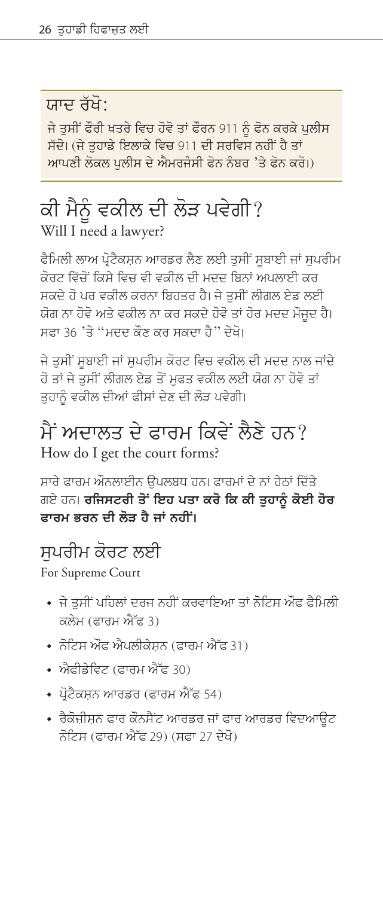#### <span id="page-27-0"></span>ਸ਼ਾਦ ਰੱਖੋ∙

ਜੇ ਤਸੀਂ ਫੌਰੀ ਖਤਰੇ ਵਿਚ ਹੋਵੋ ਤਾਂ ਫੌਰਨ 911 ਨੰ ਫੋਨ ਕਰਕੇ ਪਲੀਸ ਸੱਦੋ। (ਜੇ ਤਹਾਡੇ ਇਲਾਕੇ ਵਿਚ 911 ਦੀ ਸਰਵਿਸ ਨਹੀਂ ਹੈ ਤਾਂ ਆਪਣੀ ਲੋਕਲ ਪਲੀਸ ਦੇ ਐਮਰਜੰਸੀ ਫੋਨ ਨੰਬਰ 'ਤੇ ਫੋਨ ਕਰੋ।)

## ਕੀ ਮੈਨੰ ਵਕੀਲ ਦੀ ਲੋੜ ਪਵੇਗੀ? Will I need a lawyer?

ਫੈਮਿਲੀ ਲਾਅ ਪ੍ਰੋਟੈਕਸਨ ਆਰਡਰ ਲੈਣ ਲਈ ਤਸੀਂ ਸਬਾਈ ਜਾਂ ਸਪਰੀਮ ਕੋਰਟ ਵਿੱਚੋਂ ਕਿਸੇ ਵਿਚ ਵੀ ਵਕੀਲ ਦੀ ਮਦਦ ਬਿਨਾਂ ਅਪਲਾਈ ਕਰ ਸਕਦੇ ਹੋ ਪਰ ਵਕੀਲ ਕਰਨਾ ਬਿਹਤਰ ਹੈ। ਜੇ ਤਸੀਂ ਲੀਗਲ ਏਡ ਲਈ ਯੋਗ ਨਾ ਹੋਵੋ ਅਤੇ ਵਕੀਲ ਨਾ ਕਰ ਸਕਦੇ ਹੋਵੋ ਤਾਂ ਹੋਰ ਮਦਦ ਮੌਜਦ ਹੈ। ਸਫਾ 36 'ਤੇ ''ਮਦਦ ਕੌਣ ਕਰ ਸਕਦਾ ਹੈ'' ਦੇਖੋ।

ਜੇ ਤੁਸੀਂ ਸੁਬਾਈ ਜਾਂ ਸੁਪਰੀਮ ਕੋਰਟ ਵਿਚ ਵਕੀਲ ਦੀ ਮਦਦ ਨਾਲ ਜਾਂਦੇ ਹੋ ਤਾਂ ਜੇ ਤਸੀਂ ਲੀਗਲ ਏਡ ਤੋਂ ਮਫਤ ਵਕੀਲ ਲਈ ਯੋਗ ਨਾ ਹੋਵੋ ਤਾਂ ਤਹਾਨੰ ਵਕੀਲ ਦੀਆਂ ਫੀਸਾਂ ਦੇਣ ਦੀ ਲੋੜ ਪਵੇਗੀ।

## ਮੈਂ ਅਦਾਲਤ ਦੇ ਫਾਰਮ ਕਿਵੇਂ ਲੈਣੇ ਹਨ? How do I get the court forms?

ਸਾਰੇ ਫਾਰਮ ਔਨਲਾਈਨ ੳਪਲਬਧ ਹਨ। ਫਾਰਮਾਂ ਦੇ ਨਾਂ ਹੇਠਾਂ ਦਿੱਤੇ ਗਏ ਹਨ। **ਰਜਿਸਟਰੀ ਤੋਂ ਇਹ ਪਤਾ ਕਰੋ ਕਿ ਕੀ ਤਹਾਨੂੰ ਕੋਈ ਹੋਰ** ਫਾਰਮ ਭਰਨ ਦੀ ਲੋਤ ਹੈ ਜਾਂ ਨਹੀਂ।

#### ਸਪਰੀਮ ਕੋਰਟ ਲਈ

For Supreme Court

- ਜੇ ਤਸੀਂ ਪਹਿਲਾਂ ਦਰਜ ਨਹੀਂ ਕਰਵਾਇਆ ਤਾਂ ਨੋਟਿਸ ਔਫ ਫੈਮਿਲੀ ਕਲੇਮ (ਫਾਰਮ ਐੱਫ 3)
- ਨੋਟਿਸ ਔਫ ਐਪਲੀਕੇਸਨ (ਫਾਰਮ ਐੱਫ 31)
- ਐਫੀਡੇਵਿਟ (ਫਾਰਮ ਐੱਫ 30)
- ਪ੍ਰੋਟੈਕਸਨ ਆਰਡਰ (ਫਾਰਮ ਐੱਫ 54)
- ∙ ਰੈਕੋਜੀਸਨ ਫਾਰ ਕੌਨਸੈਂਟ ਆਰਡਰ ਜਾਂ ਫਾਰ ਆਰਡਰ ਵਿਦਆੳਟ ਨੋਟਿਸ (ਫਾਰਮ ਐੱਫ 29) (ਸਫਾ 27 ਦੇਖੋ)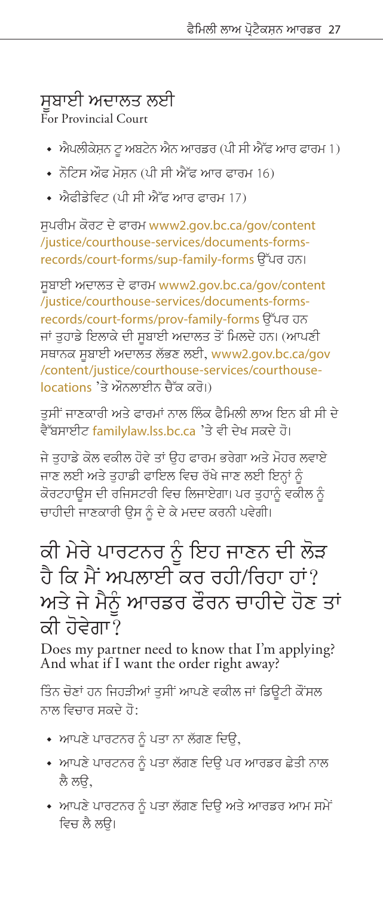#### <span id="page-28-0"></span>ਸਬਾਈ ਅਦਾਲਤ ਲਈ

For Provincial Court

- ਐਪਲੀਕੇਸ਼ਨ ਟ ਅਬਟੇਨ ਐਨ ਆਰਡਰ (ਪੀ ਸੀ ਐੱਫ ਆਰ ਫਾਰਮ 1)
- ਨੋਟਿਸ ਔਫ ਮੋਸ਼ਨ (ਪੀ ਸੀ ਐੱਫ ਆਰ ਫਾਰਮ 16)
- ਐਫੀਡੇਵਿਟ (ਪੀ ਸੀ ਐੱਫ ਆਰ ਫਾਰਮ 17)

ਸਪਰੀਮ ਕੋਰਟ ਦੇ ਫਾਰਮ www2.gov.bc.ca/gov/content /justice/courthouse-services/documents-formsrecords/court-forms/sup-family-forms ਉੱਪਰ ਹਨ।

ਸਬਾਈ ਅਦਾਲਤ ਦੇ ਫਾਰਮ www2.gov.bc.ca/gov/content /justice/courthouse-services/documents-formsrecords/court-forms/prov-family-forms ਉੱਪਰ ਹਨ ਜਾਂ ਤਹਾਡੇ ਇਲਾਕੇ ਦੀ ਸਬਾਈ ਅਦਾਲਤ ਤੋਂ ਮਿਲਦੇ ਹਨ। (ਆਪਣੀ ਸਥਾਨਕ ਸਬਾਈ ਅਦਾਲਤ ਲੱਭਣ ਲਈ, www2.gov.bc.ca/gov /content/justice/courthouse-services/courthouselocations 'ਤੇ ਔਨਲਾਈਨ ਜੈੱਕ ਕਰੋ।)

ਤਸੀਂ ਜਾਣਕਾਰੀ ਅਤੇ ਫਾਰਮਾਂ ਨਾਲ ਲਿੰਕ ਫੈਮਿਲੀ ਲਾਅ ਇਨ ਬੀ ਸੀ ਦੇ ਵੈੱਬਸਾਈਟ familylaw.lss.bc.ca 'ਤੇ ਵੀ ਦੇਖ ਸਕਦੇ ਹੋ।

ਜੇ ਤਹਾਡੇ ਕੋਲ ਵਕੀਲ ਹੋਵੇ ਤਾਂ ਉਹ ਫਾਰਮ ਭਰੇਗਾ ਅਤੇ ਮੋਹਰ ਲਵਾਏ ਜਾਣ ਲਈ ਅਤੇ ਤਹਾਡੀ ਫਾਇਲ ਵਿਚ ਰੱਖੇ ਜਾਣ ਲਈ ਇਨਾਂ ਨੰ ਕੋਰਟਹਾਊਸ ਦੀ ਰਜਿਸਟਰੀ ਵਿਚ ਲਿਜਾਏਗਾ। ਪਰ ਤਹਾਨੂੰ ਵਕੀਲ ਨੂੰ ਚਾਹੀਦੀ ਜਾਣਕਾਰੀ ੳਸ ਨੂੰ ਦੇ ਕੇ ਮਦਦ ਕਰਨੀ ਪਵੇਗੀ।

## ਕੀ ਮੇਰੇ ਪਾਰਟਨਰ ਨੂੰ ਇਹ ਜਾਣਨ ਦੀ ਲੋੜ ਹੈ ਕਿ ਮੈਂ ਅਪਲਾਈ ਕਰ ਰਹੀ/ਰਿਹਾ ਹਾਂ? ਅਤੇ ਜੇ ਮੈਨੰ ਆਰਡਰ ਫੌਰਨ ਚਾਹੀਦੇ ਹੋਣ ਤਾਂ ਕੀ ਹੋਵੇਗਾ?

Does my partner need to know that I'm applying? And what if I want the order right away?

ਤਿੰਨ ਚੋਣਾਂ ਹਨ ਜਿਹੜੀਆਂ ਤਸੀਂ ਆਪਣੇ ਵਕੀਲ ਜਾਂ ਡਿਊਟੀ ਕੌਂਸਲ ਨਾਲ ਵਿਚਾਰ ਸਕਦੇ ਹੋ:

- ਆਪਣੇ ਪਾਰਟਨਰ ਨੂੰ ਪਤਾ ਨਾ ਲੱਗਣ ਦਿਉ,
- ਆਪਣੇ ਪਾਰਟਨਰ ਨੂੰ ਪਤਾ ਲੱਗਣ ਦਿਉ ਪਰ ਆਰਡਰ ਛੇਤੀ ਨਾਲ ਲੈ ਲੳ.
- ਆਪਣੇ ਪਾਰਟਨਰ ਨੰ ਪਤਾ ਲੱਗਣ ਦਿੳ ਅਤੇ ਆਰਡਰ ਆਮ ਸਮੇਂ ਵਿਚ ਲੈ ਲੳ।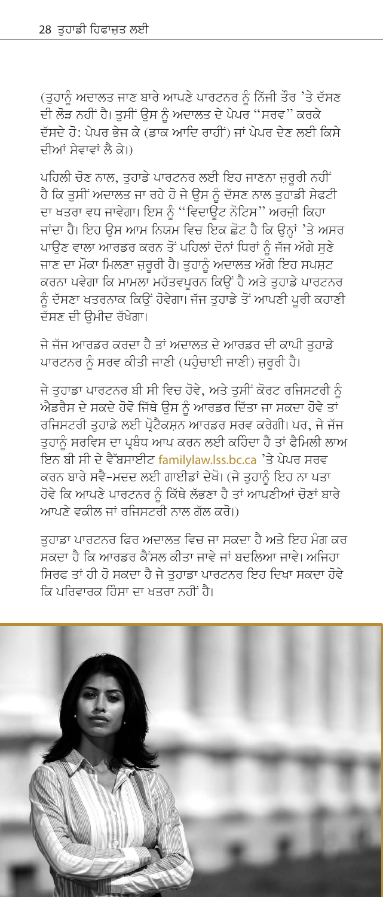(ਤਹਾਨੰ ਅਦਾਲਤ ਜਾਣ ਬਾਰੇ ਆਪਣੇ ਪਾਰਟਨਰ ਨੰ ਨਿੱਜੀ ਤੌਰ 'ਤੇ ਦੱਸਣ ਦੀ ਲੋੜ ਨਹੀਂ ਹੈ। ਤਸੀਂ ਉਸ ਨੂੰ ਅਦਾਲਤ ਦੇ ਪੇਪਰ "ਸਰਵ" ਕਰਕੇ .<br>ਦੱਸਦੇ ਹੋ: ਪੇਪਰ ਭੇਜ ਕੇ (ਡਾਕ ਆਦਿ ਰਾਹੀਂ) ਜਾਂ ਪੇਪਰ ਦੇਣ ਲਈ ਕਿਸੇ ਦੀਆਂ ਸੇਵਾਵਾਂ ਲੈ ਕੇ।)

ਪਹਿਲੀ ਚੋਣ ਨਾਲ, ਤਹਾਡੇ ਪਾਰਟਨਰ ਲਈ ਇਹ ਜਾਣਨਾ ਜ਼ਰਰੀ ਨਹੀਂ ਹੈ ਕਿ ਤਸੀਂ ਅਦਾਲਤ ਜਾ ਰਹੇ ਹੋ ਜੇ ੳਸ ਨੰ ਦੱਸਣ ਨਾਲ ਤਹਾਡੀ ਸੇਫਟੀ ਦਾ ਖਤਰਾ ਵਧ ਜਾਵੇਗਾ। ਇਸ ਨੂੰ ''ਵਿਦਾਉਂਟ ਨੋਟਿਸ'' ਅਰਜ਼ੀ ਕਿਹਾ ਜਾਂਦਾ ਹੈ। ਇਹ ੳਸ ਆਮ ਨਿਯਮ ਵਿਚ ਇਕ ਛੋਟ ਹੈ ਕਿ ੳਨਾਂ 'ਤੇ ਅਸਰ ਪਾੳਣ ਵਾਲਾ ਆਰਡਰ ਕਰਨ ਤੋਂ ਪਹਿਲਾਂ ਦੋਨਾਂ ਧਿਰਾਂ ਨੰ ਜੱਜ ਅੱਗੇ ਸਣੇ ਜਾਣ ਦਾ ਮੌਕਾ ਮਿਲਣਾ ਜ਼ਰਰੀ ਹੈ। ਤਹਾਨੂੰ ਅਦਾਲਤ ਅੱਗੇ ਇਹ ਸਪਸ਼ਟ ਕਰਨਾ ਪਵੇਗਾ ਕਿ ਮਾਮਲਾ ਮਹੱਤਵਪੂਰਨ ਕਿਉਂ ਹੈ ਅਤੇ ਤੁਹਾਡੇ ਪਾਰਟਨਰ ਨੂੰ ਦੱਸਣਾ ਖਤਰਨਾਕ ਕਿਉਂ ਹੋਵੇਗਾ। ਜੱਜ ਤਹਾਡੇ ਤੋਂ ਆਪਣੀ ਪੂਰੀ ਕਹਾਣੀ ਦੱਸਣ ਦੀ ਉਮੀਦ ਰੱਖੇਗਾ।

ਜੇ ਜੱਜ ਆਰਡਰ ਕਰਦਾ ਹੈ ਤਾਂ ਅਦਾਲਤ ਦੇ ਆਰਡਰ ਦੀ ਕਾਪੀ ਤਹਾਡੇ ਪਾਰਟਨਰ ਨੰ ਸਰਵ ਕੀਤੀ ਜਾਣੀ (ਪਹੰਚਾਈ ਜਾਣੀ) ਜ਼ਰਰੀ ਹੈ।

ਜੇ ਤੁਹਾਡਾ ਪਾਰਟਨਰ ਬੀ ਸੀ ਵਿਚ ਹੋਵੇ, ਅਤੇ ਤੁਸੀਂ ਕੋਰਟ ਰਜਿਸਟਰੀ ਨੂੰ ਐਡਰੈਸ ਦੇ ਸਕਦੇ ਹੋਵੋ ਜਿੱਥੇ ਉਸ ਨੂੰ ਆਰਡਰ ਦਿੱਤਾ ਜਾ ਸਕਦਾ ਹੋਵੇ ਤਾਂ ਰਜਿਸਟਰੀ ਤੁਹਾਡੇ ਲਈ ਪ੍ਰੋਟੈਕਸ਼ਨ ਆਰਡਰ ਸਰਵ ਕਰੇਗੀ। ਪਰ, ਜੇ ਜੱਜ ਤਹਾਨੰ ਸਰਵਿਸ ਦਾ ਪਬੰਧ ਆਪ ਕਰਨ ਲਈ ਕਹਿੰਦਾ ਹੈ ਤਾਂ ਫੈਮਿਲੀ ਲਾਅ ਇਨ ਬੀ ਸੀ ਦੇ ਵੈੱਬਸਾਈਟ familylaw.lss.bc.ca 'ਤੇ ਪੇਪਰ ਸਰਵ ਕਰਨ ਬਾਰੇ ਸਵੈ-ਮਦਦ ਲਈ ਗਾਈਡਾਂ ਦੇਖੋ। (ਜੇ ਤੁਹਾਨੂੰ ਇਹ ਨਾ ਪਤਾ ਹੋਵੇ ਕਿ ਆਪਣੇ ਪਾਰਟਨਰ ਨੂੰ ਕਿੱਥੇ ਲੱਭਣਾ ਹੈ ਤਾਂ ਆਪਣੀਆਂ ਚੋਣਾਂ ਬਾਰੇ ਆਪਣੇ ਵਕੀਲ ਜਾਂ ਰਜਿਸਟਰੀ ਨਾਲ ਗੱਲ ਕਰੋ।)

ਤਹਾਡਾ ਪਾਰਟਨਰ ਫਿਰ ਅਦਾਲਤ ਵਿਚ ਜਾ ਸਕਦਾ ਹੈ ਅਤੇ ਇਹ ਮੰਗ ਕਰ ਸਕਦਾ ਹੈ ਕਿ ਆਰਡਰ ਕੈਂਸਲ ਕੀਤਾ ਜਾਵੇ ਜਾਂ ਬਦਲਿਆ ਜਾਵੇ। ਅਜਿਹਾ ਸਿਰਫ ਤਾਂ ਹੀ ਹੋ ਸਕਦਾ ਹੈ ਜੇ ਤਹਾਡਾ ਪਾਰਟਨਰ ਇਹ ਦਿਖਾ ਸਕਦਾ ਹੋਵੇ ਕਿ ਪਰਿਵਾਰਕ ਹਿੰਸਾ ਦਾ ਖਤਰਾ ਨਹੀਂ ਹੈ।

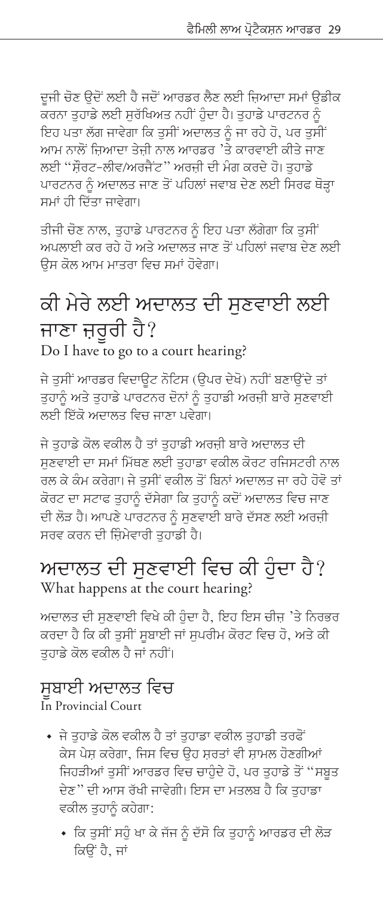<span id="page-30-0"></span>ਦਜੀ ਚੋਣ ੳਦੋਂ ਲਈ ਹੈ ਜਦੋਂ ਆਰਡਰ ਲੈਣ ਲਈ ਜ਼ਿਆਦਾ ਸਮਾਂ ੳਡੀਕ \_<br>ਕਰਨਾ ਤਹਾਡੇ ਲਈ ਸਰੱਖਿਅਤ ਨਹੀਂ ਹੈਦਾ ਹੈ। ਤਹਾਡੇ ਪਾਰਟਨਰ ਨੂੰ .<br>ਇਹ ਪਤਾ ਲੱਗ ਜਾਵੇਗਾ ਕਿ ਤਸੀਂ ਅਦਾਲਤ ਨੂੰ ਜਾ ਰਹੇ ਹੋ, ਪਰ ਤਸੀਂ ਆਮ ਨਾਲੋਂ ਜਿਆਦਾ ਤੇਜੀ ਨਾਲ ਆਰਡਰ 'ਤੇ ਕਾਰਵਾਈ ਕੀਤੇ ਜਾਣ ਲਈ "ਸੌਰਟ-ਲੀਵ/ਅਰਜੈਂਟ" ਅਰਜੀ ਦੀ ਮੰਗ ਕਰਦੇ ਹੋ। ਤਹਾਡੇ ਪਾਰਟਨਰ ਨੂੰ ਅਦਾਲਤ ਜਾਣ ਤੋਂ ਪਹਿਲਾਂ ਜਵਾਬ ਦੇਣ ਲਈ ਸਿਰਫ ਥੋੜ੍ਹਾ ਸਮਾਂ ਹੀ ਦਿੱਤਾ ਜਾਵੇਗਾ।

ਤੀਜੀ ਚੋਣ ਨਾਲ, ਤਹਾਡੇ ਪਾਰਟਨਰ ਨੂੰ ਇਹ ਪਤਾ ਲੱਗੇਗਾ ਕਿ ਤਸੀਂ .<br>ਅਪਲਾਈ ਕਰ ਰਹੇ ਹੋ ਅਤੇ ਅਦਾਲਤ ਜਾਣ ਤੋਂ ਪਹਿਲਾਂ ਜਵਾਬ ਦੇਣ ਲਈ ਉਸ ਕੋਲ ਆਮ ਮਾਤਰਾ ਵਿਚ ਸਮਾਂ ਹੋਵੇਗਾ।

# ਕੀ ਮੇਰੇ ਲਈ ਅਦਾਲਤ ਦੀ ਸਣਵਾਈ ਲਈ ਜਾਣਾ ਜ਼ਰਰੀ ਹੈ?

Do I have to go to a court hearing?

ਜੇ ਤਸੀਂ ਆਰਡਰ ਵਿਦਾਉਟ ਨੋਟਿਸ (ਉਪਰ ਦੇਖੋ) ਨਹੀਂ ਬਣਾਉਂਦੇ ਤਾਂ ਤੁਹਾਨੂੰ ਅਤੇ ਤੁਹਾਡੇ ਪਾਰਟਨਰ ਦੋਨਾਂ ਨੂੰ ਤੁਹਾਡੀ ਅਰਜ਼ੀ ਬਾਰੇ ਸੁਣਵਾਈ ਲਈ ਇੱਕੋ ਅਦਾਲਤ ਵਿਚ ਜਾਣਾ ਪਵੇਗਾ।

ਜੇ ਤਹਾਡੇ ਕੋਲ ਵਕੀਲ ਹੈ ਤਾਂ ਤਹਾਡੀ ਅਰਜੀ ਬਾਰੇ ਅਦਾਲਤ ਦੀ ਸਣਵਾਈ ਦਾ ਸਮਾਂ ਮਿੱਥਣ ਲਈ ਤਹਾਡਾ ਵਕੀਲ ਕੋਰਟ ਰਜਿਸਟਰੀ ਨਾਲ ਰਲ ਕੇ ਕੰਮ ਕਰੇਗਾ। ਜੇ ਤਸੀਂ ਵਕੀਲ ਤੋਂ ਬਿਨਾਂ ਅਦਾਲਤ ਜਾ ਰਹੇ ਹੋਵੋ ਤਾਂ ਕੋਰਟ ਦਾ ਸਟਾਫ ਤਹਾਨੂੰ ਦੱਸੇਗਾ ਕਿ ਤਹਾਨੂੰ ਕਦੋਂ ਅਦਾਲਤ ਵਿਚ ਜਾਣ ਦੀ ਲੋੜ ਹੈ। ਆਪਣੇ ਪਾਰਟਨਰ ਨੰ ਸਣਵਾਈ ਬਾਰੇ ਦੱਸਣ ਲਈ ਅਰਜੀ ਸਰਵ ਕਰਨ ਦੀ ਜਿੰਮੇਵਾਰੀ ਤਹਾਡੀ ਹੈ।

#### ਅਦਾਲਤ ਦੀ ਸਣਵਾਈ ਵਿਚ ਕੀ ਹੰਦਾ ਹੈ? What happens at the court hearing?

ਅਦਾਲਤ ਦੀ ਸਣਵਾਈ ਵਿਖੇ ਕੀ ਹੰਦਾ ਹੈ. ਇਹ ਇਸ ਚੀਜ 'ਤੇ ਨਿਰਭਰ ਕਰਦਾ ਹੈ ਕਿ ਕੀ ਤੁਸੀਂ ਸੁਬਾਈ ਜਾਂ ਸੁਪਰੀਮ ਕੋਰਟ ਵਿਚ ਹੋ, ਅਤੇ ਕੀ ਤਹਾਡੇ ਕੋਲ ਵਕੀਲ ਹੈ ਜਾਂ ਨਹੀਂ।

## ਸਬਾਈ ਅਦਾਲਤ ਵਿਚ

In Provincial Court

- ∙ ਜੇ ਤਹਾਡੇ ਕੋਲ ਵਕੀਲ ਹੈ ਤਾਂ ਤਹਾਡਾ ਵਕੀਲ ਤਹਾਡੀ ਤਰਫੋਂ ਕੇਸ ਪੇਸ਼ ਕਰੇਗਾ, ਜਿਸ ਵਿਚ ੳਹ ਸਰਤਾਂ ਵੀ ਸ਼ਾਮਲ ਹੋਣਗੀਆਂ ਜਿਹੜੀਆਂ ਤਸੀਂ ਆਰਡਰ ਵਿਚ ਚਾਹੌਦੇ ਹੋ, ਪਰ ਤਹਾਡੇ ਤੋਂ "ਸਬਤ ਦੇਣ" ਦੀ ਆਸ ਰੱਖੀ ਜਾਵੇਗੀ। ਇਸ ਦਾ ਮਤਲਬ ਹੈ ਕਿ ਤਹਾਡਾ ਵਕੀਲ ਤਹਾਨੰ ਕਹੇਗਾ:
	- ਕਿ ਤੁਸੀਂ ਸਹੁੰ ਖਾ ਕੇ ਜੱਜ ਨੂੰ ਦੱਸੋ ਕਿ ਤੁਹਾਨੂੰ ਆਰਡਰ ਦੀ ਲੋੜ ਕਿਓਂ ਹੈ. ਜਾਂ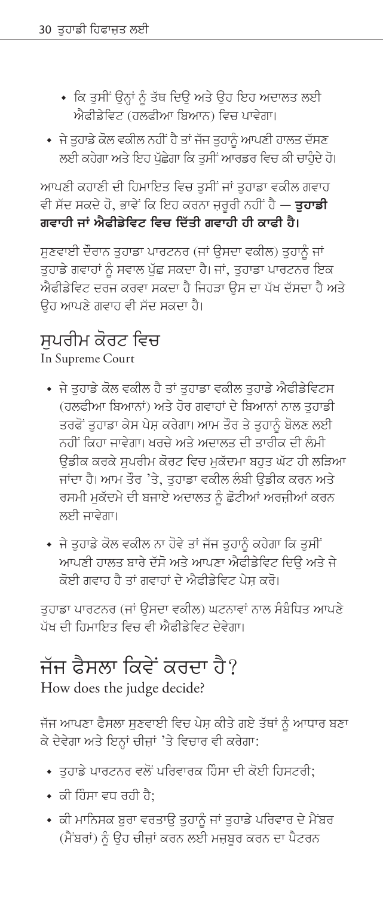- <span id="page-31-0"></span>• ਕਿ ਤਸੀਂ ਉਨ੍ਹਾਂ ਨੂੰ ਤੱਥ ਦਿਉ ਅਤੇ ਉਹ ਇਹ ਅਦਾਲਤ ਲਈ ਐਫੀਡੇਵਿਟ (ਹਲਫੀਆ ਬਿਆਨ) ਵਿਚ ਪਾਵੇਗਾ।
- ∙ ਜੇ ਤਹਾਡੇ ਕੋਲ ਵਕੀਲ ਨਹੀਂ ਹੈ ਤਾਂ ਜੱਜ ਤਹਾਨੰ ਆਪਣੀ ਹਾਲਤ ਦੱਸਣ ਲਈ ਕਹੇਗਾ ਅਤੇ ਇਹ ਪੁੱਛੇਗਾ ਕਿ ਤੁਸੀਂ ਆਰਡਰ ਵਿਚ ਕੀ ਚਾਹੁੰਦੇ ਹੋ।

ਆਪਣੀ ਕਹਾਣੀ ਦੀ ਹਿਮਾਇਤ ਵਿਚ ਤਸੀਂ ਜਾਂ ਤਹਾਡਾ ਵਕੀਲ ਗਵਾਹ ਵੀ ਸੱਦ ਸਕਦੇ ਹੋ. ਭਾਵੇਂ ਕਿ ਇਹ ਕਰਨਾ ਜਰਰੀ ਨਹੀਂ ਹੈ — **ਤਹਾਡੀ** ਗਵਾਹੀ ਜਾਂ ਐਫੀਡੇਵਿਟ ਵਿਚ ਦਿੱਤੀ ਗਵਾਹੀ ਹੀ ਕਾਫ਼ੀ ਹੈ।

ਸਣਵਾਈ ਦੌਰਾਨ ਤਹਾਡਾ ਪਾਰਟਨਰ (ਜਾਂ ਉਸਦਾ ਵਕੀਲ) ਤਹਾਨੰ ਜਾਂ ਤਹਾਡੇ ਗਵਾਹਾਂ ਨੂੰ ਸਵਾਲ ਪੱਛ ਸਕਦਾ ਹੈ। ਜਾਂ, ਤਹਾਡਾ ਪਾਰਟਨਰ ਇਕ .<br>ਐਫੀਡੇਵਿਟ ਦਰਜ ਕਰਵਾ ਸਕਦਾ ਹੈ ਜਿਹੜਾ ੳਸ ਦਾ ਪੱਖ ਦੱਸਦਾ ਹੈ ਅਤੇ ਉਹ ਆਪਣੇ ਗਵਾਹ ਵੀ ਸੱਦ ਸਕਦਾ ਹੈ।

## ਸਪਰੀਮ ਕੋਰਟ ਵਿਚ

In Supreme Court

- ◆ ਜੇ ਤਹਾਡੇ ਕੋਲ ਵਕੀਲ ਹੈ ਤਾਂ ਤਹਾਡਾ ਵਕੀਲ ਤਹਾਡੇ ਐਫੀਡੇਵਿਟਸ (ਹਲਫੀਆ ਬਿਆਨਾਂ) ਅਤੇ ਹੋਰ ਗਵਾਹਾਂ ਦੇ ਬਿਆਨਾਂ ਨਾਲ ਤਹਾਡੀ ਤਰਫੋਂ ਤੁਹਾਡਾ ਕੇਸ ਪੇਸ਼ ਕਰੇਗਾ। ਆਮ ਤੌਰ ਤੇ ਤੁਹਾਨੂੰ ਬੋਲਣ ਲਈ ਨਹੀਂ ਕਿਹਾ ਜਾਵੇਗਾ। ਖਰਚੇ ਅਤੇ ਅਦਾਲਤ ਦੀ ਤਾਰੀਕ ਦੀ ਲੰਮੀ ੳਡੀਕ ਕਰਕੇ ਸਪਰੀਮ ਕੋਰਟ ਵਿਚ ਮਕੱਦਮਾ ਬਹੁਤ ਘੱਟ ਹੀ ਲੜਿਆ ਜਾਂਦਾ ਹੈ। ਆਮ ਤੌਰ 'ਤੇ, ਤੁਹਾਡਾ ਵਕੀਲ ਲੰਬੀ ਉਡੀਕ ਕਰਨ ਅਤੇ ਰਸਮੀ ਮਕੱਦਮੇ ਦੀ ਬਜਾਏ ਅਦਾਲਤ ਨੰ ਛੋਟੀਆਂ ਅਰਜ਼ੀਆਂ ਕਰਨ ਲਈ ਜਾਵੇਗਾ।
- ◆ ਜੇ ਤਹਾਡੇ ਕੋਲ ਵਕੀਲ ਨਾ ਹੋਵੇ ਤਾਂ ਜੱਜ ਤਹਾਨੂੰ ਕਹੇਗਾ ਕਿ ਤਸੀਂ ਆਪਣੀ ਹਾਲਤ ਬਾਰੇ ਦੱਸੋ ਅਤੇ ਆਪਣਾ ਐਫੀਡੇਵਿਟ ਦਿੳ ਅਤੇ ਜੇ ਕੋਈ ਗਵਾਹ ਹੈ ਤਾਂ ਗਵਾਹਾਂ ਦੇ ਐਫੀਡੇਵਿਟ ਪੇਸ ਕਰੋ।

ਤਹਾਡਾ ਪਾਰਟਨਰ (ਜਾਂ ੳਸਦਾ ਵਕੀਲ) ਘਟਨਾਵਾਂ ਨਾਲ ਸੰਬੰਧਿਤ ਆਪਣੇ ਪੱਖ ਦੀ ਹਿਮਾਇਤ ਵਿਚ ਵੀ ਐਫ਼ੀਡੇਵਿਟ ਦੇਵੇਗਾ।

#### ਜੱਜ ਫ਼ੈਸਲਾ ਕਿਵੇਂ ਕਰਦਾ ਹੈ*?* How does the judge decide?

ਜੱਜ ਆਪਣਾ ਫੈਸਲਾ ਸੁਣਵਾਈ ਵਿਚ ਪੇਸ਼ ਕੀਤੇ ਗਏ ਤੱਥਾਂ ਨੂੰ ਆਧਾਰ ਬਣਾ ਕੇ ਦੇਵੇਗਾ ਅਤੇ ਇਨਾਂ ਚੀਜ਼ਾਂ 'ਤੇ ਵਿਚਾਰ ਵੀ ਕਰੇਗਾ:

- ◆ ਤੁਹਾਡੇ ਪਾਰਟਨਰ ਵਲੋਂ ਪਰਿਵਾਰਕ ਹਿੰਸਾ ਦੀ ਕੋਈ ਹਿਸਟਰੀ;
- $\bullet$  ਕੀ ਹਿੰਸਾ ਵਧ ਰਹੀ ਹੈ:
- ◆ ਕੀ ਮਾਨਿਸਕ ਬਰਾ ਵਰਤਾੳ ਤਹਾਨੰ ਜਾਂ ਤਹਾਡੇ ਪਰਿਵਾਰ ਦੇ ਮੈਂਬਰ (ਮੈਂਬਰਾਂ) ਨੂੰ ਉਹ ਚੀਜ਼ਾਂ ਕਰਨ ਲਈ ਮਜ਼ਬਰ ਕਰਨ ਦਾ ਪੈਟਰਨ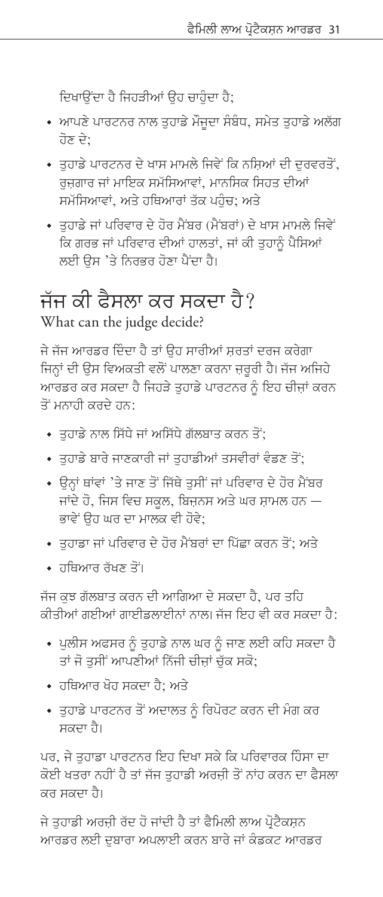<span id="page-32-0"></span>ਦਿਖਾੳਂਦਾ ਹੈ ਜਿਹੜੀਆਂ ੳਹ ਚਾਹੰਦਾ ਹੈ:

- ◆ ਆਪਣੇ ਪਾਰਟਨਰ ਨਾਲ ਤਹਾਡੇ ਮੌਜਦਾ ਸੰਬੰਧ, ਸਮੇਤ ਤਹਾਡੇ ਅਲੱਗ ਹੋਣ ਦੇ:
- ∙ ਤਹਾਡੇ ਪਾਰਟਨਰ ਦੇ ਖਾਸ ਮਾਮਲੇ ਜਿਵੇਂ ਕਿ ਨਸ਼ਿਆਂ ਦੀ ਦਰਵਰਤੋਂ, ਰੁਜ਼ਗਾਰ ਜਾਂ ਮਾਇਕ ਸਮੱਸਿਆਵਾਂ, ਮਾਨਸਿਕ ਸਿਹਤ ਦੀਆਂ ਸਮੱਸਿਆਵਾਂ, ਅਤੇ ਹਥਿਆਰਾਂ ਤੱਕ ਪਹੰਚ: ਅਤੇ
- ◆ ਤਹਾਡੇ ਜਾਂ ਪਰਿਵਾਰ ਦੇ ਹੋਰ ਮੈਂਬਰ (ਮੈਂਬਰਾਂ) ਦੇ ਖਾਸ ਮਾਮਲੇ ਜਿਵੇਂ ਕਿ ਗਰਭ ਜਾਂ ਪਰਿਵਾਰ ਦੀਆਂ ਹਾਲਤਾਂ, ਜਾਂ ਕੀ ਤੁਹਾਨੂੰ ਪੈਸਿਆਂ ਲਈ ਉਸ 'ਤੇ ਨਿਰਭਰ ਹੋਣਾ ਪੈਂਦਾ ਹੈ।

#### ਜੱਜ ਕੀ ਫੈਸਲਾ ਕਰ ਸਕਦਾ ਹੈ? What can the judge decide?

ਜੇ ਜੱਜ ਆਰਡਰ ਦਿੰਦਾ ਹੈ ਤਾਂ ਉਹ ਸਾਰੀਆਂ ਸ਼ਰਤਾਂ ਦਰਜ ਕਰੇਗਾ ਜਿਨਾਂ ਦੀ ੳਸ ਵਿਅਕਤੀ ਵਲੋਂ ਪਾਲਣਾ ਕਰਨਾ ਜ਼ਰਰੀ ਹੈ। ਜੱਜ ਅਜਿਹੇ ਆਰਡਰ ਕਰ ਸਕਦਾ ਹੈ ਜਿਹੜੇ ਤਹਾਡੇ ਪਾਰਟਨਰ ਨੂੰ ਇਹ ਚੀਜ਼ਾਂ ਕਰਨ ਤੋਂ ਮਨਾਹੀ ਕਰਦੇ ਹਨ:

- ◆ ਤਹਾਡੇ ਨਾਲ ਸਿੱਧੇ ਜਾਂ ਅਸਿੱਧੇ ਗੱਲਬਾਤ ਕਰਨ ਤੋਂ;
- ◆ ਤਹਾਡੇ ਬਾਰੇ ਜਾਣਕਾਰੀ ਜਾਂ ਤਹਾਡੀਆਂ ਤਸਵੀਰਾਂ ਵੰਡਣ ਤੋਂ;
- ∙ ਉਨ੍ਹਾਂ ਥਾਂਵਾਂ 'ਤੇ ਜਾਣ ਤੋਂ ਜਿੱਥੇ ਤਸੀਂ ਜਾਂ ਪਰਿਵਾਰ ਦੇ ਹੋਰ ਮੈਂਬਰ ਜਾਂਦੇ ਹੋ, ਜਿਸ ਵਿਚ ਸਕਲ, ਬਿਜਨਸ ਅਤੇ ਘਰ ਸ਼ਾਮਲ ਹਨ — ਭਾਵੇਂ ਉਹ ਘਰ ਦਾ ਮਾਲਕ ਵੀ ਹੋਵੇ;
- ◆ ਤਹਾਡਾ ਜਾਂ ਪਰਿਵਾਰ ਦੇ ਹੋਰ ਮੈਂਬਰਾਂ ਦਾ ਪਿੱਛਾ ਕਰਨ ਤੋਂ; ਅਤੇ
- ∙ਾਥਿਆਰ ਰੱਖਣ ਤੋਂ।

ਜੱਜ ਕਝ ਗੱਲਬਾਤ ਕਰਨ ਦੀ ਆਗਿਆ ਦੇ ਸਕਦਾ ਹੈ, ਪਰ ਤਹਿ ਕੀਤੀਆਂ ਗਈਆਂ ਗਾਈਡਲਾਈਨਾਂ ਨਾਲ। ਜੱਜ ਇਹ ਵੀ ਕਰ ਸਕਦਾ ਹੈ:

- ◆ ਪਲੀਸ ਅਫਸਰ ਨੰ ਤਹਾਡੇ ਨਾਲ ਘਰ ਨੰ ਜਾਣ ਲਈ ਕਹਿ ਸਕਦਾ ਹੈ ਤਾਂ ਜੋ ਤਸੀਂ ਆਪਣੀਆਂ ਨਿੱਜੀ ਚੀਜਾਂ ਚੱਕ ਸਕੋ:
- ∙ਾਰਥਿਆਰ ਖੋਹ ਸਕਦਾ ਹੈ<sup>.</sup> ਅਤੇ
- ◆ ਤੁਹਾਡੇ ਪਾਰਟਨਰ ਤੋਂ ਅਦਾਲਤ ਨੂੰ ਰਿਪੋਰਟ ਕਰਨ ਦੀ ਮੰਗ ਕਰ ਸਕਦਾ ਹੈ।

ਪਰ, ਜੇ ਤੁਹਾਡਾ ਪਾਰਟਨਰ ਇਹ ਦਿਖਾ ਸਕੇ ਕਿ ਪਰਿਵਾਰਕ ਹਿੰਸਾ ਦਾ ਕੋਈ ਖਤਰਾ ਨਹੀਂ ਹੈ ਤਾਂ ਜੱਜ ਤਹਾਡੀ ਅਰਜ਼ੀ ਤੋਂ ਨਾਂਹ ਕਰਨ ਦਾ ਫੈਸਲਾ ਕਰ ਸਕਦਾ ਹੈ।

ਜੇ ਤਹਾਡੀ ਅਰਜ਼ੀ ਰੱਦ ਹੋ ਜਾਂਦੀ ਹੈ ਤਾਂ ਫੈਮਿਲੀ ਲਾਅ ਪ੍ਰੋਟੈਕਸ਼ਨ ਆਰਡਰ ਲਈ ਦਬਾਰਾ ਅਪਲਾਈ ਕਰਨ ਬਾਰੇ ਜਾਂ ਕੰਡਕਟ ਆਰਡਰ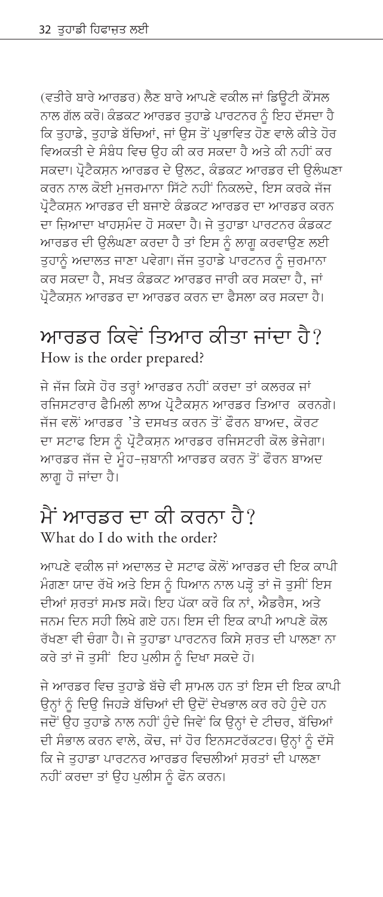<span id="page-33-0"></span>(ਵਤੀਰੇ ਬਾਰੇ ਆਰਡਰ) ਲੈਣ ਬਾਰੇ ਆਪਣੇ ਵਕੀਲ ਜਾਂ ਡਿੳਟੀ ਕੌਂਸਲ ਨਾਲ ਗੱਲ ਕਰੋ। ਕੰਡਕਟ ਆਰਡਰ ਤਹਾਡੇ ਪਾਰਟਨਰ ਨੰ ਇਹ ਦੱਸਦਾ ਹੈ ਕਿ ਤਹਾਡੇ. ਤਹਾਡੇ ਬੱਚਿਆਂ. ਜਾਂ ਉਸ ਤੋਂ ਪਭਾਵਿਤ ਹੋਣ ਵਾਲੇ ਕੀਤੇ ਹੋਰ ਵਿਅਕਤੀ ਦੇ ਸੰਬੰਧ ਵਿਚ ੳਹ ਕੀ ਕਰ ਸਕਦਾ ਹੈ ਅਤੇ ਕੀ ਨਹੀਂ ਕਰ ਸਕਦਾ। ਪੋਟੈਕਸਨ ਆਰਡਰ ਦੇ ਉਲਟ, ਕੰਡਕਟ ਆਰਡਰ ਦੀ ਉਲੰਘਣਾ ਕਰਨ ਨਾਲ ਕੋਈ ਮਜਰਮਾਨਾ ਸਿੱਟੇ ਨਹੀਂ ਨਿਕਲਦੇ. ਇਸ ਕਰਕੇ ਜੱਜ ਪ੍ਰੋਟੈਕਸ਼ਨ ਆਰਡਰ ਦੀ ਬਜਾਏ ਕੰਡਕਟ ਆਰਡਰ ਦਾ ਆਰਡਰ ਕਰਨ ਦਾ ਜ਼ਿਆਦਾ ਖਾਹਸ਼ਮੰਦ ਹੋ ਸਕਦਾ ਹੈ। ਜੇ ਤਹਾਡਾ ਪਾਰਟਨਰ ਕੰਡਕਟ ਆਰਡਰ ਦੀ ਉਲੰਘਣਾ ਕਰਦਾ ਹੈ ਤਾਂ ਇਸ ਨੂੰ ਲਾਗੂ ਕਰਵਾਉਣ ਲਈ ਤਹਾਨੂੰ ਅਦਾਲਤ ਜਾਣਾ ਪਵੇਗਾ। ਜੱਜ ਤਹਾਡੇ ਪਾਰਟਨਰ ਨੂੰ ਜਰਮਾਨਾ ਕਰ ਸਕਦਾ ਹੈ, ਸਖਤ ਕੰਡਕਟ ਆਰਡਰ ਜਾਰੀ ਕਰ ਸਕਦਾ ਹੈ, ਜਾਂ ਪ੍ਰੋਟੈਕਸ਼ਨ ਆਰਡਰ ਦਾ ਆਰਡਰ ਕਰਨ ਦਾ ਫੈਸਲਾ ਕਰ ਸਕਦਾ ਹੈ।

## ਆਰਡਰ ਕਿਵੇਂ ਤਿਆਰ ਕੀਤਾ ਜਾਂਦਾ ਹੈ $\,{}^{\circ}$ How is the order prepared?

ਜੇ ਜੱਜ ਕਿਸੇ ਹੋਰ ਤਰ੍ਹਾਂ ਆਰਡਰ ਨਹੀਂ ਕਰਦਾ ਤਾਂ ਕਲਰਕ ਜਾਂ ਰਜਿਸਟਰਾਰ ਫੈਮਿਲੀ ਲਾਅ ਪੋਟੈਕਸਨ ਆਰਡਰ ਤਿਆਰ\_ਕਰਨਗੇ। ਜੱਜ ਵਲੋਂ ਆਰਡਰ 'ਤੇ ਦਸਖਤ ਕਰਨ ਤੋਂ ਫੌਰਨ ਬਾਅਦ, ਕੋਰਟ ਦਾ ਸਟਾਫ ਇਸ ਨੂੰ ਪੋਟੈਕਸ਼ਨ ਆਰਡਰ ਰਜਿਸਟਰੀ ਕੋਲ ਭੇਜੇਗਾ। ਆਰਡਰ ਜੱਜ ਦੇ ਮੰਹ-ਜ਼ਬਾਨੀ ਆਰਡਰ ਕਰਨ ਤੋਂ ਫੌਰਨ ਬਾਅਦ ਲਾਗ ਹੋ ਜਾਂਦਾ ਹੈ।

#### ਮੈਂ ਆਰਡਰ ਦਾ ਕੀ ਕਰਨਾ ਹੈ? What do I do with the order?

ਆਪਣੇ ਵਕੀਲ ਜਾਂ ਅਦਾਲਤ ਦੇ ਸਟਾਫ ਕੋਲੋਂ ਆਰਡਰ ਦੀ ਇਕ ਕਾਪੀ ਮੰਗਣਾ ਯਾਦ ਰੱਖੋ ਅਤੇ ਇਸ ਨੂੰ ਧਿਆਨ ਨਾਲ ਪੜ੍ਹੋ ਤਾਂ ਜੋ ਤੁਸੀਂ ਇਸ ਦੀਆਂ ਸਰਤਾਂ ਸਮਝ ਸਕੋ। ਇਹ ਪੱਕਾ ਕਰੋ ਕਿ ਨਾਂ. ਐਡਰੈਸ. ਅਤੇ ਜਨਮ ਦਿਨ ਸਹੀ ਲਿਖੇ ਗਏ ਹਨ। ਇਸ ਦੀ ਇਕ ਕਾਪੀ ਆਪਣੇ ਕੋਲ ਰੱਖਣਾ ਵੀ ਚੰਗਾ ਹੈ। ਜੇ ਤੁਹਾਡਾ ਪਾਰਟਨਰ ਕਿਸੇ ਸ਼ਰਤ ਦੀ ਪਾਲਣਾ ਨਾ ਕਰੇ ਤਾਂ ਜੋ ਤਸੀਂ ਇਹ ਪਲੀਸ ਨੂੰ ਦਿਖਾ ਸਕਦੇ ਹੋ।

ਜੇ ਆਰਡਰ ਵਿਚ ਤੁਹਾਡੇ ਬੱਚੇ ਵੀ ਸ਼ਾਮਲ ਹਨ ਤਾਂ ਇਸ ਦੀ ਇਕ ਕਾਪੀ ਉਨ੍ਹਾਂ ਨੂੰ ਦਿਉ ਜਿਹੜੇ ਬੱਚਿਆਂ ਦੀ ਉਦੋਂ ਦੇਖਭਾਲ ਕਰ ਰਹੇ ਹੁੰਦੇ ਹਨ ਜਦੋਂ ਉਹ ਤੁਹਾਡੇ ਨਾਲ ਨਹੀਂ ਹੁੰਦੇ ਜਿਵੇਂ ਕਿ ਉਨ੍ਹਾਂ ਦੇ ਟੀਚਰ, ਬੱਚਿਆਂ ਦੀ ਸੰਭਾਲ ਕਰਨ ਵਾਲੇ, ਕੋਚ, ਜਾਂ ਹੋਰ ਇਨਸਟਰੱਕਟਰ। ਉਨ੍ਹਾਂ ਨੂੰ ਦੱਸੋ ਕਿ ਜੇ ਤਹਾਡਾ ਪਾਰਟਨਰ ਆਰਡਰ ਵਿਚਲੀਆਂ ਸਰਤਾਂ ਦੀ ਪਾਲਣਾ ਨਹੀਂ ਕਰਦਾ ਤਾਂ ਉਹ ਪਲੀਸ ਨੂੰ ਫੋਨ ਕਰਨ।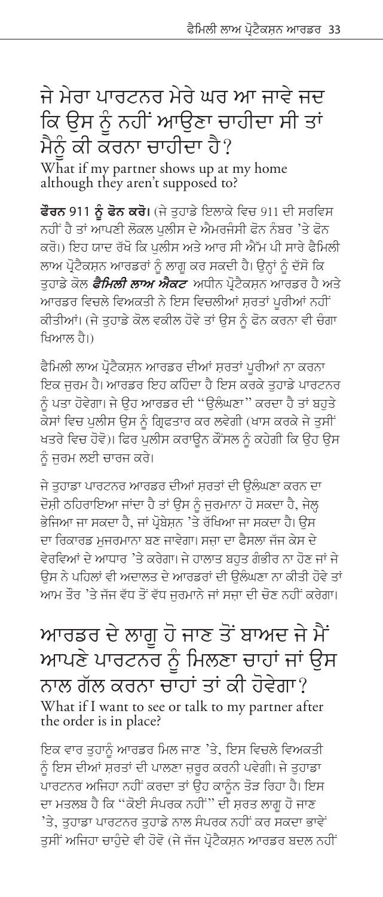# <span id="page-34-0"></span>ਜੇ ਮੇਰਾ ਪਾਰਟਨਰ ਮੇਰੇ ਘਰ ਆ ਜਾਵੇ ਜਦ ਕਿ ਉਸ ਨੂੰ ਨਹੀਂ ਆਉਣਾ ਚਾਹੀਦਾ ਸੀ ਤਾਂ ਮੈਨੌ ਕੀ ਕਰਨਾ ਚਾਹੀਦਾ ਹੈ?

What if my partner shows up at my home although they aren't supposed to?

**ਫੌਰਨ 911 ਨੰ ਫੋਨ ਕਰੋ।** (ਜੇ ਤਹਾਡੇ ਇਲਾਕੇ ਵਿਚ 911 ਦੀ ਸਰਵਿਸ ਨਹੀਂ ਹੈ ਤਾਂ ਆਪਣੀ ਲੋਕਲ ਪਲੀਸ ਦੇ ਐਮਰਜੰਸੀ ਫੋਨ ਨੰਬਰ 'ਤੇ ਫੋਨ ਕਰੋ।) ਇਹ ਯਾਦ ਰੱਖੋ ਕਿ ਪਲੀਸ ਅਤੇ ਆਰ ਸੀ ਐੱਮ ਪੀ ਸਾਰੇ ਫੈਮਿਲੀ ਲਾਅ ਪੋਟੈਕਸ਼ਨ ਆਰਡਰਾਂ ਨੰ ਲਾਗ ਕਰ ਸਕਦੀ ਹੈ। ਉਨਾਂ ਨੰ ਦੱਸੋ ਕਿ ਤਹਾਡੇ ਕੋਲ *ਫੈਮਿਲੀ ਲਾਅ ਐਕਟ ਅ*ਧੀਨ ਪੋਟੈਕਸਨ ਆਰਡਰ ਹੈ ਅਤੇ ਆਰਡਰ ਵਿਚਲੇ ਵਿਅਕਤੀ ਨੇ ਇਸ ਵਿਚਲੀਆਂ ਸਰਤਾਂ ਪਰੀਆਂ ਨਹੀਂ ਕੀਤੀਆਂ। (ਜੇ ਤਹਾਡੇ ਕੋਲ ਵਕੀਲ ਹੋਵੇ ਤਾਂ ੳਸ ਨੰ ਫੋਨ ਕਰਨਾ ਵੀ ਚੰਗਾ ਖਿਆਲ ਹੈ।)

ਫੈਮਿਲੀ ਲਾਅ ਪੋਟੈਕਸਨ ਆਰਡਰ ਦੀਆਂ ਸ਼ਰਤਾਂ ਪਰੀਆਂ ਨਾ ਕਰਨਾ ਇਕ ਜਰਮ ਹੈ। ਆਰਡਰ ਇਹ ਕਹਿੰਦਾ ਹੈ ਇਸ ਕਰਕੇ ਤਹਾਡੇ ਪਾਰਟਨਰ ਨੂੰ ਪਤਾ ਹੋਵੇਗਾ। ਜੇ ਉਹ ਆਰਡਰ ਦੀ ''ਉਲੰਘਣਾ'' ਕਰਦਾ ਹੈ ਤਾਂ ਬਹਤੇ ਕੇਸਾਂ ਵਿਚ ਪਲੀਸ ੳਸ ਨੂੰ ਗਿਫਤਾਰ ਕਰ ਲਵੇਗੀ (ਖਾਸ ਕਰਕੇ ਜੇ ਤਸੀਂ ਖਤਰੇ ਵਿਚ ਹੋਵੋ)। ਫਿਰ ਪਲੀਸ ਕਰਾਉਨ ਕੌਂਸਲ ਨੂੰ ਕਹੇਗੀ ਕਿ ਉਹ ਉਸ ਨੰ ਜਰਮ ਲਈ ਚਾਰਜ ਕਰੇ।

ਜੇ ਤਹਾਡਾ ਪਾਰਟਨਰ ਆਰਡਰ ਦੀਆਂ ਸਰਤਾਂ ਦੀ ੳਲੰਘਣਾ ਕਰਨ ਦਾ ਦੋਸ਼ੀ ਠਹਿਰਾਇਆ ਜਾਂਦਾ ਹੈ ਤਾਂ ਉਸ ਨੂੰ ਜੁਰਮਾਨਾ ਹੋ ਸਕਦਾ ਹੈ, ਜੇਲ੍ਹ ਭੇਜਿਆ ਜਾ ਸਕਦਾ ਹੈ. ਜਾਂ ਪੋਬੇਸਨ 'ਤੇ ਰੱਖਿਆ ਜਾ ਸਕਦਾ ਹੈ। ੳਸ ਦਾ ਰਿਕਾਰਡ ਮਜਰਮਾਨਾ ਬਣ ਜਾਵੇਗਾ। ਸਜਾ ਦਾ ਫੈਸਲਾ ਜੱਜ ਕੇਸ ਦੇ ਵੇਰਵਿਆਂ ਦੇ ਆਧਾਰ 'ਤੇ ਕਰੇਗਾ। ਜੇ ਹਾਲਾਤ ਬਹੁਤ ਗੰਭੀਰ ਨਾ ਹੋਣ ਜਾਂ ਜੇ ਉਸ ਨੇ ਪਹਿਲਾਂ ਵੀ ਅਦਾਲਤ ਦੇ ਆਰਡਰਾਂ ਦੀ ਉਲੰਘਣਾ ਨਾ ਕੀਤੀ ਹੋਵੇ ਤਾਂ ਆਮ ਤੌਰ 'ਤੇ ਜੱਜ ਵੱਧ ਤੋਂ ਵੱਧ ਜਰਮਾਨੇ ਜਾਂ ਸਜ਼ਾ ਦੀ ਚੋਣ ਨਹੀਂ ਕਰੇਗਾ।

ਆਰਡਰ ਦੇ ਲਾਗੂ ਹੋ ਜਾਣ ਤੋਂ ਬਾਅਦ ਜੇ ਮੈਂ ਆਪਣੇ ਪਾਰਟਨਰ ਨੂੰ ਮਿਲਣਾ ਚਾਹਾਂ ਜਾਂ ਉਸ ਨਾਲ ਗੱਲ ਕਰਨਾ ਚਾਹਾਂ ਤਾਂ ਕੀ ਹੋਵੇਗਾ? What if I want to see or talk to my partner after the order is in place?

ਇਕ ਵਾਰ ਤਹਾਨੰ ਆਰਡਰ ਮਿਲ ਜਾਣ 'ਤੇ, ਇਸ ਵਿਚਲੇ ਵਿਅਕਤੀ ਨੂੰ ਇਸ ਦੀਆਂ ਸਰਤਾਂ ਦੀ ਪਾਲਣਾ ਜ਼ਰੂਰ ਕਰਨੀ ਪਵੇਗੀ। ਜੇ ਤੁਹਾਡਾ ਪਾਰਟਨਰ ਅਜਿਹਾ ਨਹੀਂ ਕਰਦਾ ਤਾਂ ਉਹ ਕਾਨੰਨ ਤੋੜ ਰਿਹਾ ਹੈ। ਇਸ ਦਾ ਮਤਲਬ ਹੈ ਕਿ "ਕੋਈ ਸੰਪਰਕ ਨਹੀਂ" ਦੀ ਸ਼ਰਤ ਲਾਗੂ ਹੋ ਜਾਣ 'ਤੇ, ਤੁਹਾਡਾ ਪਾਰਟਨਰ ਤੁਹਾਡੇ ਨਾਲ ਸੰਪਰਕ ਨਹੀਂ ਕਰ ਸਕਦਾ ਭਾਵੇਂ ਤਸੀਂ ਅਜਿਹਾ ਚਾਹੋਦੇ ਵੀ ਹੋਵੋ (ਜੇ ਜੱਜ ਪੋਟੈਕਸ਼ਨ ਆਰਡਰ ਬਦਲ ਨਹੀਂ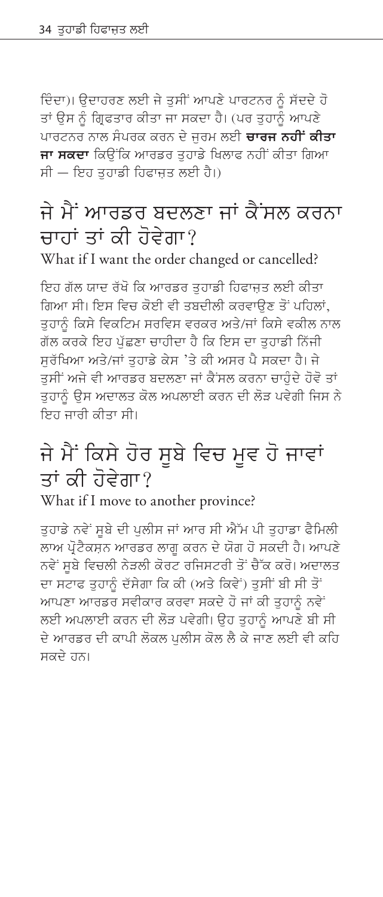<span id="page-35-0"></span>ਦਿੰਦਾ)। ਉਦਾਹਰਣ ਲਈ ਜੇ ਤੁਸੀਂ ਆਪਣੇ ਪਾਰਟਨਰ ਨੂੰ ਸੱਦਦੇ ਹੋ ਤਾਂ ਉਸ ਨੂੰ ਗ੍ਰਿਫਤਾਰ ਕੀਤਾ ਜਾ ਸਕਦਾ ਹੈ। (ਪਰ ਤਹਾਨੂੰ ਆਪਣੇ ਪਾਰਟਨਰ ਨਾਲ ਸੰਪਰਕ ਕਰਨ ਦੇ ਜਰਮ ਲਈ **ਚਾਰਜ ਨਹੀਂ ਕੀਤਾ** ਜਾ ਸਕਦਾ ਕਿਉਂਕਿ ਆਰਡਰ ਤੁਹਾਡੇ ਖਿਲਾਫ਼ ਨਹੀਂ ਕੀਤਾ ਗਿਆ ਸੀ – ਇਹ ਤਹਾਡੀ ਹਿਫਾਜ਼ਤ ਲਈ ਹੈ।)

#### ਜੇ ਮੈਂ ਆਰਡਰ ਬਦਲਣਾ ਜਾਂ ਕੈਂਸਲ ਕਰਨਾ ਜਾਹਾਂ ਤਾਂ ਕੀ ਹੋਵੇਗਾ? What if I want the order changed or cancelled?

ਇਹ ਗੱਲ ਯਾਦ ਰੱਖੋ ਕਿ ਆਰਡਰ ਤਹਾਡੀ ਹਿਫਾਜ਼ਤ ਲਈ ਕੀਤਾ ਗਿਆ ਸੀ। ਇਸ ਵਿਚ ਕੋਈ ਵੀ ਤਬਦੀਲੀ ਕਰਵਾੳਣ ਤੋਂ ਪਹਿਲਾਂ, ਤਹਾਨੰ ਕਿਸੇ ਵਿਕਟਿਮ ਸਰਵਿਸ ਵਰਕਰ ਅਤੇ/ਜਾਂ ਕਿਸੇ ਵਕੀਲ ਨਾਲ ਗੱਲ ਕਰਕੇ ਇਹ ਪੱਛਣਾ ਚਾਹੀਦਾ ਹੈ ਕਿ ਇਸ ਦਾ ਤਹਾਡੀ ਨਿੱਜੀ ਸਰੱਖਿਆ ਅਤੇ/ਜਾਂ ਤਹਾਡੇ ਕੇਸ 'ਤੇ ਕੀ ਅਸਰ ਪੈ ਸਕਦਾ ਹੈ। ਜੇ ਤਸੀਂ ਅਜੇ ਵੀ ਆਰਡਰ ਬਦਲਣਾ ਜਾਂ ਕੈਂਸਲ ਕਰਨਾ ਚਾਹੰਦੇ ਹੋਵੋ ਤਾਂ ਤੁਹਾਨੂੰ ਉਸ ਅਦਾਲਤ ਕੋਲ ਅਪਲਾਈ ਕਰਨ ਦੀ ਲੋੜ ਪਵੇਗੀ ਜਿਸ ਨੇ ਇਹ ਜਾਰੀ ਕੀਤਾ ਸੀ।

# ਜੇ ਮੈਂ ਕਿਸੇ ਹੋਰ ਸੂਬੇ ਵਿਚ ਮੂਵ ਹੋ ਜਾਵਾਂ ਤਾਂ ਕੀ ਹੋਵੇਗਾ?

What if I move to another province?

ਤੁਹਾਡੇ ਨਵੇਂ ਸੂਬੇ ਦੀ ਪੁਲੀਸ ਜਾਂ ਆਰ ਸੀ ਐੱਮ ਪੀ ਤੁਹਾਡਾ ਫੈਮਿਲੀ ਲਾਅ ਪੋਟੈਕਸੁਨ ਆਰਡਰ ਲਾਗ ਕਰਨ ਦੇ ਯੋਗ ਹੋ ਸਕਦੀ ਹੈ। ਆਪਣੇ ਨਵੇਂ ਸੂਬੇ ਵਿਚਲੀ ਨੇੜਲੀ ਕੋਰਟ ਰਜਿਸਟਰੀ ਤੋਂ ਚੈੱਕ ਕਰੋ। ਅਦਾਲਤ ਦਾ ਸਟਾਫ ਤੁਹਾਨੂੰ ਦੱਸੇਗਾ ਕਿ ਕੀ (ਅਤੇ ਕਿਵੇਂ) ਤੁਸੀਂ ਬੀ ਸੀ ਤੋਂ .<br>ਆਪਣਾ ਆਰਡਰ ਸਵੀਕਾਰ ਕਰਵਾ ਸਕਦੇ ਹੋ ਜਾਂ ਕੀ ਤੁਹਾਨੂੰ ਨਵੇ<sup>:</sup> ਲਈ ਅਪਲਾਈ ਕਰਨ ਦੀ ਲੋੜ ਪਵੇਗੀ। ਉਹ ਤਹਾਨੂੰ ਆਪਣੇ ਬੀ ਸੀ ਦੇ ਆਰਡਰ ਦੀ ਕਾਪੀ ਲੋਕਲ ਪਲੀਸ ਕੋਲ ਲੈ ਕੇ ਜਾਣ ਲਈ ਵੀ ਕਹਿ ਸਕਦੇ ਹਨ।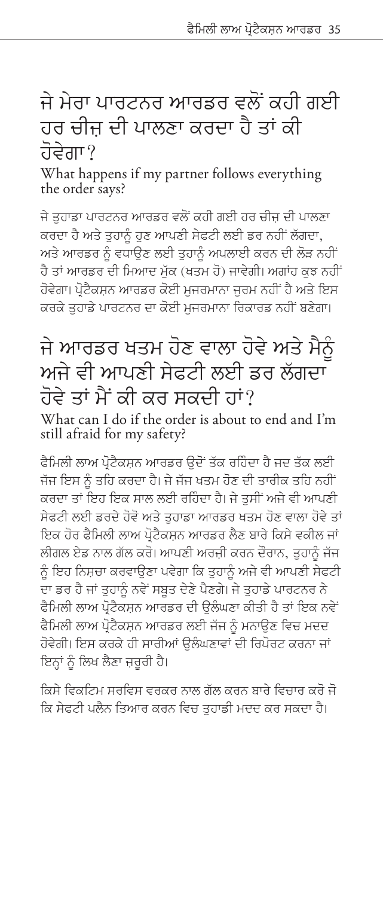## <span id="page-36-0"></span>ਜੇ ਮੇਰਾ ਪਾਰਟਨਰ ਆਰਡਰ ਵਲੋਂ ਕਹੀ ਗਈ ਹਰ ਚੀਜ ਦੀ ਪਾਲਣਾ ਕਰਦਾ ਹੈ ਤਾਂ ਕੀ ਹੋਵੇਗਾ?

What happens if my partner follows everything the order says?

ਜੇ ਤਹਾਡਾ ਪਾਰਟਨਰ ਆਰਡਰ ਵਲੋਂ ਕਹੀ ਗਈ ਹਰ ਚੀਜ ਦੀ ਪਾਲਣਾ ਕਰਦਾ ਹੈ ਅਤੇ ਤੁਹਾਨੂੰ ਹੁਣ ਆਪਣੀ ਸੇਫਟੀ ਲਈ ਡਰ ਨਹੀਂ ਲੱਗਦਾ. ਅਤੇ ਆਰਡਰ ਨੂੰ ਵਧਾਉਣ ਲਈ ਤਹਾਨੂੰ ਅਪਲਾਈ ਕਰਨ ਦੀ ਲੋੜ ਨਹੀਂ ਹੈ ਤਾਂ ਆਰਡਰ ਦੀ ਮਿਆਦ ਮੱਕ (ਖਤਮ ਹੋ) ਜਾਵੇਗੀ। ਅਗਾਂਹ ਕੁਝ ਨਹੀਂ ਹੋਵੇਗਾ। ਪੋਟੈਕਸੁਨ ਆਰਡਰ ਕੋਈ ਮਜਰਮਾਨਾ ਜਰਮ ਨਹੀਂ ਹੈ ਅਤੇ ਇਸ ਕਰਕੇ ਤਹਾਡੇ ਪਾਰਟਨਰ ਦਾ ਕੋਈ ਮਜਰਮਾਨਾ ਰਿਕਾਰਡ ਨਹੀਂ ਬਣੇਗਾ।

# ਜੇ ਆਰਡਰ ਖਤਮ ਹੋਣ ਵਾਲਾ ਹੋਵੇ ਅਤੇ ਮੈਨੂੰ ਅਜੇ ਵੀ ਆਪਣੀ ਸੇਫਟੀ ਲਈ ਡਰ ਲੱਗਦਾ<sup>ਂ</sup> ਹੋਵੇ ਤਾਂ ਮੈਂ ਕੀ ਕਰ ਸਕਦੀ ਹਾਂ*?*

What can I do if the order is about to end and I'm still afraid for my safety?

ਫੈਮਿਲੀ ਲਾਅ ਪ੍ਰੋਟੈਕਸਨ ਆਰਡਰ ੳਦੋਂ ਤੱਕ ਰਹਿੰਦਾ ਹੈ ਜਦ ਤੱਕ ਲਈ ਜੱਜ ਇਸ ਨੰ ਤਹਿ ਕਰਦਾ ਹੈ। ਜੇ ਜੱਜ ਖਤਮ ਹੋਣ ਦੀ ਤਾਰੀਕ ਤਹਿ ਨਹੀਂ ਕਰਦਾ ਤਾਂ ਇਹ ਇਕ ਸਾਲ ਲਈ ਰਹਿੰਦਾ ਹੈ। ਜੇ ਤਸੀਂ ਅਜੇ ਵੀ ਆਪਣੀ ਸੇਫਟੀ ਲਈ ਡਰਦੇ ਹੋਵੋ ਅਤੇ ਤਹਾਡਾ ਆਰਡਰ ਖਤਮ ਹੋਣ ਵਾਲਾ ਹੋਵੇ ਤਾਂ ਇਕ ਹੋਰ ਫੈਮਿਲੀ ਲਾਅ ਪ੍ਰੋਟੈਕਸਨ ਆਰਡਰ ਲੈਣ ਬਾਰੇ ਕਿਸੇ ਵਕੀਲ ਜਾਂ ਲੀਗਲ ਏਡ ਨਾਲ ਗੱਲ ਕਰੋ। ਆਪਣੀ ਅਰਜ਼ੀ ਕਰਨ ਦੌਰਾਨ, ਤਹਾਨੂੰ ਜੱਜ ਨੂੰ ਇਹ ਨਿਸ਼ਚਾ ਕਰਵਾਉਣਾ ਪਵੇਗਾ ਕਿ ਤੁਹਾਨੂੰ ਅਜੇ ਵੀ ਆਪਣੀ ਸੇਫਟੀ ਦਾ ਡਰ ਹੈ ਜਾਂ ਤਹਾਨੰ ਨਵੇਂ ਸਬਤ ਦੇਣੇ ਪੈਣਗੇ। ਜੇ ਤਹਾਡੇ ਪਾਰਟਨਰ ਨੇ ਫੈਮਿਲੀ ਲਾਅ ਪੋਟੈਕਸਨ ਆਰਡਰ ਦੀ ੳਲੰਘਣਾ ਕੀਤੀ ਹੈ ਤਾਂ ਇਕ ਨਵੇ<sup>:</sup> ਫੈਮਿਲੀ ਲਾਅ ਪ੍ਰੋਟੈਕਸਨ ਆਰਡਰ ਲਈ ਜੱਜ ਨੰ ਮਨਾੳਣ ਵਿਚ ਮਦਦ ਹੋਵੇਗੀ। ਇਸ ਕਰਕੇ ਹੀ ਸਾਰੀਆਂ ੳਲੰਘਣਾਵਾਂ ਦੀ ਰਿਪੋਰਟ ਕਰਨਾ ਜਾਂ ਇਨਾਂ ਨੂੰ ਲਿਖ ਲੈਣਾ ਜ਼ਰੂਰੀ ਹੈ।

ਕਿਸੇ ਵਿਕਟਿਮ ਸਰਵਿਸ ਵਰਕਰ ਨਾਲ ਗੱਲ ਕਰਨ ਬਾਰੇ ਵਿਚਾਰ ਕਰੋ ਜੋ ਕਿ ਸੇਫਟੀ ਪਲੈਨ ਤਿਆਰ ਕਰਨ ਵਿਚ ਤਹਾਡੀ ਮਦਦ ਕਰ ਸਕਦਾ ਹੈ।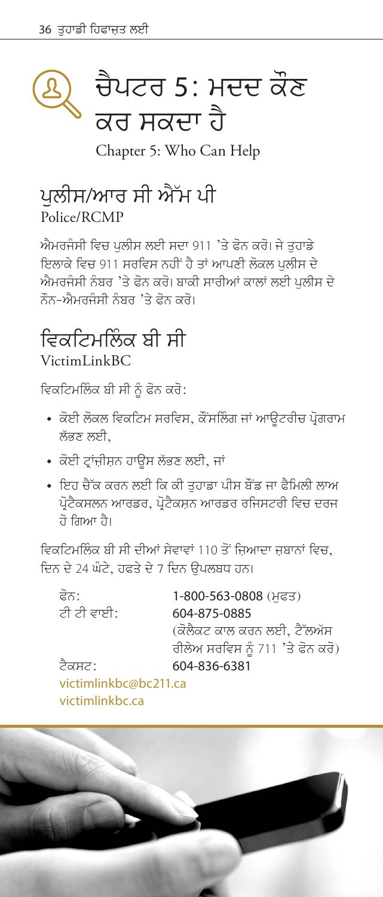<span id="page-37-0"></span>

Chapter 5: Who Can Help

# ਪੁਲੀਸ/ਆਰ ਸੀ ਐੱਮ <mark>ਪੀ</mark>

Police/RCMP

ਐਮਰਜੰਸੀ ਵਿਚ ਪਲੀਸ ਲਈ ਸਦਾ 911 'ਤੇ ਫੋਨ ਕਰੋ। ਜੇ ਤਹਾਡੇ ਇਲਾਕੇ ਵਿਚ 911 ਸਰਵਿਸ ਨਹੀਂ ਹੈ ਤਾਂ ਆਪਣੀ ਲੋਕਲ ਪਲੀਸ ਦੇ ਐਮਰਜੰਸੀ ਨੰਬਰ 'ਤੇ ਫੋਨ ਕਰੋ। ਬਾਕੀ ਸਾਰੀਆਂ ਕਾਲਾਂ ਲਈ ਪਲੀਸ ਦੇ ਨੌਨ-ਐਮਰਜੰਸੀ ਨੰਬਰ 'ਤੇ ਫੋਨ ਕਰੋ।

#### ਵਿਕਟਿਮਲਿੰਕ ਬੀ ਸੀ VictimLinkBC

ਵਿਕਟਿਮਲਿੰਕ ਬੀ ਸੀ ਨੰ ਫੋਨ ਕਰੋ:

- ਕੋਈ ਲੋਕਲ ਵਿਕਟਿਮ ਸਰਵਿਸ, ਕੌਂਸਲਿੰਗ ਜਾਂ ਆਊਟਰੀਚ ਪ੍ਰੋਗਰਾਮ ਲੱਕਣ ਲਈ
- ◆ ਕੋਈ ਟ੍ਰਾਂਜ਼ੀਸ਼ਨ ਹਾਊਸ ਲੱਭਣ ਲਈ, ਜਾਂ
- ∙ ਇਹ ਚੈੱਕ ਕਰਨ ਲਈ ਕਿ ਕੀ ਤਹਾਡਾ ਪੀਸ ਬੌਂਡ ਜਾ ਫੈਮਿਲੀ ਲਾਅ ਪ੍ਰੋਟੈਕਸਲਨ ਆਰਡਰ, ਪ੍ਰੋਟੈਕਸ਼ਨ ਆਰਡਰ ਰਜਿਸਟਰੀ ਵਿਚ ਦਰਜ ਹੋ ਗਿਆ ਹੈ।

ਵਿਕਟਿਮਲਿੰਕ ਬੀ ਸੀ ਦੀਆਂ ਸੇਵਾਵਾਂ 110 ਤੋਂ ਜ਼ਿਆਦਾ ਜ਼ਬਾਨਾਂ ਵਿਚ, ਦਿਨ ਦੇ 24 ਘੰਟੇ, ਹਫਤੇ ਦੇ 7 ਦਿਨ ਉਪਲਬਧ ਹਨ।

| ਫ਼ੋਨ:                 | 1-800-563-0808 (ਮਫਤ)             |
|-----------------------|----------------------------------|
| ਟੀ ਟੀ ਵਾਈ:            | 604-875-0885                     |
|                       | (ਕੋਲੈਕਟ ਕਾਲ ਕਰਨ ਲਈ, ਟੈੱਲਅੱਸ      |
|                       | ਰੀਲੇਅ ਸਰਵਿਸ ਨੂੰ 711 'ਤੇ ਫੋਨ ਕਰੋ) |
| ਟੈਕਸਟ:                | 604-836-6381                     |
| victimlinkbc@bc211.ca |                                  |
| victimlinkbc.ca       |                                  |

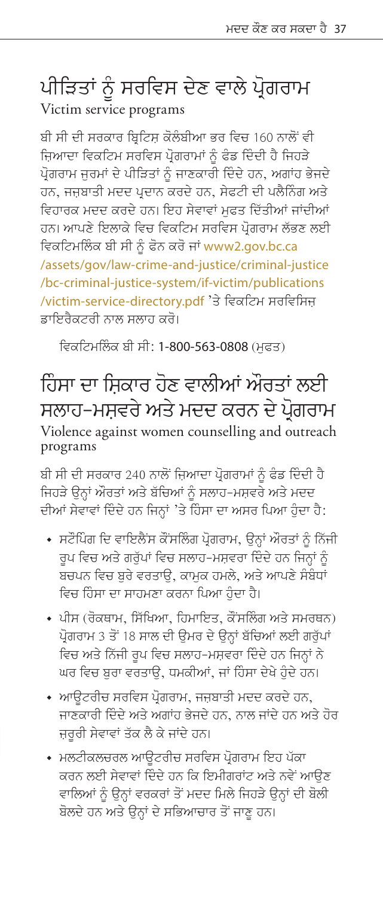#### ਪੀੜਿਤਾਂ ਨੂੰ ਸਰਵਿਸ ਦੇਣ ਵਾਲੇ ਪ੍ਰੋਗਰਾਮ Victim service programs

ਬੀ ਸੀ ਦੀ ਸਰਕਾਰ ਬਿਟਿਸ ਕੋਲੰਬੀਆ ਭਰ ਵਿਚ 160 ਨਾਲੋਂ ਵੀ ਜ਼ਿਆਦਾ ਵਿਕਟਿਮ ਸਰਵਿਸ ਪ੍ਰੋਗਰਾਮਾਂ ਨੂੰ ਫੰਡ ਦਿੰਦੀ ਹੈ ਜਿਹੜੇ ਪ੍ਰੋਗਰਾਮ ਜਰਮਾਂ ਦੇ ਪੀੜਿਤਾਂ ਨੂੰ ਜਾਣਕਾਰੀ ਦਿੰਦੇ ਹਨ, ਅਗਾਂਹ ਭੇਜਦੇ ਹਨ, ਜਜ਼ਬਾਤੀ ਮਦਦ ਪਦਾਨ ਕਰਦੇ ਹਨ, ਸੇਫਟੀ ਦੀ ਪਲੈਨਿੰਗ ਅਤੇ ਵਿਹਾਰਕ ਮਦਦ ਕਰਦੇ ਹਨ। ਇਹ ਸੇਵਾਵਾਂ ਮਫਤ ਦਿੱਤੀਆਂ ਜਾਂਦੀਆਂ ਹਨ। ਆਪਣੇ ਇਲਾਕੇ ਵਿਚ ਵਿਕਟਿਮ ਸਰਵਿਸ ਪੋਗਰਾਮ ਲੱਭਣ ਲਈ ਵਿਕਟਿਮਲਿੰਕ ਬੀ ਸੀ ਨੂੰ ਫੋਨ ਕਰੋ ਜਾਂ [www2.gov.bc.ca](http://www2.gov.bc.ca/assets/gov/law-crime-and-justice/criminal-justice/bc-criminal-justice-system/if-victim/publications/victim-service-directory.pdf) [/assets/gov/law-crime-and-justice/criminal-justice](http://www2.gov.bc.ca/assets/gov/law-crime-and-justice/criminal-justice/bc-criminal-justice-system/if-victim/publications/victim-service-directory.pdf) [/bc-criminal-justice-system/if-victim/publications](http://www2.gov.bc.ca/assets/gov/law-crime-and-justice/criminal-justice/bc-criminal-justice-system/if-victim/publications/victim-service-directory.pdf) [/victim-service-directory.pdf](http://www2.gov.bc.ca/assets/gov/law-crime-and-justice/criminal-justice/bc-criminal-justice-system/if-victim/publications/victim-service-directory.pdf) 'ਤੇ ਵਿਕਟਿਮ ਸਰਵਿਸਿਜ਼ ਡਾਇਰੈਕਟਰੀ ਨਾਲ ਸਲਾਹ ਕਰੋ।

ਵਿਕਟਿਮਲਿੰਕ ਬੀ ਸੀ: 1-800-563-0808 (ਮੁਫਤ)

ਹਿੰਸਾ ਦਾ ਸਿਕਾਰ ਹੋਣ ਵਾਲੀਆਂ ਔਰਤਾਂ ਲਈ ਸਲਾਹ–ਮਸਵਰੇ ਅਤੇ ਮਦਦ ਕਰਨ ਦੇ ਪੋਗਰਾਮ Violence against women counselling and outreach programs

ਬੀ ਸੀ ਦੀ ਸਰਕਾਰ 240 ਨਾਲੋਂ ਜਿਆਦਾ ਪ੍ਰੋਗਰਾਮਾਂ ਨੂੰ ਫੰਡ ਦਿੰਦੀ ਹੈ ਜਿਹੜੇ ਉਨ੍ਹਾਂ ਔਰਤਾਂ ਅਤੇ ਬੱਚਿਆਂ ਨੂੰ ਸਲਾਹ-ਮਸ਼ਵਰੇ ਅਤੇ ਮਦਦ ਦੀਆਂ ਸੇਵਾਵਾਂ ਦਿੰਦੇ ਹਨ ਜਿਨਾਂ 'ਤੇ ਹਿੰਸਾ ਦਾ ਅਸਰ ਪਿਆ ਹੈਦਾ ਹੈ:

- ਸਟੌਪਿੰਗ ਦਿ ਵਾਇਲੈਂਸ ਕੌਂਸਲਿੰਗ ਪ੍ਰੋਗਰਾਮ, ਉਨ੍ਹਾਂ ਔਰਤਾਂ ਨੰ ਨਿੱਜੀ ਰਪ ਵਿਚ ਅਤੇ ਗਰੱਪਾਂ ਵਿਚ ਸਲਾਹ-ਮਸ਼ਵਰਾ ਦਿੰਦੇ ਹਨ ਜਿਨਾਂ ਨੰ -<br>ਬਚਪਨ ਵਿਚ ਬਰੇ ਵਰਤਾੳ. ਕਾਮਕ ਹਮਲੇ. ਅਤੇ ਆਪਣੇ ਸੰਬੰਧਾਂ ਵਿਚ ਹਿੰਸਾ ਦਾ ਸਾਹਮਣਾ ਕਰਨਾ ਪਿਆ ਹੰਦਾ ਹੈ।
- ਪੀਸ (ਰੋਕਥਾਮ, ਸਿੱਖਿਆ, ਹਿਮਾਇਤ, ਕੌਂਸਲਿੰਗ ਅਤੇ ਸਮਰਥਨ) ਪੋਗਰਾਮ 3 ਤੋਂ 18 ਸਾਲ ਦੀ ੳਮਰ ਦੇ ੳਨ੍ਹਾਂ ਬੱਚਿਆਂ ਲਈ ਗਰੱਪਾਂ ਵਿਚ ਅਤੇ ਨਿੱਜੀ ਰੂਪ ਵਿਚ ਸਲਾਹ-ਮਸ਼ਵਰਾ ਦਿੰਦੇ ਹਨ ਜਿਨ੍ਹਾਂ ਨੇ ਘਰ ਵਿਚ ਬਰਾ ਵਰਤਾੳ, ਧਮਕੀਆਂ, ਜਾਂ ਹਿੰਸਾ ਦੇਖੇ ਹੋਦੇ ਹਨ।
- ਆਉਟਰੀਚ ਸਰਵਿਸ ਪ੍ਰੋਗਰਾਮ, ਜਜ਼ਬਾਤੀ ਮਦਦ ਕਰਦੇ ਹਨ, ਜਾਣਕਾਰੀ ਦਿੰਦੇ ਅਤੇ ਅਗਾਂਹ ਭੇਜਦੇ ਹਨ, ਨਾਲ ਜਾਂਦੇ ਹਨ ਅਤੇ ਹੋਰ ਜਰਰੀ ਸੇਵਾਵਾਂ ਤੱਕ ਲੈ ਕੇ ਜਾਂਦੇ ਹਨ।
- ਮਲਟੀਕਲਚਰਲ ਆੳਟਰੀਚ ਸਰਵਿਸ ਪੋਗਰਾਮ ਇਹ ਪੱਕਾ ਕਰਨ ਲਈ ਸੇਵਾਵਾਂ ਦਿੰਦੇ ਹਨ ਕਿ ਇਮੀਗਰਾਂਟ ਅਤੇ ਨਵੇਂ ਆਉਣ ਵਾਲਿਆਂ ਨੂੰ ਉਨ੍ਹਾਂ ਵਰਕਰਾਂ ਤੋਂ ਮਦਦ ਮਿਲੇ ਜਿਹੜੇ ਉਨ੍ਹਾਂ ਦੀ ਬੋਲੀ ਬੋਲਦੇ ਹਨ ਅਤੇ ੳਨਾਂ ਦੇ ਸਭਿਆਚਾਰ ਤੋਂ ਜਾਣ ਹਨ।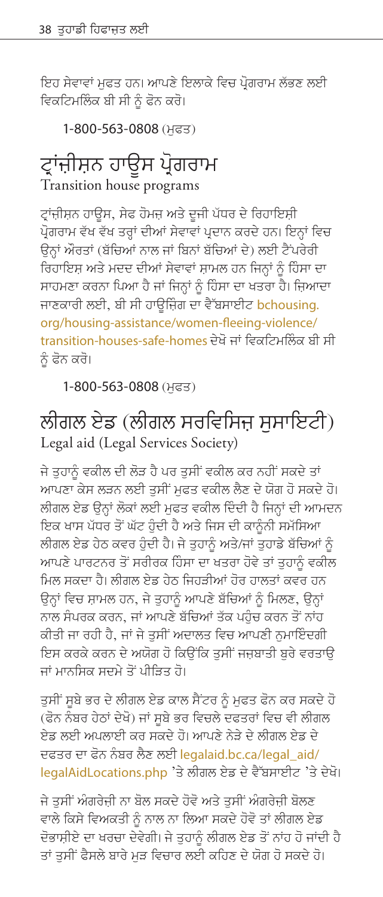ਇਹ ਸੇਵਾਵਾਂ ਮਫਤ ਹਨ। ਆਪਣੇ ਇਲਾਕੇ ਵਿਚ ਪੋਗਰਾਮ ਲੱਭਣ ਲਈ ਵਿਕਟਿਮਲਿੰਕ ਬੀ ਸੀ ਨੰ ਫੋਨ ਕਰੋ।

#### 1-800-563-0808 (ਮੁਫਤ)

#### ਟ੍ਰਾਂਜ਼ੀਸ਼ਨ ਹਾੳਸ ਪ੍ਰੋਗਰਾਮ Transition house programs

ਟ੍ਰਾਂਜੀਸਨ ਹਾਊਸ, ਸੇਫ ਹੋਮਜ਼ ਅਤੇ ਦੂਜੀ ਪੱਧਰ ਦੇ ਰਿਹਾਇਸ਼ੀ ਪ੍ਰੋਗਰਾਮ ਵੱਖ ਵੱਖ ਤਰ੍ਹਾਂ ਦੀਆਂ ਸੇਵਾਵਾਂ ਪ੍ਰਦਾਨ ਕਰਦੇ ਹਨ। ਇਨ੍ਹਾਂ ਵਿਚ ਉਨ੍ਹਾਂ ਔਰਤਾਂ (ਬੱਚਿਆਂ ਨਾਲ ਜਾਂ ਬਿਨਾਂ ਬੱਚਿਆਂ ਦੇ) ਲਈ ਟੈਂਪਰੇਰੀ ਰਿਹਾਇਸ਼ ਅਤੇ ਮਦਦ ਦੀਆਂ ਸੇਵਾਵਾਂ ਸ਼ਾਮਲ ਹਨ ਜਿਨ੍ਹਾਂ ਨੂੰ ਹਿੰਸਾ ਦਾ ਸਾਹਮਣਾ ਕਰਨਾ ਪਿਆ ਹੈ ਜਾਂ ਜਿਨ੍ਹਾਂ ਨੂੰ ਹਿੰਸਾ ਦਾ ਖਤਰਾ ਹੈ। ਜ਼ਿਆਦਾ ਜਾਣਕਾਰੀ ਲਈ, ਬੀ ਸੀ ਹਾਊਜਿੰਗ ਦਾ ਵੈੱਬਸਾਈਟ bchousing. org/housing-assistance/women-fleeing-violence/ transition-houses-safe-homes ਦੇਖੋ ਜਾਂ ਵਿਕਟਿਮਲਿੰਕ ਬੀ ਸੀ ਨੰ ਫੋਨ ਕਰੋ।

#### 1-800-563-0808 (ਮੁਫਤ)

## ਲੀਗਲ ਏਡ (ਲੀਗਲ ਸਰਵਿਸਿਜ ਸਸਾਇਟੀ) Legal aid (Legal Services Society)

ਜੇ ਤਹਾਨੰ ਵਕੀਲ ਦੀ ਲੋੜ ਹੈ ਪਰ ਤਸੀਂ ਵਕੀਲ ਕਰ ਨਹੀਂ ਸਕਦੇ ਤਾਂ ਆਪਣਾ ਕੇਸ ਲੜਨ ਲਈ ਤਸੀਂ ਮਫਤ ਵਕੀਲ ਲੈਣ ਦੇ ਯੋਗ ਹੋ ਸਕਦੇ ਹੋ। ਲੀਗਲ ਏਡ ੳਨ੍ਹਾਂ ਲੋਕਾਂ ਲਈ ਮਫਤ ਵਕੀਲ ਦਿੰਦੀ ਹੈ ਜਿਨ੍ਹਾਂ ਦੀ ਆਮਦਨ .<br>ਇਕ ਖਾਸ ਪੱਧਰ ਤੋਂ ਘੱਟ ਹੁੰਦੀ ਹੈ ਅਤੇ ਜਿਸ ਦੀ ਕਾਨੂੰਨੀ ਸਮੱਸਿਆ ਲੀਗਲ ਏਡ ਹੇਠ ਕਵਰ ਹੁੰਦੀ ਹੈ। ਜੇ ਤੁਹਾਨੂੰ ਅਤੇ/ਜਾਂ ਤੁਹਾਡੇ ਬੱਚਿਆਂ ਨੂੰ ਆਪਣੇ ਪਾਰਟਨਰ ਤੋਂ ਸਰੀਰਕ ਹਿੰਸਾ ਦਾ ਖਤਰਾ ਹੋਵੇ ਤਾਂ ਤਹਾਨੰ ਵਕੀਲ ਮਿਲ ਸਕਦਾ ਹੈ। ਲੀਗਲ ਏਡ ਹੇਠ ਜਿਹੜੀਆਂ ਹੋਰ ਹਾਲਤਾਂ ਕਵਰ ਹਨ ਉਨ੍ਹਾਂ ਵਿਚ ਸ਼ਾਮਲ ਹਨ, ਜੇ ਤੁਹਾਨੂੰ ਆਪਣੇ ਬੱਚਿਆਂ ਨੂੰ ਮਿਲਣ, ਉਨ੍ਹਾਂ ਨਾਲ ਸੰਪਰਕ ਕਰਨ. ਜਾਂ ਆਪਣੇ ਬੱਚਿਆਂ ਤੱਕ ਪਹੁੰਚ ਕਰਨ ਤੋਂ ਨਾਂਹ ਕੀਤੀ ਜਾ ਰਹੀ ਹੈ, ਜਾਂ ਜੇ ਤਸੀਂ ਅਦਾਲਤ ਵਿਚ ਆਪਣੀ ਨਮਾਇੰਦਗੀ ਇਸ ਕਰਕੇ ਕਰਨ ਦੇ ਅਯੋਗ ਹੋ ਕਿਉਂਕਿ ਤੁਸੀਂ ਜਜਬਾਤੀ ਬਰੇ ਵਰਤਾਉ ਜਾਂ ਮਾਨਸਿਕ ਸਦਮੇ ਤੋਂ ਪੀਤਿਤ ਹੋ।

ਤਸੀਂ ਸਬੇ ਭਰ ਦੇ ਲੀਗਲ ਏਡ ਕਾਲ ਸੈਂਟਰ ਨੰ ਮਫਤ ਫੋਨ ਕਰ ਸਕਦੇ ਹੋ (ਫੋਨ ਨੰਬਰ ਹੇਠਾਂ ਦੇਖੋ) ਜਾਂ ਸੂਬੇ ਭਰ ਵਿਚਲੇ ਦਫਤਰਾਂ ਵਿਚ ਵੀ ਲੀਗਲ ਏਡ ਲਈ ਅਪਲਾਈ ਕਰ ਸਕਦੇ ਹੋ। ਆਪਣੇ ਨੇੜੇ ਦੇ ਲੀਗਲ ਏਡ ਦੇ ਦਫਤਰ ਦਾ ਫੋਨ ਨੰਬਰ ਲੈਣ ਲਈ legalaid.bc.ca/legal\_aid/ legalAidLocations.php 'ਤੇ ਲੀਗਲ ਏਡ ਦੇ ਵੈੱਬਸਾਈਟ 'ਤੇ ਦੇਖੋ।

ਜੇ ਤਸੀਂ ਅੰਗਰੇਜ਼ੀ ਨਾ ਬੋਲ ਸਕਦੇ ਹੋਵੋ ਅਤੇ ਤੁਸੀਂ ਅੰਗਰੇਜ਼ੀ ਬੋਲਣ ਵਾਲੇ ਕਿਸੇ ਵਿਅਕਤੀ ਨੂੰ ਨਾਲ ਨਾ ਲਿਆ ਸਕਦੇ ਹੋਵੋ ਤਾਂ ਲੀਗਲ ਏਡ ਦੋਭਾਸ਼ੀਏ ਦਾ ਖਰਚਾ ਦੇਵੇਗੀ। ਜੇ ਤਹਾਨੂੰ ਲੀਗਲ ਏਡ ਤੋਂ ਨਾਂਹ ਹੋ ਜਾਂਦੀ ਹੈ ਤਾਂ ਤਸੀਂ ਫੈਸਲੇ ਬਾਰੇ ਮੜ ਵਿਚਾਰ ਲਈ ਕਹਿਣ ਦੇ ਯੋਗ ਹੋ ਸਕਦੇ ਹੋ।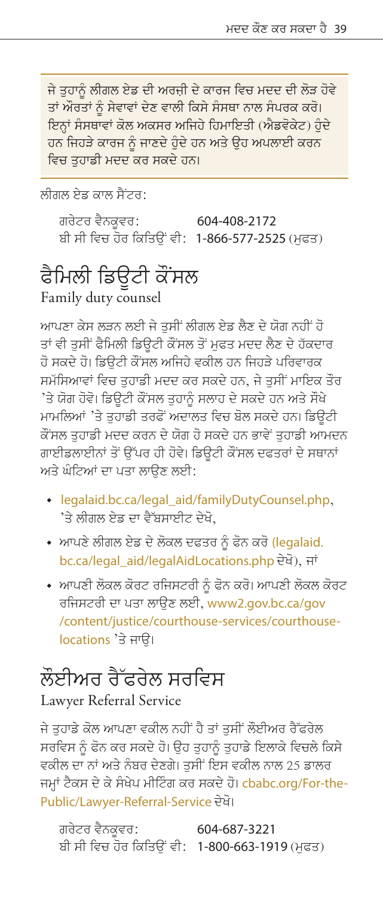<u>ਜੇ ਤਹਾਨੂੰ ਲੀਗਲ ਏਡ ਦੀ ਅਰਜ਼ੀ ਦੇ ਕਾਰਜ ਵਿਚ ਮਦਦ ਦੀ ਲੋੜ ਹੋਵੇ</u> ਤਾਂ ਔਰਤਾਂ ਨੂੰ ਸੇਵਾਵਾਂ ਦੇਣ ਵਾਲੀ ਕਿਸੇ ਸੰਸਥਾ ਨਾਲ ਸੰਪਰਕ ਕਰੋ। ਇਨ੍ਹਾਂ ਸੰਸਥਾਵਾਂ ਕੋਲ ਅਕਸਰ ਅਜਿਹੇ ਹਿਮਾਇਤੀ (ਐਡਵੋਕੇਟ) ਹੋਦੇ ਹਨ ਜਿਹੜੇ ਕਾਰਜ ਨੂੰ ਜਾਣਦੇ ਹੁੰਦੇ ਹਨ ਅਤੇ ਉਹ ਅਪਲਾਈ ਕਰਨ ਵਿਚ ਤਹਾਡੀ ਮਦਦ ਕਰ ਸਕਦੇ ਹਨ।

ਲੀਗਲ ਏਡ ਕਾਲ ਸੈਂਟਰ:

ਗਰੇਟਰ ਵੈਨਕਵਰ: 604-408-2172 ਬੀ ਸੀ ਵਿਚ ਹੋਰ ਕਿਤਿੳਂ ਵੀ: 1-866-577-2525 (ਮਫਤ)

# ਫੈਮਿਲੀ ਡਿਊਟੀ ਕੌਂਸਲ

Family duty counsel

ਆਪਣਾ ਕੇਸ ਲੜਨ ਲਈ ਜੇ ਤਸੀਂ ਲੀਗਲ ਏਡ ਲੈਣ ਦੇ ਯੋਗ ਨਹੀਂ ਹੋ ਤਾਂ ਵੀ ਤੁਸੀਂ ਫੈਮਿਲੀ ਡਿਊਟੀ ਕੌਂਸਲ ਤੋਂ ਮੁਫਤ ਮਦਦ ਲੈਣ ਦੇ ਹੱਕਦਾਰ ਹੋ ਸਕਦੇ ਹੋ। ਡਿਊਟੀ ਕੌਂਸਲ ਅਜਿਹੇ ਵਕੀਲ ਹਨ ਜਿਹੜੇ ਪਰਿਵਾਰਕ ਸਮੱਸਿਆਵਾਂ ਵਿਚ ਤਹਾਡੀ ਮਦਦ ਕਰ ਸਕਦੇ ਹਨ, ਜੇ ਤਸੀਂ ਮਾਇਕ ਤੌਰ 'ਤੇ ਯੋਗ ਹੋਵੋ। ਡਿਊਟੀ ਕੌਂਸਲ ਤੁਹਾਨੂੰ ਸਲਾਹ ਦੇ ਸਕਦੇ ਹਨ ਅਤੇ ਸੌਖੇ ਮਾਮਲਿਆਂ 'ਤੇ ਤਹਾਡੀ ਤਰਫੋਂ ਅਦਾਲਤ ਵਿਚ ਬੋਲ ਸਕਦੇ ਹਨ। ਡਿਊਟੀ ਕੌਂਸਲ ਤਹਾਡੀ ਮਦਦ ਕਰਨ ਦੇ ਯੋਗ ਹੋ ਸਕਦੇ ਹਨ ਭਾਵੇਂ ਤਹਾਡੀ ਆਮਦਨ ਗਾਈਡਲਾਈਨਾਂ ਤੋਂ ਉੱਪਰ ਹੀ ਹੋਵੇ। ਡਿਊਟੀ ਕੌਂਸਲ ਦਫਤਰਾਂ ਦੇ ਸਥਾਨਾਂ ਅਤੇ ਘੰਟਿਆਂ ਦਾ ਪਤਾ ਲਾੳਣ ਲਈ:

- legalaid.bc.ca/legal\_aid/familyDutyCounsel.php. 'ਤੇ ਲੀਗਲ ਏਡ ਦਾ ਵੈੱਬਸਾਈਟ ਦੇਖੋ.
- ਆਪਣੇ ਲੀਗਲ ਏਡ ਦੇ ਲੋਕਲ ਦਫਤਰ ਨੂੰ ਫੋਨ ਕਰੋ (legalaid. bc.ca/legal\_aid/legalAidLocations.php ਦੇਖੋ), ਜਾਂ
- ਆਪਣੀ ਲੋਕਲ ਕੋਰਟ ਰਜਿਸਟਰੀ ਨੂੰ ਫੋਨ ਕਰੋ। ਆਪਣੀ ਲੋਕਲ ਕੋਰਟ ਰਜਿਸਟਰੀ ਦਾ ਪਤਾ ਲਾਉਣ ਲਈ, www2.gov.bc.ca/gov /content/justice/courthouse-services/courthouselocations 'ਤੇ ਜਾਓ।

# ਲੌਈਅਰ ਰੈੱਫ਼ਰੇਲ ਸਰਵਿਸ

Lawyer Referral Service

ਜੇ ਤਹਾਡੇ ਕੋਲ ਆਪਣਾ ਵਕੀਲ ਨਹੀਂ ਹੈ ਤਾਂ ਤਸੀਂ ਲੌਈਅਰ ਰੈੱਫਰੇਲ ਸਰਵਿਸ ਨੂੰ ਫੋਨ ਕਰ ਸਕਦੇ ਹੋ। ਉਹ ਤੁਹਾਨੂੰ ਤੁਹਾਡੇ ਇਲਾਕੇ ਵਿਚਲੇ ਕਿਸੇ ਵਕੀਲ ਦਾ ਨਾਂ ਅਤੇ ਨੰਬਰ ਦੇਣਗੇ। ਤਸੀਂ ਇਸ ਵਕੀਲ ਨਾਲ 25 ਡਾਲਰ ਜਮ੍ਹਾਂ ਟੈਕਸ ਦੇ ਕੇ ਸੰਖੇਪ ਮੀਟਿੰਗ ਕਰ ਸਕਦੇ ਹੋ। cbabc.org/For-the-Public/Lawyer-Referral-Service ਦੇਖੋ।

ਗਰੇਟਰ ਵੈਨਕੁਵਰ: 604-687-3221 ਬੀ ਸੀ ਵਿਚ ਹੋਰ ਕਿਤਿੳਂ ਵੀ: 1-800-663-1919 (ਮਫਤ)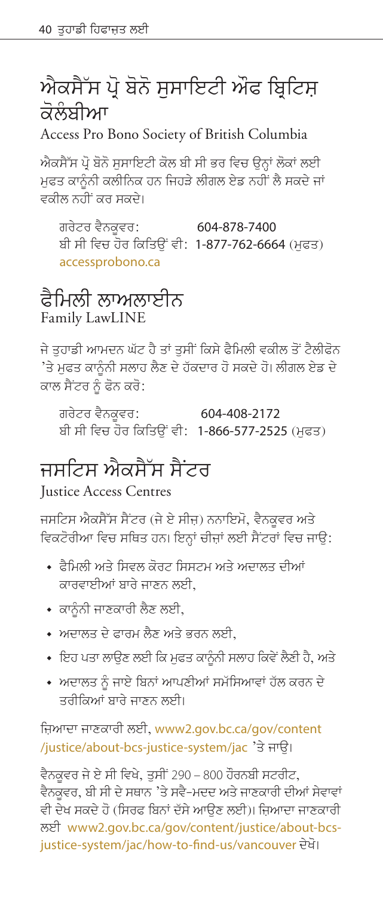## ਐਕਸੈੱਸ ਪੋ ਬੋਨੋ ਸਸਾਇਟੀ ਔਫ ਬਿਟਿਸ ਕੋਲੰਬੀਆ

Access Pro Bono Society of British Columbia

ਐਕਸੈੱਸ ਪ੍ਰੋ ਬੋਨੋ ਸਸਾਇਟੀ ਕੋਲ ਬੀ ਸੀ ਭਰ ਵਿਚ ੳਨ੍ਹਾਂ ਲੋਕਾਂ ਲਈ ਮੁਫਤ ਕਾਨੂੰਨੀ ਕਲੀਨਿਕ ਹਨ ਜਿਹੜੇ ਲੀਗਲ ਏਡ ਨਹੀਂ ਲੈ ਸਕਦੇ ਜਾਂ ਵਕੀਲ ਨਹੀਂ ਕਰ ਸਕਦੇ।

ਗਰੇਟਰ ਵੈਨਕਵਰ: 604-878-7400 ਬੀ ਸੀ ਵਿਚ ਹੋਰ ਕਿਤਿੳਂ ਵੀ: 1-877-762-6664 (ਮਫਤ) accessprobono.ca

#### ਫੈਮਿਲੀ ਲਾਅਲਾਈਨ Family LawLINE

ਜੇ ਤਹਾਡੀ ਆਮਦਨ ਘੱਟ ਹੈ ਤਾਂ ਤਸੀਂ ਕਿਸੇ ਫੈਮਿਲੀ ਵਕੀਲ ਤੋਂ ਟੈਲੀਫੋਨ 'ਤੇ ਮਫਤ ਕਾਨੂੰਨੀ ਸਲਾਹ ਲੈਣ ਦੇ ਹੱਕਦਾਰ ਹੋ ਸਕਦੇ ਹੋ। ਲੀਗਲ ਏਡ ਦੇ ਕਾਲ ਸੈਂਟਰ ਨੰ ਫੋਨ ਕਰੋ:

ਗਰੇਟਰ ਵੈਨਕਵਰ: 604-408-2172 ਬੀ ਸੀ ਵਿਚ ਹੋਰ ਕਿਤਿੳਂ ਵੀ: 1-866-577-2525 (ਮੁਫਤ)

# ਜਸਟਿਸ ਐਕਸੈੱਸ ਸੈਂਟਰ

**Iustice Access Centres** 

ਜਸਟਿਸ ਐਕਸੈੱਸ ਸੈਂਟਰ (ਜੇ ਏ ਸੀਜ਼) ਨਨਾਇਮੋ, ਵੈਨਕੁਵਰ ਅਤੇ ਵਿਕਟੋਰੀਆ ਵਿਚ ਸਥਿਤ ਹਨ। ਇਨ੍ਹਾਂ ਚੀਜ਼ਾਂ ਲਈ ਸੈਂਟਰਾਂ ਵਿਚ ਜਾੳ:

- ਫੈਮਿਲੀ ਅਤੇ ਸਿਵਲ ਕੋਰਟ ਸਿਸਟਮ ਅਤੇ ਅਦਾਲਤ ਦੀਆਂ ਕਾਰਵਾਈਆਂ ਸਾਰੇ ਜਾਣਨ ਲਈ
- ◆ ਕਾਨੂੰਨੀ ਜਾਣਕਾਰੀ ਲੈਣ ਲਈ,
- ਅਦਾਲਤ ਦੇ ਫਾਰਮ ਲੈਣ ਅਤੇ ਭਰਨ ਲਈ.
- ਇਹ ਪਤਾ ਲਾਉਣ ਲਈ ਕਿ ਮੁਫਤ ਕਾਨੂੰਨੀ ਸਲਾਹ ਕਿਵੇਂ ਲੈਣੀ ਹੈ, ਅਤੇ
- ਅਦਾਲਤ ਨੂੰ ਜਾਏ ਬਿਨਾਂ ਆਪਣੀਆਂ ਸਮੱਸਿਆਵਾਂ ਹੱਲ ਕਰਨ ਦੇ ਤਰੀਕਿਆਂ ਬਾਰੇ ਜਾਣਨ ਲਈ।

ਜ਼ਿਆਦਾ ਜਾਣਕਾਰੀ ਲਈ, www2.gov.bc.ca/gov/content /justice/about-bcs-justice-system/jac 'ਤੇ ਜਾਉ।

ਵੈਨਕਵਰ ਜੇ ਏ ਸੀ ਵਿਖੇ, ਤਸੀਂ 290 – 800 ਹੌਰਨਬੀ ਸਟਰੀਟ, ਵੈਨਕਵਰ. ਬੀ ਸੀ ਦੇ ਸਥਾਨ 'ਤੇ ਸਵੈ–ਮਦਦ ਅਤੇ ਜਾਣਕਾਰੀ ਦੀਆਂ ਸੇਵਾਵਾਂ ਵੀ ਦੇਖ ਸਕਦੇ ਹੋ (ਸਿਰਫ ਬਿਨਾਂ ਦੱਸੇ ਆੳਣ ਲਈ)। ਜ਼ਿਆਦਾ ਜਾਣਕਾਰੀ ਲਈ www2.gov.bc.ca/gov/content/justice/about-bcsjustice-system/jac/how-to-find-us/vancouver ਦੇਖੋ।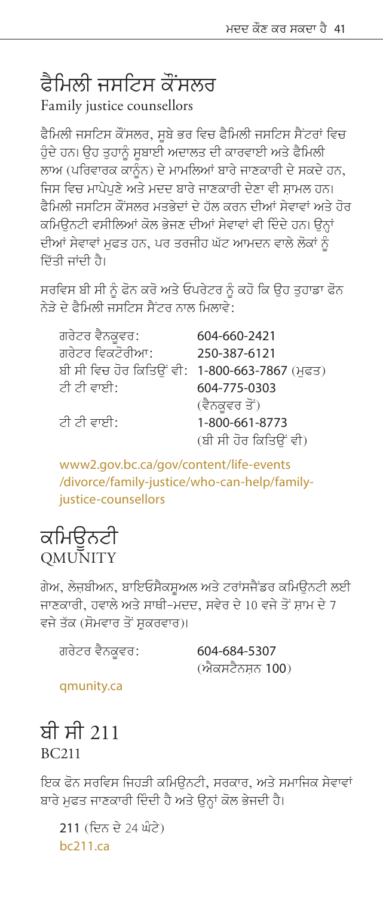# <u>ਫੈਮਿਲੀ ਜਸਟਿਸ ਕੌਂਸਲਰ</u>

Family justice counsellors

ਫੈਮਿਲੀ ਜਸਟਿਸ ਕੌਂਸਲਰ, ਸੂਬੇ ਭਰ ਵਿਚ ਫੈਮਿਲੀ ਜਸਟਿਸ ਸੈਂਟਰਾਂ ਵਿਚ ਹੁੰਦੇ ਹਨ। ਉਹ ਤੁਹਾਨੂੰ ਸੁਬਾਈ ਅਦਾਲਤ ਦੀ ਕਾਰਵਾਈ ਅਤੇ ਫੈਮਿਲੀ ਲਾਅ (ਪਰਿਵਾਰਕ ਕਾਨੰਨ) ਦੇ ਮਾਮਲਿਆਂ ਬਾਰੇ ਜਾਣਕਾਰੀ ਦੇ ਸਕਦੇ ਹਨ, ਜਿਸ ਵਿਚ ਮਾਪੇਪਣੇ ਅਤੇ ਮਦਦ ਬਾਰੇ ਜਾਣਕਾਰੀ ਦੇਣਾ ਵੀ ਸ਼ਾਮਲ ਹਨ। ਫੈਮਿਲੀ ਜਸਟਿਸ ਕੌਂਸਲਰ ਮਤਭੇਦਾਂ ਦੇ ਹੱਲ ਕਰਨ ਦੀਆਂ ਸੇਵਾਵਾਂ ਅਤੇ ਹੋਰ ਕਮਿੳਨਟੀ ਵਸੀਲਿਆਂ ਕੋਲ ਭੇਜਣ ਦੀਆਂ ਸੇਵਾਵਾਂ ਵੀ ਦਿੰਦੇ ਹਨ। ੳਨ੍ਹਾਂ ਦੀਆਂ ਸੇਵਾਵਾਂ ਮੁਫਤ ਹਨ, ਪਰ ਤਰਜੀਹ ਘੱਟ ਆਮਦਨ ਵਾਲੇ ਲੋਕਾਂ ਨੂੰ ਦਿੱਤੀ ਜਾਂਦੀ ਹੈ।

ਸਰਵਿਸ ਬੀ ਸੀ ਨੂੰ ਫੋਨ ਕਰੋ ਅਤੇ ਓਪਰੇਟਰ ਨੂੰ ਕਹੋ ਕਿ ਉਹ ਤੁਹਾਡਾ ਫੋਨ ਨੇਤੇ ਦੇ ਫੈਮਿਲੀ ਜਸਟਿਸ ਸੈਂਟਰ ਨਾਲ ਮਿਲਾਵੇ:

| ਗਰੇਟਰ ਵੈਨਕੁਵਰ:                                | 604-660-2421          |
|-----------------------------------------------|-----------------------|
| ਗਰੇਟਰ ਵਿਕਟੋਰੀਆ:                               | 250-387-6121          |
| ਬੀ ਸੀ ਵਿਚ ਹੋਰ ਕਿਤਿਉਂ ਵੀ: 1-800-663-7867 (ਮਫਤ) |                       |
| ਟੀ ਟੀ ਵਾਈ:                                    | 604-775-0303          |
|                                               | (ਵੈਨਕੁਵਰ ਤੋਂ)         |
| ਟੀ ਟੀ ਵਾਈ:                                    | 1-800-661-8773        |
|                                               | (ਬੀ ਸੀ ਹੋਰ ਕਿਤਿਉਂ ਵੀ) |

[www2.gov.bc.ca/gov/content/life-events](http://www2.gov.bc.ca/gov/content/life-events/divorce/family-justice/who-can-help/family-justice-counsellors) [/divorce/family-justice/who-can-help/family](http://www2.gov.bc.ca/gov/content/life-events/divorce/family-justice/who-can-help/family-justice-counsellors)[justice-counsellors](http://www2.gov.bc.ca/gov/content/life-events/divorce/family-justice/who-can-help/family-justice-counsellors)

## ਕਮਿੳਨਟੀ **QMUNITY**

ਗੇਅ, ਲੇਜ਼ਬੀਅਨ, ਬਾਇਓਸੈਕਸੁਅਲ ਅਤੇ ਟਰਾਂਸਜੈਂਡਰ ਕਮਿਊਨਟੀ ਲਈ ਜਾਣਕਾਰੀ, ਹਵਾਲੇ ਅਤੇ ਸਾਥੀ-ਮਦਦ, ਸਵੇਰ ਦੇ 10 ਵਜੇ ਤੋਂ ਸ਼ਾਮ ਦੇ 7 ਵਜੇ ਤੱਕ (ਸੋਮਵਾਰ ਤੋਂ ਸ਼ੁਕਰਵਾਰ)।

ਗਰੇਟਰ ਵੈਨਕਵਰ: 604-684-5307

 $(\hat{\mathcal{M}}$ ਕਸਟੈਨਸਨ 100 $)$ 

#### [qmunity.ca](http://qmunity.ca)

#### <u>ਬੀ ਸੀ 211</u> BC211

ਇਕ ਫੋਨ ਸਰਵਿਸ ਜਿਹੜੀ ਕਮਿੳਨਟੀ, ਸਰਕਾਰ, ਅਤੇ ਸਮਾਜਿਕ ਸੇਵਾਵਾਂ ਬਾਰੇ ਮੁਫਤ ਜਾਣਕਾਰੀ ਦਿੰਦੀ ਹੈ ਅਤੇ ਉਨ੍ਹਾਂ ਕੋਲ ਭੇਜਦੀ ਹੈ।

211 (ਦਿਨ ਦੇ 24 ਘੰਟੇ) [bc211.ca](http://bc211.ca)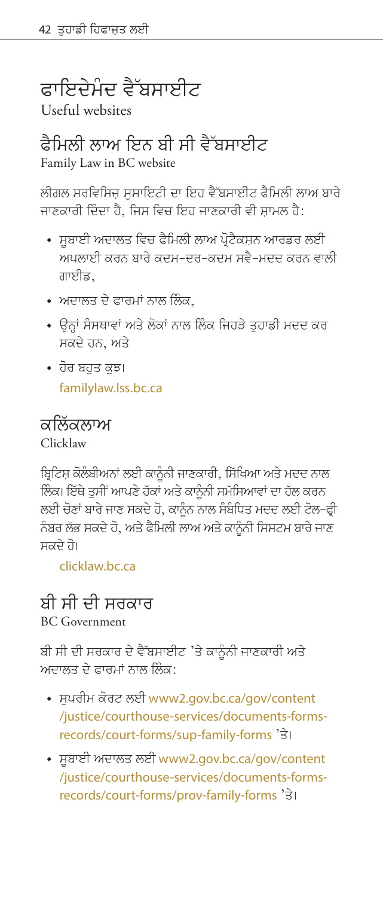# ਫਾਇਦੇਮੰਦ ਵੈੱਬਸਾਈਟ

Useful websites

#### ਫੈਮਿਲੀ ਲਾਅ ਇਨ ਬੀ ਸੀ ਵੈੱਬਸਾਈਟ Family Law in BC website

ਲੀਗਲ ਸਰਵਿਸਿਜ਼ ਸਸਾਇਟੀ ਦਾ ਇਹ ਵੈੱਬਸਾਈਟ ਫੈਮਿਲੀ ਲਾਅ ਬਾਰੇ ਜਾਣਕਾਰੀ ਦਿੰਦਾ ਹੈ, ਜਿਸ ਵਿਚ ਇਹ ਜਾਣਕਾਰੀ ਵੀ ਸ਼ਾਮਲ ਹੈ:

- ਸੁਬਾਈ ਅਦਾਲਤ ਵਿਚ ਫੈਮਿਲੀ ਲਾਅ ਪ੍ਰੋਟੈਕਸ਼ਨ ਆਰਡਰ ਲਈ ਅਪਲਾਈ ਕਰਨ ਬਾਰੇ ਕਦਮ-ਦਰ-ਕਦਮ ਸਵੈ-ਮਦਦ ਕਰਨ ਵਾਲੀ ਗਾਈਡ,
- ਅਦਾਲਤ ਦੇ ਫਾਰਮਾਂ ਨਾਲ ਲਿੰਕ,
- $\,\textcolor{red}{\bullet}\,$  ਉਨ੍ਹਾਂ ਸੰਸਥਾਵਾਂ ਅਤੇ ਲੋਕਾਂ ਨਾਲ ਲਿੰਕ ਜਿਹੜੇ ਤੁਹਾਡੀ ਮਦਦ ਕਰ ਸਕਦੇ ਹਨ, ਅਤੇ
- ◆ ਹੋਰ ਬਹਤ ਕਝ। [familylaw.lss.bc.ca](http://familylaw.lss.bc.ca)

#### ਕਲਿੱਕਲਾਅ Clicklaw

ਬ੍ਰਿਟਿਸ ਕੋਲੰਬੀਅਨਾਂ ਲਈ ਕਾਨੰਨੀ ਜਾਣਕਾਰੀ, ਸਿੱਖਿਆ ਅਤੇ ਮਦਦ ਨਾਲ ਲਿੰਕ। ਇੱਥੇ ਤੁਸੀਂ ਆਪਣੇ ਹੱਕਾਂ ਅਤੇ ਕਾਨੂੰਨੀ ਸਮੱਸਿਆਵਾਂ ਦਾ ਹੱਲ ਕਰਨ ਲਈ ਚੋਣਾਂ ਬਾਰੇ ਜਾਣ ਸਕਦੇ ਹੋ, ਕਾਨੰਨ ਨਾਲ ਸੰਬੰਧਿਤ ਮਦਦ ਲਈ ਟੋਲ–ਫੀ ਨੰਬਰ ਲੱਭ ਸਕਦੇ ਹੋ, ਅਤੇ ਫੈਮਿਲੀ ਲਾਅ ਅਤੇ ਕਾਨੰਨੀ ਸਿਸਟਮ ਬਾਰੇ ਜਾਣ ਸਕਦੇ ਹੋ।

[clicklaw.bc.ca](http://clicklaw.bc.ca)

#### ਬੀ ਸੀ ਦੀ ਸਰਕਾਰ

BC Government

ਬੀ ਸੀ ਦੀ ਸਰਕਾਰ ਦੇ ਵੈੱਬਸਾਈਟ 'ਤੇ ਕਾਨੂੰਨੀ ਜਾਣਕਾਰੀ ਅਤੇ ਅਦਾਲਤ ਦੇ ਫ਼ਾਰਮਾਂ ਨਾਲ ਲਿੰਕ $\cdot$ 

- ਸੁਪਰੀਮ ਕੋਰਟ ਲਈ [www2.gov.bc.ca/gov/content](https://www2.gov.bc.ca/gov/content/justice/courthouse-services/documents-forms-records/court-forms/sup-family-forms) [/justice/courthouse-services/documents-forms](https://www2.gov.bc.ca/gov/content/justice/courthouse-services/documents-forms-records/court-forms/sup-family-forms)[records/court-forms/sup-family-forms](https://www2.gov.bc.ca/gov/content/justice/courthouse-services/documents-forms-records/court-forms/sup-family-forms) 'ਤੇ।
- ਸੁਬਾਈ ਅਦਾਲਤ ਲਈ [www2.gov.bc.ca/gov/content](https://www2.gov.bc.ca/gov/content/justice/courthouse-services/documents-forms-records/court-forms/prov-family-forms) [/justice/courthouse-services/documents-forms](https://www2.gov.bc.ca/gov/content/justice/courthouse-services/documents-forms-records/court-forms/prov-family-forms)[records/court-forms/prov-family-forms](https://www2.gov.bc.ca/gov/content/justice/courthouse-services/documents-forms-records/court-forms/prov-family-forms) 'ਤੇ।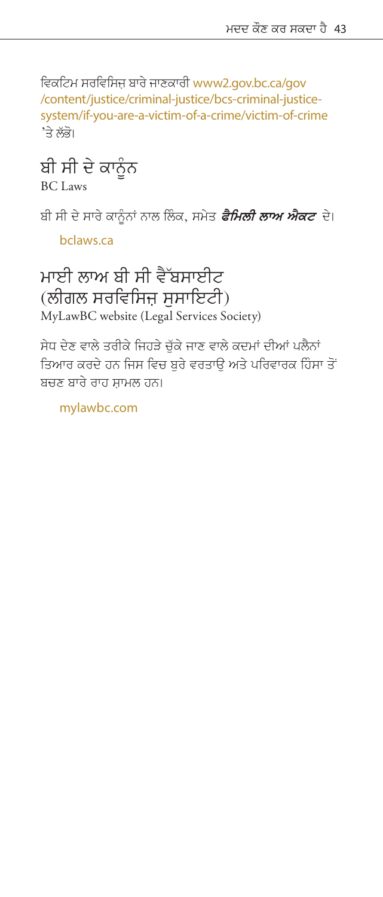ਵਿਕਟਿਮ ਸਰਵਿਸਿਜ ਬਾਰੇ ਜਾਣਕਾਰੀ www2.gov.bc.ca/gov /content/justice/criminal-justice/bcs-criminal-justicesystem/if-you-are-a-victim-of-a-crime/victim-of-crime 'ਤੇ ਲੱਭੋ।

ਬੀ ਸੀ ਦੇ ਕਾਨੂੰਨ **BC** Laws

ਬੀ ਸੀ ਦੇ ਸਾਰੇ ਕਾਨੂੰਨਾਂ ਨਾਲ ਲਿੰਕ, ਸਮੇਤ *ਫੈਮਿਲੀ ਲਾਅ ਐਕਟ* ਦੇ।

bclaws.ca

#### ਮਾਈ ਲਾਅ ਬੀ ਸੀ ਵੈੱਬਸਾਈਟ (ਲੀਗਲ ਸਰਵਿਸਿਜ਼ ਸਸਾਇਟੀ) MyLawBC website (Legal Services Society)

.<br>ਸੇਧ ਦੇਣ ਵਾਲੇ ਤਰੀਕੇ ਜਿਹੜੇ ਚੱਕੇ ਜਾਣ ਵਾਲੇ ਕਦਮਾਂ ਦੀਆਂ ਪਲੈਨਾਂ ਤਿਆਰ ਕਰਦੇ ਹਨ ਜਿਸ ਵਿਚ ਬਰੇ ਵਰਤਾੳ ਅਤੇ ਪਰਿਵਾਰਕ ਹਿੰਸਾ ਤੋਂ ਬਚਣ ਬਾਰੇ ਰਾਹ ਸ਼ਾਮਲ ਹਨ।

mylawbc.com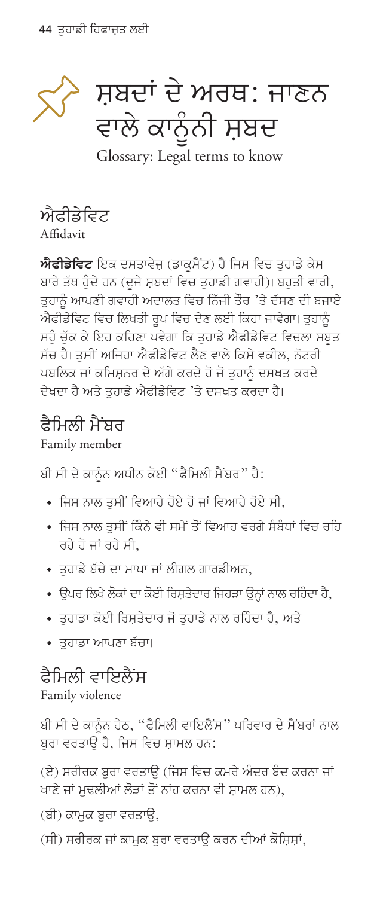<span id="page-45-0"></span>

Glossary: Legal terms to know

ਐਫੀਡੇਵਿਟ **Affidavit** 

**ਐਫੀਡੇਵਿਟ** ਇਕ ਦਸਤਾਵੇਜ਼ (ਡਾਕਮੈਂਟ) ਹੈ ਜਿਸ ਵਿਚ ਤਹਾਡੇ ਕੇਸ ਬਾਰੇ ਤੱਥ ਹੁੰਦੇ ਹਨ (ਦੂਜੇ ਸ਼ਬਦਾਂ ਵਿਚ ਤੁਹਾਡੀ ਗਵਾਹੀ)। ਬਹੁਤੀ ਵਾਰੀ, ਤਹਾਨੂੰ ਆਪਣੀ ਗਵਾਹੀ ਅਦਾਲਤ ਵਿਚ ਨਿੱਜੀ ਤੌਰ 'ਤੇ ਦੱਸਣ ਦੀ ਬਜਾਏ ਐਫੀਡੇਵਿਟ ਵਿਚ ਲਿਖਤੀ ਰੂਪ ਵਿਚ ਦੇਣ ਲਈ ਕਿਹਾ ਜਾਵੇਗਾ। ਤੁਹਾਨੂੰ ਸਹੰ ਚੱਕ ਕੇ ਇਹ ਕਹਿਣਾ ਪਵੇਗਾ ਕਿ ਤਹਾਡੇ ਐਫੀਡੇਵਿਟ ਵਿਚਲਾ ਸਬਤ ਸੱਚ ਹੈ। ਤਸੀਂ ਅਜਿਹਾ ਐਫੀਡੇਵਿਟ ਲੈਣ ਵਾਲੇ ਕਿਸੇ ਵਕੀਲ, ਨੋਟਰੀ ਪਬਲਿਕ ਜਾਂ ਕਮਿਸ਼ਨਰ ਦੇ ਅੱਗੇ ਕਰਦੇ ਹੋ ਜੋ ਤਹਾਨੰ ਦਸਖਤ ਕਰਦੇ ਦੇਖਦਾ ਹੈ ਅਤੇ ਤਹਾਡੇ ਐਫੀਡੇਵਿਟ 'ਤੇ ਦਸਖਤ ਕਰਦਾ ਹੈ।

## ਫੈਮਿਲੀ ਮੈਂਬਰ

Family member

ਬੀ ਸੀ ਦੇ ਕਾਨੂੰਨ ਅਧੀਨ ਕੋਈ "ਫੈਮਿਲੀ ਮੈਂਬਰ" ਹੈ:

- ਜਿਸ ਨਾਲ ਤਸੀਂ ਵਿਆਹੇ ਹੋਏ ਹੋ ਜਾਂ ਵਿਆਹੇ ਹੋਏ ਸੀ.
- ∙ ਜਿਸ ਨਾਲ ਤਸੀਂ ਕਿੰਨੇ ਵੀ ਸਮੇਂ ਤੋਂ ਵਿਆਹ ਵਰਗੇ ਸੰਬੰਧਾਂ ਵਿਚ ਰਹਿ ਰਹੇ ਹੋ ਜਾਂ ਰਹੇ ਸੀ.
- ◆ ਤਹਾਡੇ ਬੱਚੇ ਦਾ ਮਾਪਾ ਜਾਂ ਲੀਗਲ ਗਾਰਡੀਅਨ,
- ਉਪਰ ਲਿਖੇ ਲੋਕਾਂ ਦਾ ਕੋਈ ਰਿਸ਼ਤੇਦਾਰ ਜਿਹੜਾ ਉਨ੍ਹਾਂ ਨਾਲ ਰਹਿੰਦਾ ਹੈ,
- ◆ ਤਹਾਡਾ ਕੋਈ ਰਿਸਤੇਦਾਰ ਜੋ ਤਹਾਡੇ ਨਾਲ ਰਹਿੰਦਾ ਹੈ. ਅਤੇ
- ◆ ਤੁਹਾਡਾ ਆਪਣਾ ਬੱਚਾ।

## ਫੈਮਿਲੀ ਵਾਇਲੈਂਸ

Family violence

ਬੀ ਸੀ ਦੇ ਕਾਨੂੰਨ ਹੇਠ, ''ਫੈਮਿਲੀ ਵਾਇਲੈਂਸ'' ਪਰਿਵਾਰ ਦੇ ਮੈਂਬਰਾਂ ਨਾਲ ਬਰਾ ਵਰਤਾੳ ਹੈ, ਜਿਸ ਵਿਚ ਸ਼ਾਮਲ ਹਨ:

(ਏ) ਸਰੀਰਕ ਬਰਾ ਵਰਤਾੳ (ਜਿਸ ਵਿਚ ਕਮਰੇ ਅੰਦਰ ਬੰਦ ਕਰਨਾ ਜਾਂ ਖਾਣੇ ਜਾਂ ਮਢਲੀਆਂ ਲੋੜਾਂ ਤੋਂ ਨਾਂਹ ਕਰਨਾ ਵੀ ਸ਼ਾਮਲ ਹਨ),

(ਬੀ) ਕਾਮੁਕ ਬੁਰਾ ਵਰਤਾਉ,

(ਸੀ) ਸਰੀਰਕ ਜਾਂ ਕਾਮਕ ਬਰਾ ਵਰਤਾੳ ਕਰਨ ਦੀਆਂ ਕੋਸ਼ਿਸ਼ਾਂ,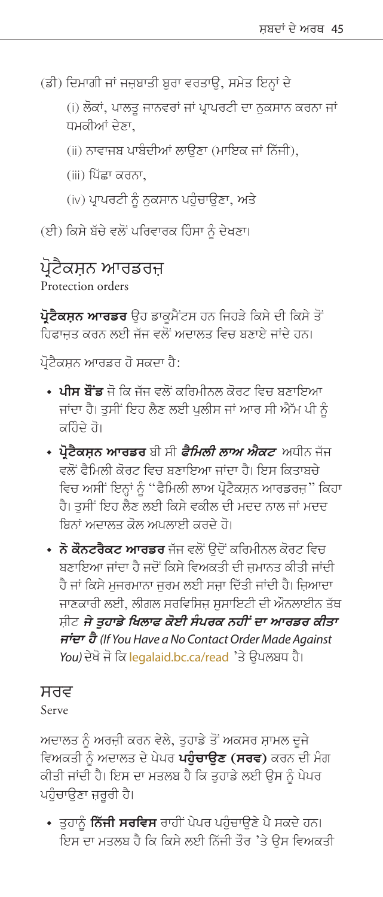(ਡੀ) ਦਿਮਾਗੀ ਜਾਂ ਜਜ਼ਬਾਤੀ ਬਰਾ ਵਰਤਾੳ, ਸਮੇਤ ਇਨਾਂ ਦੇ

(i) ਲੋਕਾਂ, ਪਾਲਤ ਜਾਨਵਰਾਂ ਜਾਂ ਪ੍ਰਾਪਰਟੀ ਦਾ ਨਕਸਾਨ ਕਰਨਾ ਜਾਂ ਧਮਕੀਆਂ ਦੇਣਾ.

- (ii) ਨਾਵਾਜਬ ਪਾਬੰਦੀਆਂ ਲਾੳਣਾ (ਮਾਇਕ ਜਾਂ ਨਿੱਜੀ).
- (iii) ਪਿੱਛਾ ਕਰਨਾ.
- (iv) ਪ੍ਰਾਪਰਟੀ ਨੰ ਨਕਸਾਨ ਪਹੰਚਾੳਣਾ, ਅਤੇ

(ਈ) ਕਿਸੇ ਬੱਚੇ ਵਲੋਂ ਪਰਿਵਾਰਕ ਹਿੰਸਾ ਨੰ ਦੇਖਣਾ।

#### ਪ੍ਰੋਟੈਕਸੁਨ ਆਰਡਰਜ਼

Protection orders

ਪ੍ਰੋਟੈਕਸ਼ਨ ਆਰਡਰ ਉਹ ਡਾਕੁਮੈਂਟਸ ਹਨ ਜਿਹੜੇ ਕਿਸੇ ਦੀ ਕਿਸੇ ਤੋਂ ਹਿਫਾਜਤ ਕਰਨ ਲਈ ਜੱਜ ਵਲੋਂ ਅਦਾਲਤ ਵਿਚ ਬਣਾਏ ਜਾਂਦੇ ਹਨ।

ਪ੍ਰੋਟੈਕਸ਼ਨ ਆਰਡਰ ਹੋ ਸਕਦਾ ਹੈ:

- ∙ **ਪੀਸ ਬੌਂਡ** ਜੋ ਕਿ ਜੱਜ ਵਲੋਂ ਕਰਿਮੀਨਲ ਕੋਰਟ ਵਿਚ ਬਣਾਇਆ ਜਾਂਦਾ ਹੈ। ਤੁਸੀਂ ਇਹ ਲੈਣ ਲਈ ਪੁਲੀਸ ਜਾਂ ਆਰ ਸੀ ਐੱਮ ਪੀ ਨੂੰ ਕਹਿੰਦੇ ਹੋ।
- **ਪ੍ਰੋਟੈਕਸਨ ਆਰਡਰ** ਬੀ ਸੀ *ਫੈਮਿਲੀ ਲਾਅ ਐਕਟ ਅ*ਧੀਨ ਜੱਜ ਵਲੋਂ ਫੈਮਿਲੀ ਕੋਰਟ ਵਿਚ ਬਣਾਇਆ ਜਾਂਦਾ ਹੈ। ਇਸ ਕਿਤਾਬਚੇ ਵਿਚ ਅਸੀਂ ਇਨ੍ਹਾਂ ਨੰ "ਫੈਮਿਲੀ ਲਾਅ ਪ੍ਰੋਟੈਕਸ਼ਨ ਆਰਡਰਜ਼" ਕਿਹਾ ਹੈ। ਤਸੀਂ ਇਹ ਲੈਣ ਲਈ ਕਿਸੇ ਵਕੀਲ ਦੀ ਮਦਦ ਨਾਲ ਜਾਂ ਮਦਦ ਸਿਨਾਂ ਅਦਾਲਤ ਕੋਲ ਅਪਲਾਈ ਕਰਦੇ ਹੋ।
- **ਨੋ ਕੌਨਟਰੈਕਟ ਆਰਡਰ** ਜੱਜ ਵਲੋਂ ੳਦੋਂ ਕਰਿਮੀਨਲ ਕੋਰਟ ਵਿਚ ਬਣਾਇਆ ਜਾਂਦਾ ਹੈ ਜਦੋਂ ਕਿਸੇ ਵਿਅਕਤੀ ਦੀ ਜਮਾਨਤ ਕੀਤੀ ਜਾਂਦੀ ਹੈ ਜਾਂ ਕਿਸੇ ਮਜਰਮਾਨਾ ਜਰਮ ਲਈ ਸਜਾ ਦਿੱਤੀ ਜਾਂਦੀ ਹੈ। ਜਿਆਦਾ ਜਾਣਕਾਰੀ ਲਈ. ਲੀਗਲ ਸਰਵਿਸਿਜ ਸਸਾਇਟੀ ਦੀ ਔਨਲਾਈਨ ਤੱਥ ਸ਼ੀਟ **ਜੇ ਤਹਾਡੇ ਖਿਲਾਫ ਕੋਈ ਸੰਪਰਕ ਨਹੀਂ ਦਾ ਆਰਡਰ ਕੀਤਾ** ਜਾਂਦਾ ਹੈ (If You Have a No Contact Order Made Against You) ਦੇਖੋ ਜੋ ਕਿ legalaid.bc.ca/read 'ਤੇ ੳਪਲਬਧ ਹੈ।

#### ਸਰਵ

Serve

ਅਦਾਲਤ ਨੰ ਅਰਜ਼ੀ ਕਰਨ ਵੇਲੇ, ਤਹਾਡੇ ਤੋਂ ਅਕਸਰ ਸ਼ਾਮਲ ਦਜੇ ਵਿਅਕਤੀ ਨੰ ਅਦਾਲਤ ਦੇ ਪੇਪਰ **ਪਹੰਚਾੳਣ (ਸਰਵ)** ਕਰਨ ਦੀ ਮੰਗ ਕੀਤੀ ਜਾਂਦੀ ਹੈ। ਇਸ ਦਾ ਮਤਲਬ ਹੈ ਕਿ ਤੁਹਾਡੇ ਲਈ ਉਸ ਨੂੰ ਪੇਪਰ ਪਹੰਚਾੳਣਾ ਜ਼ਰਰੀ ਹੈ।

∙ ਤਹਾਨੰ **ਨਿੱਜੀ ਸਰਵਿਸ** ਰਾਹੀਂ ਪੇਪਰ ਪਹੁੰਚਾੳਣੇ ਪੈ ਸਕਦੇ ਹਨ। ਇਸ ਦਾ ਮਤਲਬ ਹੈ ਕਿ ਕਿਸੇ ਲਈ ਨਿੱਜੀ ਤੌਰ 'ਤੇ ਉਸ ਵਿਅਕਤੀ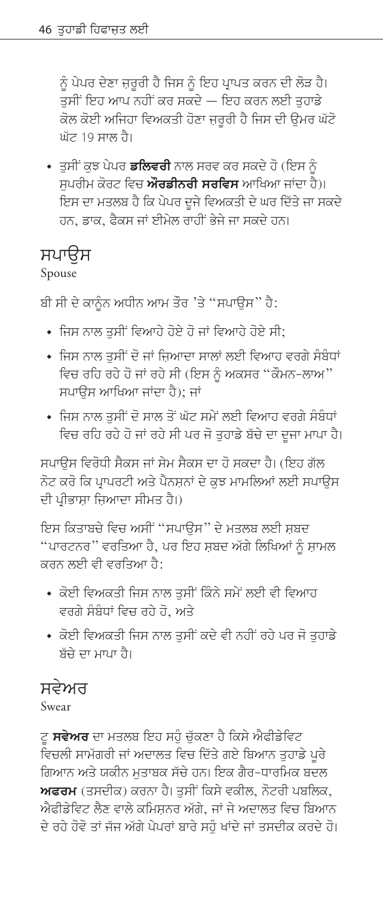ਨੂੰ ਪੇਪਰ ਦੇਣਾ ਜ਼ਰੂਰੀ ਹੈ ਜਿਸ ਨੂੰ ਇਹ ਪਾਪਤ ਕਰਨ ਦੀ ਲੋੜ ਹੈ। ਤਸੀਂ ਇਹ ਆਪ ਨਹੀਂ ਕਰ ਸਕਦੇ — ਇਹ ਕਰਨ ਲਈ ਤਹਾਡੇ ਕੋਲ ਕੋਈ ਅਜਿਹਾ ਵਿਅਕਤੀ ਹੋਣਾ ਜਰਰੀ ਹੈ ਜਿਸ ਦੀ ੳਮਰ ਘੱਟੋ ਘੱਟ 19 ਸਾਲ ਹੈ।

∙ ਤਸੀਂ ਕਝ ਪੇਪਰ **ਡਲਿਵਰੀ** ਨਾਲ ਸਰਵ ਕਰ ਸਕਦੇ ਹੋ (ਇਸ ਨੰ ਸਪਰੀਮ ਕੋਰਟ ਵਿਚ **ਔਰਡੀਨਰੀ ਸਰਵਿਸ** ਆਖਿਆ ਜਾਂਦਾ ਹੈ)। ਇਸ ਦਾ ਮਤਲਬ ਹੈ ਕਿ ਪੇਪਰ ਦਜੇ ਵਿਅਕਤੀ ਦੇ ਘਰ ਦਿੱਤੇ ਜਾ ਸਕਦੇ ਹਨ, ਡਾਕ, ਫੈਕਸ ਜਾਂ ਈਮੇਲ ਰਾਹੀਂ ਭੇਜੇ ਜਾ ਸਕਦੇ ਹਨ।

#### ਸਪਾੳਸ

Spouse

ਬੀ ਸੀ ਦੇ ਕਾਨੂੰਨ ਅਧੀਨ ਆਮ ਤੌਰ 'ਤੇ "ਸਪਾਉਸ" ਹੈ:

- ਜਿਸ ਨਾਲ ਤਸੀਂ ਵਿਆਹੇ ਹੋਏ ਹੋ ਜਾਂ ਵਿਆਹੇ ਹੋਏ ਸੀ;
- ∙ ਜਿਸ ਨਾਲ ਤਸੀਂ ਦੋ ਜਾਂ ਜ਼ਿਆਦਾ ਸਾਲਾਂ ਲਈ ਵਿਆਹ ਵਰਗੇ ਸੰਬੰਧਾਂ ਵਿਚ ਰਹਿ ਰਹੇ ਹੋ ਜਾਂ ਰਹੇ ਸੀ (ਇਸ ਨੂੰ ਅਕਸਰ "ਕੌਮਨ-ਲਾਅ" ਸਪਾੳਸ ਆਖਿਆ ਜਾਂਦਾ ਹੈ); ਜਾਂ
- ਜਿਸ ਨਾਲ ਤਸੀਂ ਦੋ ਸਾਲ ਤੋਂ ਘੱਟ ਸਮੇਂ ਲਈ ਵਿਆਹ ਵਰਗੇ ਸੰਬੰਧਾਂ ਵਿਚ ਰਹਿ ਰਹੇ ਹੋ ਜਾਂ ਰਹੇ ਸੀ ਪਰ ਜੋ ਤੁਹਾਡੇ ਬੱਚੇ ਦਾ ਦੂਜਾ ਮਾਪਾ ਹੈ।

ਸਪਾੳਸ ਵਿਰੋਧੀ ਸੈਕਸ ਜਾਂ ਸੇਮ ਸੈਕਸ ਦਾ ਹੋ ਸਕਦਾ ਹੈ। (ਇਹ ਗੱਲ ਨੋਟ ਕਰੋ ਕਿ ਪ੍ਰਾਪਰਟੀ ਅਤੇ ਪੈਨਸ਼ਨਾਂ ਦੇ ਕੁਝ ਮਾਮਲਿਆਂ ਲਈ ਸਪਾਉਸ ਦੀ ਪੀਭਾਸਾ ਜਿਆਦਾ ਸੀਮਤ ਹੈ।)

ਇਸ ਕਿਤਾਬਚੇ ਵਿਚ ਅਸੀਂ "ਸਪਾੳਸ" ਦੇ ਮਤਲਬ ਲਈ ਸ਼ਬਦ "ਪਾਰਟਨਰ" ਵਰਤਿਆ ਹੈ, ਪਰ ਇਹ ਸ਼ਬਦ ਅੱਗੇ ਲਿਖਿਆਂ ਨੰ ਸ਼ਾਮਲ ਕਰਨ ਲਈ ਵੀ ਵਰਤਿਆ ਹੈ:

- ∙ ਕੋਈ ਵਿਅਕਤੀ ਜਿਸ ਨਾਲ ਤਸੀਂ ਕਿੰਨੇ ਸਮੇਂ ਲਈ ਵੀ ਵਿਆਹ ਵਰਗੇ ਸੰਬੰਧਾਂ ਵਿਚ ਰਹੇ ਹੋ. ਅਤੇ
- ∙ ਕੋਈ ਵਿਅਕਤੀ ਜਿਸ ਨਾਲ ਤਸੀਂ ਕਦੇ ਵੀ ਨਹੀਂ ਰਹੇ ਪਰ ਜੋ ਤਹਾਡੇ ਬੱਚੇ ਦਾ ਮਾਪਾ ਹੈ।

#### ਸਵੇਅਰ

Swear

ਟ ਸਵੇਅਰ ਦਾ ਮਤਲਬ ਇਹ ਸਹੰ ਚੱਕਣਾ ਹੈ ਕਿਸੇ ਐਫੀਡੇਵਿਟ .<br>ਵਿਚਲੀ ਸਾਮੋਂਗਰੀ ਜਾਂ ਅਦਾਲਤ ਵਿਚ ਦਿੱਤੇ ਗਏ ਬਿਆਨ ਤਹਾਡੇ ਪਰੇ ਗਿਆਨ ਅਤੇ ਯਕੀਨ ਮਤਾਬਕ ਸੱਚੇ ਹਨ। ਇਕ ਗੈਰ-ਧਾਰਮਿਕ ਬਦਲ ਅਫਰਮ (ਤਸਦੀਕ) ਕਰਨਾ ਹੈ। ਤਸੀਂ ਕਿਸੇ ਵਕੀਲ, ਨੋਟਰੀ ਪਬਲਿਕ, ਐਫੀਡੇਵਿਟ ਲੈਣ ਵਾਲੇ ਕਮਿਸਨਰ ਅੱਗੇ. ਜਾਂ ਜੇ ਅਦਾਲਤ ਵਿਚ ਬਿਆਨ ਦੇ ਰਹੇ ਹੋਵੋ ਤਾਂ ਜੱਜ ਅੱਗੇ ਪੇਪਰਾਂ ਬਾਰੇ ਸਹੰ ਖਾਂਦੇ ਜਾਂ ਤਸਦੀਕ ਕਰਦੇ ਹੋ।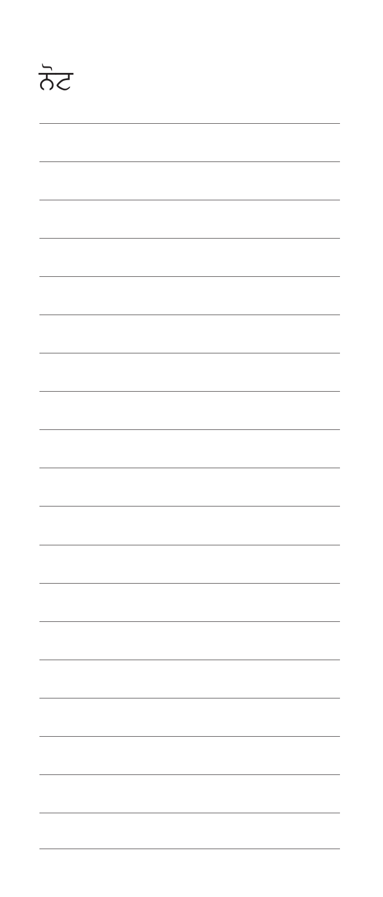ਨੋਟ